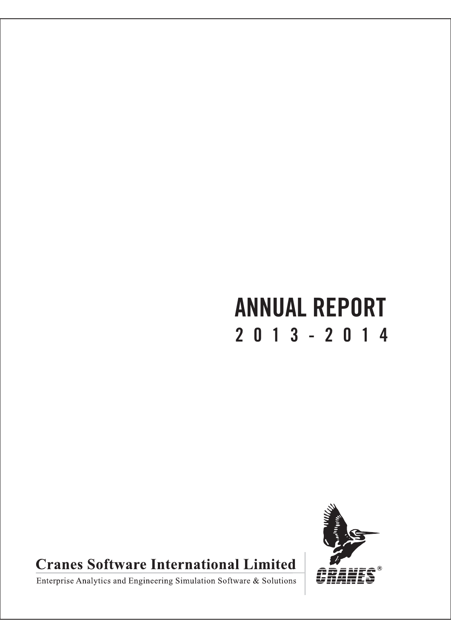# **ANNUAL REPORT 2013-2014**

# **Cranes Software International Limited**

Enterprise Analytics and Engineering Simulation Software & Solutions

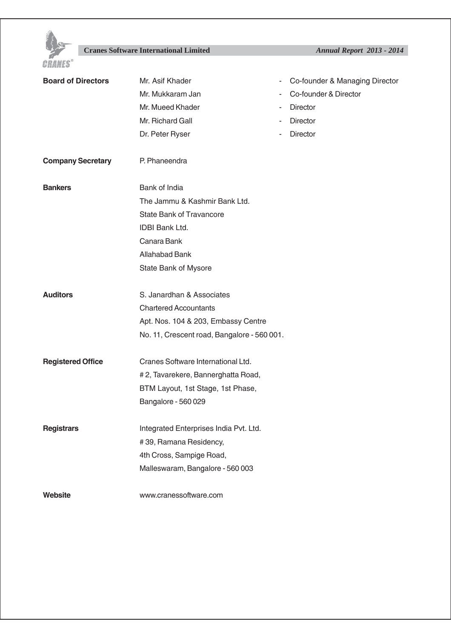

| <b>Board of Directors</b> | Mr. Asif Khader                             |   | Co-founder & Managing Director |
|---------------------------|---------------------------------------------|---|--------------------------------|
|                           | Mr. Mukkaram Jan                            | ٠ | Co-founder & Director          |
|                           | Mr. Mueed Khader                            | ۰ | <b>Director</b>                |
|                           | Mr. Richard Gall                            |   | <b>Director</b>                |
|                           | Dr. Peter Ryser                             |   | <b>Director</b>                |
| <b>Company Secretary</b>  | P. Phaneendra                               |   |                                |
| <b>Bankers</b>            | Bank of India                               |   |                                |
|                           | The Jammu & Kashmir Bank Ltd.               |   |                                |
|                           | State Bank of Travancore                    |   |                                |
|                           | <b>IDBI Bank Ltd.</b>                       |   |                                |
|                           | Canara Bank                                 |   |                                |
|                           | Allahabad Bank                              |   |                                |
|                           | State Bank of Mysore                        |   |                                |
| <b>Auditors</b>           | S. Janardhan & Associates                   |   |                                |
|                           | <b>Chartered Accountants</b>                |   |                                |
|                           | Apt. Nos. 104 & 203, Embassy Centre         |   |                                |
|                           | No. 11, Crescent road, Bangalore - 560 001. |   |                                |
| <b>Registered Office</b>  | Cranes Software International Ltd.          |   |                                |
|                           | #2, Tavarekere, Bannerghatta Road,          |   |                                |
|                           | BTM Layout, 1st Stage, 1st Phase,           |   |                                |
|                           | Bangalore - 560 029                         |   |                                |
| <b>Registrars</b>         | Integrated Enterprises India Pvt. Ltd.      |   |                                |
|                           | #39, Ramana Residency,                      |   |                                |
|                           | 4th Cross, Sampige Road,                    |   |                                |
|                           | Malleswaram, Bangalore - 560 003            |   |                                |
| Website                   | www.cranessoftware.com                      |   |                                |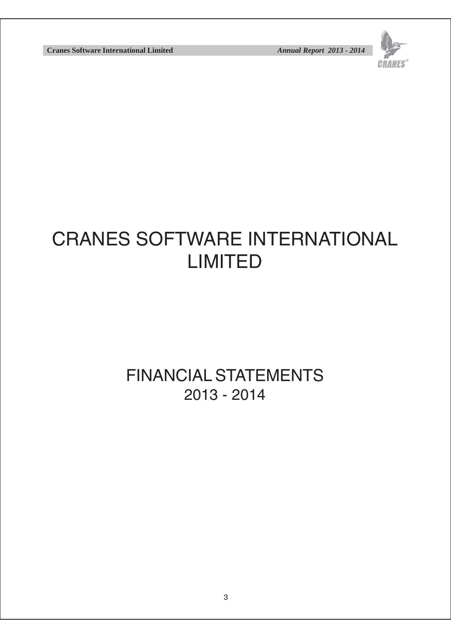

# CRANES SOFTWARE INTERNATIONAL LIMITED

# FINANCIAL STATEMENTS 2013 - 2014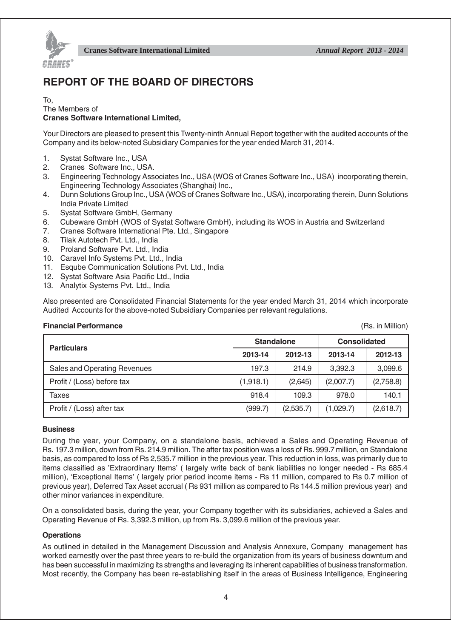

# **REPORT OF THE BOARD OF DIRECTORS**

#### To, The Members of **Cranes Software International Limited,**

Your Directors are pleased to present this Twenty-ninth Annual Report together with the audited accounts of the Company and its below-noted Subsidiary Companies for the year ended March 31, 2014.

- 1. Systat Software Inc., USA
- 2. Cranes Software Inc., USA.
- 3. Engineering Technology Associates Inc., USA (WOS of Cranes Software Inc., USA) incorporating therein, Engineering Technology Associates (Shanghai) Inc.,
- 4. Dunn Solutions Group Inc., USA (WOS of Cranes Software Inc., USA), incorporating therein, Dunn Solutions India Private Limited
- 5. Systat Software GmbH, Germany<br>6. Cubeware GmbH (WOS of Systat
- 6. Cubeware GmbH (WOS of Systat Software GmbH), including its WOS in Austria and Switzerland<br>7. Cranes Software International Pte. Ltd., Singapore
- 7. Cranes Software International Pte. Ltd., Singapore
- 8. Tilak Autotech Pvt. Ltd., India
- 9. Proland Software Pvt. Ltd., India
- 10. Caravel Info Systems Pvt. Ltd., India
- 11. Esqube Communication Solutions Pvt. Ltd., India
- 12. Systat Software Asia Pacific Ltd., India
- 13. Analytix Systems Pvt. Ltd., India

Also presented are Consolidated Financial Statements for the year ended March 31, 2014 which incorporate Audited Accounts for the above-noted Subsidiary Companies per relevant regulations.

#### **Financial Performance** (Rs. in Million)

**Particulars Example 2** Standalone **Consolidated 2013-14 2012-13 2013-14 2012-13** Sales and Operating Revenues 197.3 | 214.9 3,392.3 3,099.6 Profit / (Loss) before tax (1,918.1) (2,645) (2,007.7) (2,758.8) Taxes 918.4 109.3 978.0 140.1 Profit / (Loss) after tax (999.7) (2,535.7) (1,029.7) (2,618.7)

#### **Business**

During the year, your Company, on a standalone basis, achieved a Sales and Operating Revenue of Rs. 197.3 million, down from Rs. 214.9 million. The after tax position was a loss of Rs. 999.7 million, on Standalone basis, as compared to loss of Rs 2,535.7 million in the previous year. This reduction in loss, was primarily due to items classified as 'Extraordinary Items' ( largely write back of bank liabilities no longer needed - Rs 685.4 million), 'Exceptional Items' ( largely prior period income items - Rs 11 million, compared to Rs 0.7 million of previous year), Deferred Tax Asset accrual ( Rs 931 million as compared to Rs 144.5 million previous year) and other minor variances in expenditure.

On a consolidated basis, during the year, your Company together with its subsidiaries, achieved a Sales and Operating Revenue of Rs. 3,392.3 million, up from Rs. 3,099.6 million of the previous year.

#### **Operations**

As outlined in detailed in the Management Discussion and Analysis Annexure, Company management has worked earnestly over the past three years to re-build the organization from its years of business downturn and has been successful in maximizing its strengths and leveraging its inherent capabilities of business transformation. Most recently, the Company has been re-establishing itself in the areas of Business Intelligence, Engineering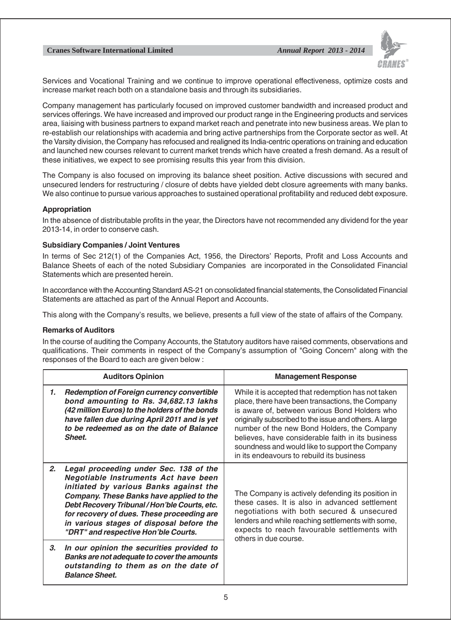

Services and Vocational Training and we continue to improve operational effectiveness, optimize costs and increase market reach both on a standalone basis and through its subsidiaries.

Company management has particularly focused on improved customer bandwidth and increased product and services offerings. We have increased and improved our product range in the Engineering products and services area, liaising with business partners to expand market reach and penetrate into new business areas. We plan to re-establish our relationships with academia and bring active partnerships from the Corporate sector as well. At the Varsity division, the Company has refocused and realigned its India-centric operations on training and education and launched new courses relevant to current market trends which have created a fresh demand. As a result of these initiatives, we expect to see promising results this year from this division.

The Company is also focused on improving its balance sheet position. Active discussions with secured and unsecured lenders for restructuring / closure of debts have yielded debt closure agreements with many banks. We also continue to pursue various approaches to sustained operational profitability and reduced debt exposure.

## **Appropriation**

In the absence of distributable profits in the year, the Directors have not recommended any dividend for the year 2013-14, in order to conserve cash.

## **Subsidiary Companies / Joint Ventures**

In terms of Sec 212(1) of the Companies Act, 1956, the Directors' Reports, Profit and Loss Accounts and Balance Sheets of each of the noted Subsidiary Companies are incorporated in the Consolidated Financial Statements which are presented herein.

In accordance with the Accounting Standard AS-21 on consolidated financial statements, the Consolidated Financial Statements are attached as part of the Annual Report and Accounts.

This along with the Company's results, we believe, presents a full view of the state of affairs of the Company.

## **Remarks of Auditors**

In the course of auditing the Company Accounts, the Statutory auditors have raised comments, observations and qualifications. Their comments in respect of the Company's assumption of "Going Concern" along with the responses of the Board to each are given below :

|              | <b>Auditors Opinion</b>                                                                                                                                                                                                                                                                                                                                               | <b>Management Response</b>                                                                                                                                                                                                                                                                                                                                                                                            |  |
|--------------|-----------------------------------------------------------------------------------------------------------------------------------------------------------------------------------------------------------------------------------------------------------------------------------------------------------------------------------------------------------------------|-----------------------------------------------------------------------------------------------------------------------------------------------------------------------------------------------------------------------------------------------------------------------------------------------------------------------------------------------------------------------------------------------------------------------|--|
| $\mathbf{1}$ | <b>Redemption of Foreign currency convertible</b><br>bond amounting to Rs. 34,682.13 lakhs<br>(42 million Euros) to the holders of the bonds<br>have fallen due during April 2011 and is yet<br>to be redeemed as on the date of Balance<br><b>Sheet.</b>                                                                                                             | While it is accepted that redemption has not taken<br>place, there have been transactions, the Company<br>is aware of, between various Bond Holders who<br>originally subscribed to the issue and others. A large<br>number of the new Bond Holders, the Company<br>believes, have considerable faith in its business<br>soundness and would like to support the Company<br>in its endeavours to rebuild its business |  |
| 2.           | Legal proceeding under Sec. 138 of the<br><b>Negotiable Instruments Act have been</b><br>initiated by various Banks against the<br><b>Company. These Banks have applied to the</b><br>Debt Recovery Tribunal / Hon'ble Courts, etc.<br>for recovery of dues. These proceeding are<br>in various stages of disposal before the<br>"DRT" and respective Hon'ble Courts. | The Company is actively defending its position in<br>these cases. It is also in advanced settlement<br>negotiations with both secured & unsecured<br>lenders and while reaching settlements with some,<br>expects to reach favourable settlements with<br>others in due course.                                                                                                                                       |  |
| 3.           | In our opinion the securities provided to<br>Banks are not adequate to cover the amounts<br>outstanding to them as on the date of<br><b>Balance Sheet.</b>                                                                                                                                                                                                            |                                                                                                                                                                                                                                                                                                                                                                                                                       |  |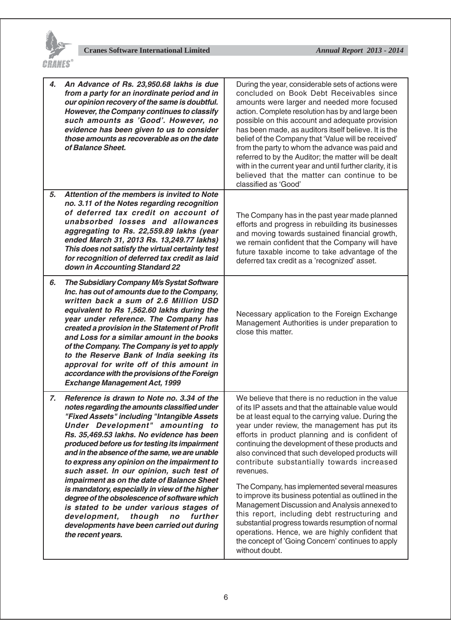

| 4.          | An Advance of Rs. 23,950.68 lakhs is due<br>from a party for an inordinate period and in<br>our opinion recovery of the same is doubtful.<br>However, the Company continues to classify<br>such amounts as 'Good'. However, no<br>evidence has been given to us to consider<br>those amounts as recoverable as on the date<br>of Balance Sheet.                                                                                                                                                                                                                                                                                                                                                                                | During the year, considerable sets of actions were<br>concluded on Book Debt Receivables since<br>amounts were larger and needed more focused<br>action. Complete resolution has by and large been<br>possible on this account and adequate provision<br>has been made, as auditors itself believe. It is the<br>belief of the Company that 'Value will be received'<br>from the party to whom the advance was paid and<br>referred to by the Auditor; the matter will be dealt<br>with in the current year and until further clarity, it is<br>believed that the matter can continue to be<br>classified as 'Good'                                                                                                                                                                                                                |
|-------------|--------------------------------------------------------------------------------------------------------------------------------------------------------------------------------------------------------------------------------------------------------------------------------------------------------------------------------------------------------------------------------------------------------------------------------------------------------------------------------------------------------------------------------------------------------------------------------------------------------------------------------------------------------------------------------------------------------------------------------|------------------------------------------------------------------------------------------------------------------------------------------------------------------------------------------------------------------------------------------------------------------------------------------------------------------------------------------------------------------------------------------------------------------------------------------------------------------------------------------------------------------------------------------------------------------------------------------------------------------------------------------------------------------------------------------------------------------------------------------------------------------------------------------------------------------------------------|
| 5.          | Attention of the members is invited to Note<br>no. 3.11 of the Notes regarding recognition<br>of deferred tax credit on account of<br>unabsorbed losses and allowances<br>aggregating to Rs. 22,559.89 lakhs (year<br>ended March 31, 2013 Rs. 13,249.77 lakhs)<br>This does not satisfy the virtual certainty test<br>for recognition of deferred tax credit as laid<br>down in Accounting Standard 22                                                                                                                                                                                                                                                                                                                        | The Company has in the past year made planned<br>efforts and progress in rebuilding its businesses<br>and moving towards sustained financial growth,<br>we remain confident that the Company will have<br>future taxable income to take advantage of the<br>deferred tax credit as a 'recognized' asset.                                                                                                                                                                                                                                                                                                                                                                                                                                                                                                                           |
| 6.          | The Subsidiary Company M/s Systat Software<br>Inc. has out of amounts due to the Company,<br>written back a sum of 2.6 Million USD<br>equivalent to Rs 1,562.60 lakhs during the<br>year under reference. The Company has<br>created a provision in the Statement of Profit<br>and Loss for a similar amount in the books<br>of the Company. The Company is yet to apply<br>to the Reserve Bank of India seeking its<br>approval for write off of this amount in<br>accordance with the provisions of the Foreign<br><b>Exchange Management Act, 1999</b>                                                                                                                                                                      | Necessary application to the Foreign Exchange<br>Management Authorities is under preparation to<br>close this matter.                                                                                                                                                                                                                                                                                                                                                                                                                                                                                                                                                                                                                                                                                                              |
| $Z_{\rm c}$ | Reference is drawn to Note no. 3.34 of the<br>notes regarding the amounts classified under<br>"Fixed Assets" including "Intangible Assets<br>Under Development" amounting to<br>Rs. 35,469.53 lakhs. No evidence has been<br>produced before us for testing its impairment<br>and in the absence of the same, we are unable<br>to express any opinion on the impairment to<br>such asset. In our opinion, such test of<br>impairment as on the date of Balance Sheet<br>is mandatory, especially in view of the higher<br>degree of the obsolescence of software which<br>is stated to be under various stages of<br>further<br>development,<br>though<br>no<br>developments have been carried out during<br>the recent years. | We believe that there is no reduction in the value<br>of its IP assets and that the attainable value would<br>be at least equal to the carrying value. During the<br>year under review, the management has put its<br>efforts in product planning and is confident of<br>continuing the development of these products and<br>also convinced that such developed products will<br>contribute substantially towards increased<br>revenues.<br>The Company, has implemented several measures<br>to improve its business potential as outlined in the<br>Management Discussion and Analysis annexed to<br>this report, including debt restructuring and<br>substantial progress towards resumption of normal<br>operations. Hence, we are highly confident that<br>the concept of 'Going Concern' continues to apply<br>without doubt. |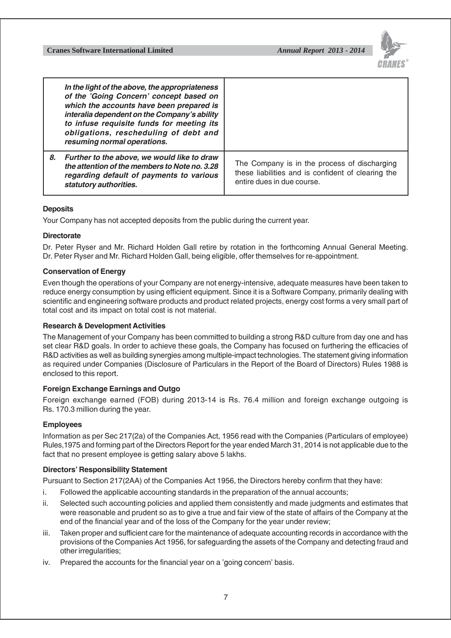

| In the light of the above, the appropriateness<br>of the 'Going Concern' concept based on<br>which the accounts have been prepared is<br>interalia dependent on the Company's ability<br>to infuse requisite funds for meeting its<br>obligations, rescheduling of debt and<br>resuming normal operations. |                                                                                                                                  |
|------------------------------------------------------------------------------------------------------------------------------------------------------------------------------------------------------------------------------------------------------------------------------------------------------------|----------------------------------------------------------------------------------------------------------------------------------|
| 8. Further to the above, we would like to draw<br>the attention of the members to Note no. 3.28<br>regarding default of payments to various<br>statutory authorities.                                                                                                                                      | The Company is in the process of discharging<br>these liabilities and is confident of clearing the<br>entire dues in due course. |

## **Deposits**

Your Company has not accepted deposits from the public during the current year.

## **Directorate**

Dr. Peter Ryser and Mr. Richard Holden Gall retire by rotation in the forthcoming Annual General Meeting. Dr. Peter Ryser and Mr. Richard Holden Gall, being eligible, offer themselves for re-appointment.

## **Conservation of Energy**

Even though the operations of your Company are not energy-intensive, adequate measures have been taken to reduce energy consumption by using efficient equipment. Since it is a Software Company, primarily dealing with scientific and engineering software products and product related projects, energy cost forms a very small part of total cost and its impact on total cost is not material.

## **Research & Development Activities**

The Management of your Company has been committed to building a strong R&D culture from day one and has set clear R&D goals. In order to achieve these goals, the Company has focused on furthering the efficacies of R&D activities as well as building synergies among multiple-impact technologies. The statement giving information as required under Companies (Disclosure of Particulars in the Report of the Board of Directors) Rules 1988 is enclosed to this report.

## **Foreign Exchange Earnings and Outgo**

Foreign exchange earned (FOB) during 2013-14 is Rs. 76.4 million and foreign exchange outgoing is Rs. 170.3 million during the year.

## **Employees**

Information as per Sec 217(2a) of the Companies Act, 1956 read with the Companies (Particulars of employee) Rules,1975 and forming part of the Directors Report for the year ended March 31, 2014 is not applicable due to the fact that no present employee is getting salary above 5 lakhs.

## **Directors' Responsibility Statement**

Pursuant to Section 217(2AA) of the Companies Act 1956, the Directors hereby confirm that they have:

- i. Followed the applicable accounting standards in the preparation of the annual accounts;
- ii. Selected such accounting policies and applied them consistently and made judgments and estimates that were reasonable and prudent so as to give a true and fair view of the state of affairs of the Company at the end of the financial year and of the loss of the Company for the year under review;
- iii. Taken proper and sufficient care for the maintenance of adequate accounting records in accordance with the provisions of the Companies Act 1956, for safeguarding the assets of the Company and detecting fraud and other irregularities;
- iv. Prepared the accounts for the financial year on a 'going concern' basis.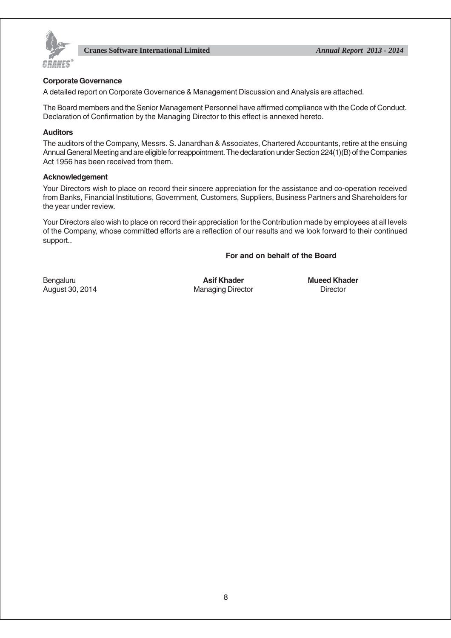

## **Corporate Governance**

A detailed report on Corporate Governance & Management Discussion and Analysis are attached.

The Board members and the Senior Management Personnel have affirmed compliance with the Code of Conduct. Declaration of Confirmation by the Managing Director to this effect is annexed hereto.

## **Auditors**

The auditors of the Company, Messrs. S. Janardhan & Associates, Chartered Accountants, retire at the ensuing Annual General Meeting and are eligible for reappointment. The declaration under Section 224(1)(B) of the Companies Act 1956 has been received from them.

## **Acknowledgement**

Your Directors wish to place on record their sincere appreciation for the assistance and co-operation received from Banks, Financial Institutions, Government, Customers, Suppliers, Business Partners and Shareholders for the year under review.

Your Directors also wish to place on record their appreciation for the Contribution made by employees at all levels of the Company, whose committed efforts are a reflection of our results and we look forward to their continued support..

## **For and on behalf of the Board**

Bengaluru **Asif Khader Asif Khader Mueed Khader** August 30, 2014 **Managing Director**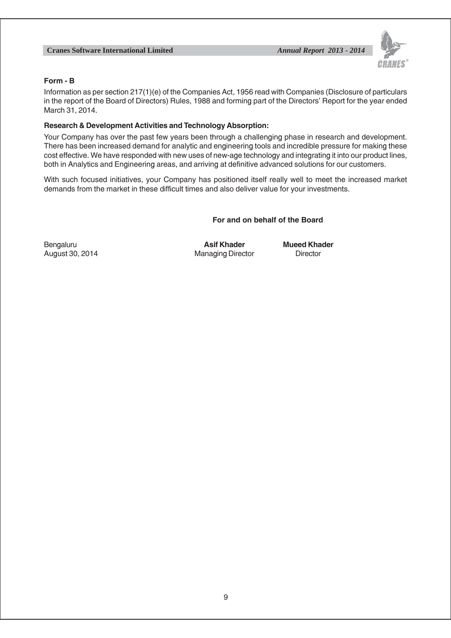

## **Form - B**

Information as per section 217(1)(e) of the Companies Act, 1956 read with Companies (Disclosure of particulars in the report of the Board of Directors) Rules, 1988 and forming part of the Directors' Report for the year ended March 31, 2014.

## **Research & Development Activities and Technology Absorption:**

Your Company has over the past few years been through a challenging phase in research and development. There has been increased demand for analytic and engineering tools and incredible pressure for making these cost effective. We have responded with new uses of new-age technology and integrating it into our product lines, both in Analytics and Engineering areas, and arriving at definitive advanced solutions for our customers.

With such focused initiatives, your Company has positioned itself really well to meet the increased market demands from the market in these difficult times and also deliver value for your investments.

## **For and on behalf of the Board**

Bengaluru **Asif Khader Mueed Khader Asif Khader Mueed Khader** August 30, 2014 **Managing Director**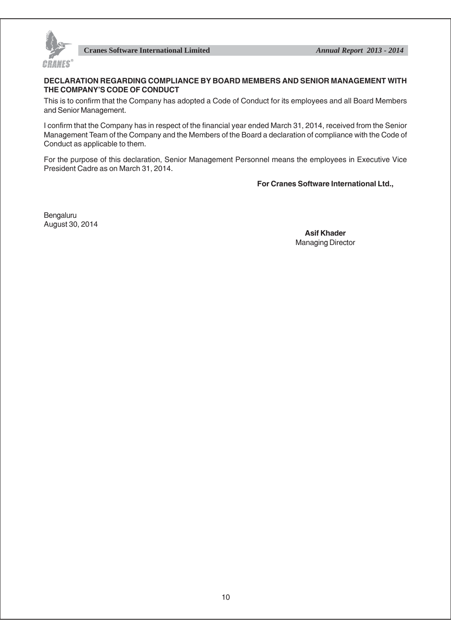

## **DECLARATION REGARDING COMPLIANCE BY BOARD MEMBERS AND SENIOR MANAGEMENT WITH THE COMPANY'S CODE OF CONDUCT**

This is to confirm that the Company has adopted a Code of Conduct for its employees and all Board Members and Senior Management.

I confirm that the Company has in respect of the financial year ended March 31, 2014, received from the Senior Management Team of the Company and the Members of the Board a declaration of compliance with the Code of Conduct as applicable to them.

For the purpose of this declaration, Senior Management Personnel means the employees in Executive Vice President Cadre as on March 31, 2014.

## **For Cranes Software International Ltd.,**

Bengaluru August 30, 2014

**Asif Khader** Managing Director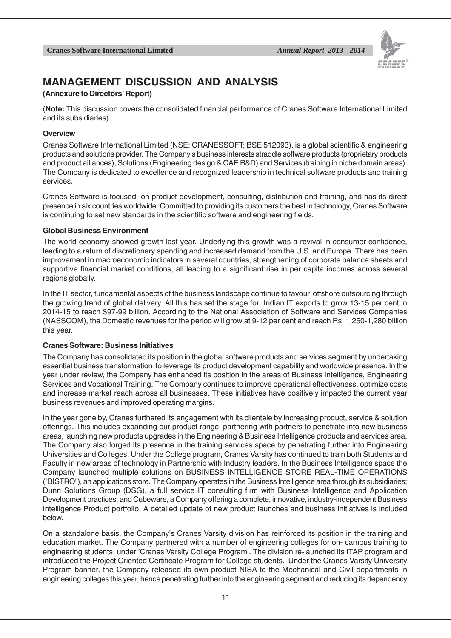

## **MANAGEMENT DISCUSSION AND ANALYSIS**

## **(Annexure to Directors' Report)**

(**Note:** This discussion covers the consolidated financial performance of Cranes Software International Limited and its subsidiaries)

## **Overview**

Cranes Software International Limited (NSE: CRANESSOFT; BSE 512093), is a global scientific & engineering products and solutions provider. The Company's business interests straddle software products (proprietary products and product alliances), Solutions (Engineering design & CAE R&D) and Services (training in niche domain areas). The Company is dedicated to excellence and recognized leadership in technical software products and training services.

Cranes Software is focused on product development, consulting, distribution and training, and has its direct presence in six countries worldwide. Committed to providing its customers the best in technology, Cranes Software is continuing to set new standards in the scientific software and engineering fields.

## **Global Business Environment**

The world economy showed growth last year. Underlying this growth was a revival in consumer confidence, leading to a return of discretionary spending and increased demand from the U.S. and Europe. There has been improvement in macroeconomic indicators in several countries, strengthening of corporate balance sheets and supportive financial market conditions, all leading to a significant rise in per capita incomes across several regions globally.

In the IT sector, fundamental aspects of the business landscape continue to favour offshore outsourcing through the growing trend of global delivery. All this has set the stage for Indian IT exports to grow 13-15 per cent in 2014-15 to reach \$97-99 billion. According to the National Association of Software and Services Companies (NASSCOM), the Domestic revenues for the period will grow at 9-12 per cent and reach Rs. 1,250-1,280 billion this year.

## **Cranes Software: Business Initiatives**

The Company has consolidated its position in the global software products and services segment by undertaking essential business transformation to leverage its product development capability and worldwide presence. In the year under review, the Company has enhanced its position in the areas of Business Intelligence, Engineering Services and Vocational Training. The Company continues to improve operational effectiveness, optimize costs and increase market reach across all businesses. These initiatives have positively impacted the current year business revenues and improved operating margins.

In the year gone by, Cranes furthered its engagement with its clientele by increasing product, service & solution offerings. This includes expanding our product range, partnering with partners to penetrate into new business areas, launching new products upgrades in the Engineering & Business Intelligence products and services area. The Company also forged its presence in the training services space by penetrating further into Engineering Universities and Colleges. Under the College program, Cranes Varsity has continued to train both Students and Faculty in new areas of technology in Partnership with Industry leaders. In the Business Intelligence space the Company launched multiple solutions on BUSINESS INTELLIGENCE STORE REAL-TIME OPERATIONS ("BISTRO"), an applications store. The Company operates in the Business Intelligence area through its subsidiaries; Dunn Solutions Group (DSG), a full service IT consulting firm with Business Intelligence and Application Development practices, and Cubeware, a Company offering a complete, innovative, industry-independent Business Intelligence Product portfolio. A detailed update of new product launches and business initiatives is included below.

On a standalone basis, the Company's Cranes Varsity division has reinforced its position in the training and education market. The Company partnered with a number of engineering colleges for on- campus training to engineering students, under 'Cranes Varsity College Program'. The division re-launched its ITAP program and introduced the Project Oriented Certificate Program for College students. Under the Cranes Varsity University Program banner, the Company released its own product NISA to the Mechanical and Civil departments in engineering colleges this year, hence penetrating further into the engineering segment and reducing its dependency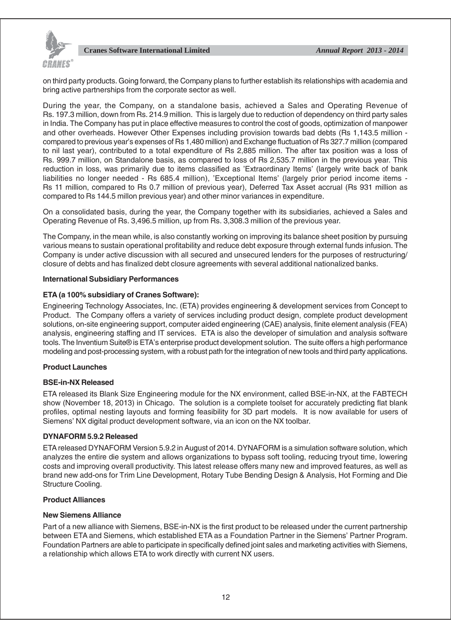

on third party products. Going forward, the Company plans to further establish its relationships with academia and bring active partnerships from the corporate sector as well.

During the year, the Company, on a standalone basis, achieved a Sales and Operating Revenue of Rs. 197.3 million, down from Rs. 214.9 million. This is largely due to reduction of dependency on third party sales in India. The Company has put in place effective measures to control the cost of goods, optimization of manpower and other overheads. However Other Expenses including provision towards bad debts (Rs 1,143.5 million compared to previous year's expenses of Rs 1,480 million) and Exchange fluctuation of Rs 327.7 million (compared to nil last year), contributed to a total expenditure of Rs 2,885 million. The after tax position was a loss of Rs. 999.7 million, on Standalone basis, as compared to loss of Rs 2,535.7 million in the previous year. This reduction in loss, was primarily due to items classified as 'Extraordinary Items' (largely write back of bank liabilities no longer needed - Rs 685.4 million), 'Exceptional Items' (largely prior period income items - Rs 11 million, compared to Rs 0.7 million of previous year), Deferred Tax Asset accrual (Rs 931 million as compared to Rs 144.5 millon previous year) and other minor variances in expenditure.

On a consolidated basis, during the year, the Company together with its subsidiaries, achieved a Sales and Operating Revenue of Rs. 3,496.5 million, up from Rs. 3,308.3 million of the previous year.

The Company, in the mean while, is also constantly working on improving its balance sheet position by pursuing various means to sustain operational profitability and reduce debt exposure through external funds infusion. The Company is under active discussion with all secured and unsecured lenders for the purposes of restructuring/ closure of debts and has finalized debt closure agreements with several additional nationalized banks.

#### **International Subsidiary Performances**

## **ETA (a 100% subsidiary of Cranes Software):**

Engineering Technology Associates, Inc. (ETA) provides engineering & development services from Concept to Product. The Company offers a variety of services including product design, complete product development solutions, on-site engineering support, computer aided engineering (CAE) analysis, finite element analysis (FEA) analysis, engineering staffing and IT services. ETA is also the developer of simulation and analysis software tools. The Inventium Suite® is ETA's enterprise product development solution. The suite offers a high performance modeling and post-processing system, with a robust path for the integration of new tools and third party applications.

## **Product Launches**

#### **BSE-in-NX Released**

ETA released its Blank Size Engineering module for the NX environment, called BSE-in-NX, at the FABTECH show (November 18, 2013) in Chicago. The solution is a complete toolset for accurately predicting flat blank profiles, optimal nesting layouts and forming feasibility for 3D part models. It is now available for users of Siemens' NX digital product development software, via an icon on the NX toolbar.

## **DYNAFORM 5.9.2 Released**

ETA released DYNAFORM Version 5.9.2 in August of 2014. DYNAFORM is a simulation software solution, which analyzes the entire die system and allows organizations to bypass soft tooling, reducing tryout time, lowering costs and improving overall productivity. This latest release offers many new and improved features, as well as brand new add-ons for Trim Line Development, Rotary Tube Bending Design & Analysis, Hot Forming and Die Structure Cooling.

#### **Product Alliances**

#### **New Siemens Alliance**

Part of a new alliance with Siemens, BSE-in-NX is the first product to be released under the current partnership between ETA and Siemens, which established ETA as a Foundation Partner in the Siemens' Partner Program. Foundation Partners are able to participate in specifically defined joint sales and marketing activities with Siemens, a relationship which allows ETA to work directly with current NX users.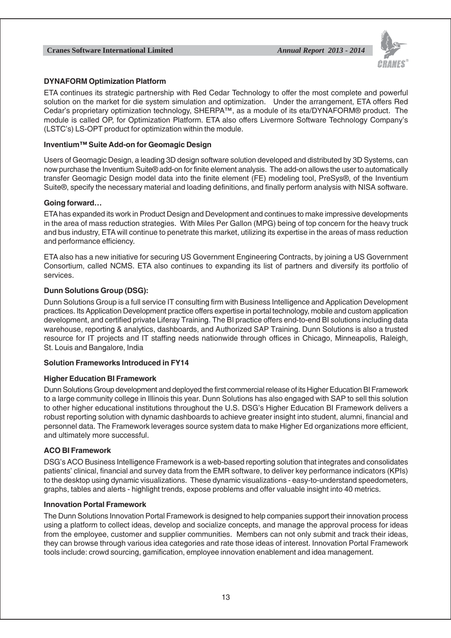

#### **DYNAFORM Optimization Platform**

ETA continues its strategic partnership with Red Cedar Technology to offer the most complete and powerful solution on the market for die system simulation and optimization. Under the arrangement, ETA offers Red Cedar's proprietary optimization technology, SHERPA™, as a module of its eta/DYNAFORM® product. The module is called OP, for Optimization Platform. ETA also offers Livermore Software Technology Company's (LSTC's) LS-OPT product for optimization within the module.

#### **Inventium™ Suite Add-on for Geomagic Design**

Users of Geomagic Design, a leading 3D design software solution developed and distributed by 3D Systems, can now purchase the Inventium Suite® add-on for finite element analysis. The add-on allows the user to automatically transfer Geomagic Design model data into the finite element (FE) modeling tool, PreSys®, of the Inventium Suite®, specify the necessary material and loading definitions, and finally perform analysis with NISA software.

#### **Going forward…**

ETA has expanded its work in Product Design and Development and continues to make impressive developments in the area of mass reduction strategies. With Miles Per Gallon (MPG) being of top concern for the heavy truck and bus industry, ETA will continue to penetrate this market, utilizing its expertise in the areas of mass reduction and performance efficiency.

ETA also has a new initiative for securing US Government Engineering Contracts, by joining a US Government Consortium, called NCMS. ETA also continues to expanding its list of partners and diversify its portfolio of services.

#### **Dunn Solutions Group (DSG):**

Dunn Solutions Group is a full service IT consulting firm with Business Intelligence and Application Development practices. Its Application Development practice offers expertise in portal technology, mobile and custom application development, and certified private Liferay Training. The BI practice offers end-to-end BI solutions including data warehouse, reporting & analytics, dashboards, and Authorized SAP Training. Dunn Solutions is also a trusted resource for IT projects and IT staffing needs nationwide through offices in Chicago, Minneapolis, Raleigh, St. Louis and Bangalore, India

## **Solution Frameworks Introduced in FY14**

#### **Higher Education BI Framework**

Dunn Solutions Group development and deployed the first commercial release of its Higher Education BI Framework to a large community college in Illinois this year. Dunn Solutions has also engaged with SAP to sell this solution to other higher educational institutions throughout the U.S. DSG's Higher Education BI Framework delivers a robust reporting solution with dynamic dashboards to achieve greater insight into student, alumni, financial and personnel data. The Framework leverages source system data to make Higher Ed organizations more efficient, and ultimately more successful.

## **ACO BI Framework**

DSG's ACO Business Intelligence Framework is a web-based reporting solution that integrates and consolidates patients' clinical, financial and survey data from the EMR software, to deliver key performance indicators (KPIs) to the desktop using dynamic visualizations. These dynamic visualizations - easy-to-understand speedometers, graphs, tables and alerts - highlight trends, expose problems and offer valuable insight into 40 metrics.

### **Innovation Portal Framework**

The Dunn Solutions Innovation Portal Framework is designed to help companies support their innovation process using a platform to collect ideas, develop and socialize concepts, and manage the approval process for ideas from the employee, customer and supplier communities. Members can not only submit and track their ideas, they can browse through various idea categories and rate those ideas of interest. Innovation Portal Framework tools include: crowd sourcing, gamification, employee innovation enablement and idea management.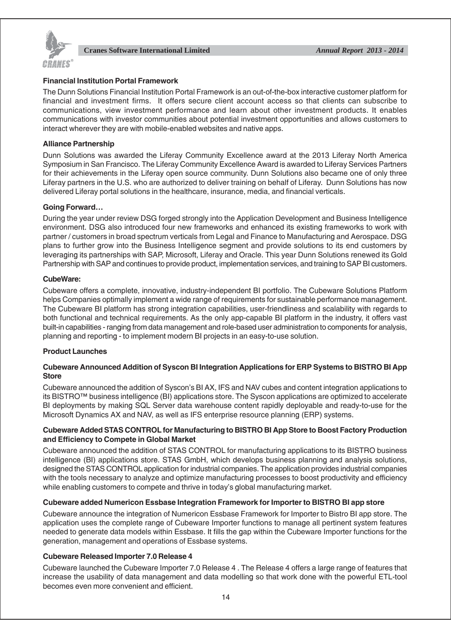

## **Financial Institution Portal Framework**

The Dunn Solutions Financial Institution Portal Framework is an out-of-the-box interactive customer platform for financial and investment firms. It offers secure client account access so that clients can subscribe to communications, view investment performance and learn about other investment products. It enables communications with investor communities about potential investment opportunities and allows customers to interact wherever they are with mobile-enabled websites and native apps.

## **Alliance Partnership**

Dunn Solutions was awarded the Liferay Community Excellence award at the 2013 Liferay North America Symposium in San Francisco. The Liferay Community Excellence Award is awarded to Liferay Services Partners for their achievements in the Liferay open source community. Dunn Solutions also became one of only three Liferay partners in the U.S. who are authorized to deliver training on behalf of Liferay. Dunn Solutions has now delivered Liferay portal solutions in the healthcare, insurance, media, and financial verticals.

## **Going Forward…**

During the year under review DSG forged strongly into the Application Development and Business Intelligence environment. DSG also introduced four new frameworks and enhanced its existing frameworks to work with partner / customers in broad spectrum verticals from Legal and Finance to Manufacturing and Aerospace. DSG plans to further grow into the Business Intelligence segment and provide solutions to its end customers by leveraging its partnerships with SAP, Microsoft, Liferay and Oracle. This year Dunn Solutions renewed its Gold Partnership with SAP and continues to provide product, implementation services, and training to SAP BI customers.

## **CubeWare:**

Cubeware offers a complete, innovative, industry-independent BI portfolio. The Cubeware Solutions Platform helps Companies optimally implement a wide range of requirements for sustainable performance management. The Cubeware BI platform has strong integration capabilities, user-friendliness and scalability with regards to both functional and technical requirements. As the only app-capable BI platform in the industry, it offers vast built-in capabilities - ranging from data management and role-based user administration to components for analysis, planning and reporting - to implement modern BI projects in an easy-to-use solution.

## **Product Launches**

## **Cubeware Announced Addition of Syscon BI Integration Applications for ERP Systems to BISTRO BI App Store**

Cubeware announced the addition of Syscon's BI AX, IFS and NAV cubes and content integration applications to its BISTRO™ business intelligence (BI) applications store. The Syscon applications are optimized to accelerate BI deployments by making SQL Server data warehouse content rapidly deployable and ready-to-use for the Microsoft Dynamics AX and NAV, as well as IFS enterprise resource planning (ERP) systems.

## **Cubeware Added STAS CONTROL for Manufacturing to BISTRO BI App Store to Boost Factory Production and Efficiency to Compete in Global Market**

Cubeware announced the addition of STAS CONTROL for manufacturing applications to its BISTRO business intelligence (BI) applications store. STAS GmbH, which develops business planning and analysis solutions, designed the STAS CONTROL application for industrial companies. The application provides industrial companies with the tools necessary to analyze and optimize manufacturing processes to boost productivity and efficiency while enabling customers to compete and thrive in today's global manufacturing market.

## **Cubeware added Numericon Essbase Integration Framework for Importer to BISTRO BI app store**

Cubeware announce the integration of Numericon Essbase Framework for Importer to Bistro BI app store. The application uses the complete range of Cubeware Importer functions to manage all pertinent system features needed to generate data models within Essbase. It fills the gap within the Cubeware Importer functions for the generation, management and operations of Essbase systems.

## **Cubeware Released Importer 7.0 Release 4**

Cubeware launched the Cubeware Importer 7.0 Release 4 . The Release 4 offers a large range of features that increase the usability of data management and data modelling so that work done with the powerful ETL-tool becomes even more convenient and efficient.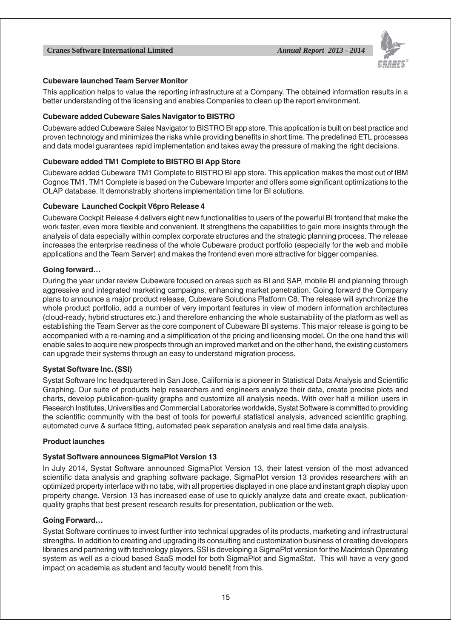

#### **Cubeware launched Team Server Monitor**

This application helps to value the reporting infrastructure at a Company. The obtained information results in a better understanding of the licensing and enables Companies to clean up the report environment.

## **Cubeware added Cubeware Sales Navigator to BISTRO**

Cubeware added Cubeware Sales Navigator to BISTRO BI app store. This application is built on best practice and proven technology and minimizes the risks while providing benefits in short time. The predefined ETL processes and data model guarantees rapid implementation and takes away the pressure of making the right decisions.

## **Cubeware added TM1 Complete to BISTRO BI App Store**

Cubeware added Cubeware TM1 Complete to BISTRO BI app store. This application makes the most out of IBM Cognos TM1. TM1 Complete is based on the Cubeware Importer and offers some significant optimizations to the OLAP database. It demonstrably shortens implementation time for BI solutions.

## **Cubeware Launched Cockpit V6pro Release 4**

Cubeware Cockpit Release 4 delivers eight new functionalities to users of the powerful BI frontend that make the work faster, even more flexible and convenient. It strengthens the capabilities to gain more insights through the analysis of data especially within complex corporate structures and the strategic planning process. The release increases the enterprise readiness of the whole Cubeware product portfolio (especially for the web and mobile applications and the Team Server) and makes the frontend even more attractive for bigger companies.

## **Going forward…**

During the year under review Cubeware focused on areas such as BI and SAP, mobile BI and planning through aggressive and integrated marketing campaigns, enhancing market penetration. Going forward the Company plans to announce a major product release, Cubeware Solutions Platform C8. The release will synchronize the whole product portfolio, add a number of very important features in view of modern information architectures (cloud-ready, hybrid structures etc.) and therefore enhancing the whole sustainability of the platform as well as establishing the Team Server as the core component of Cubeware BI systems. This major release is going to be accompanied with a re-naming and a simplification of the pricing and licensing model. On the one hand this will enable sales to acquire new prospects through an improved market and on the other hand, the existing customers can upgrade their systems through an easy to understand migration process.

#### **Systat Software Inc. (SSI)**

Systat Software Inc headquartered in San Jose, California is a pioneer in Statistical Data Analysis and Scientific Graphing. Our suite of products help researchers and engineers analyze their data, create precise plots and charts, develop publication-quality graphs and customize all analysis needs. With over half a million users in Research Institutes, Universities and Commercial Laboratories worldwide, Systat Software is committed to providing the scientific community with the best of tools for powerful statistical analysis, advanced scientific graphing, automated curve & surface fitting, automated peak separation analysis and real time data analysis.

#### **Product launches**

## **Systat Software announces SigmaPlot Version 13**

In July 2014, Systat Software announced SigmaPlot Version 13, their latest version of the most advanced scientific data analysis and graphing software package. SigmaPlot version 13 provides researchers with an optimized property interface with no tabs, with all properties displayed in one place and instant graph display upon property change. Version 13 has increased ease of use to quickly analyze data and create exact, publicationquality graphs that best present research results for presentation, publication or the web.

#### **Going Forward…**

Systat Software continues to invest further into technical upgrades of its products, marketing and infrastructural strengths. In addition to creating and upgrading its consulting and customization business of creating developers libraries and partnering with technology players, SSI is developing a SigmaPlot version for the Macintosh Operating system as well as a cloud based SaaS model for both SigmaPlot and SigmaStat. This will have a very good impact on academia as student and faculty would benefit from this.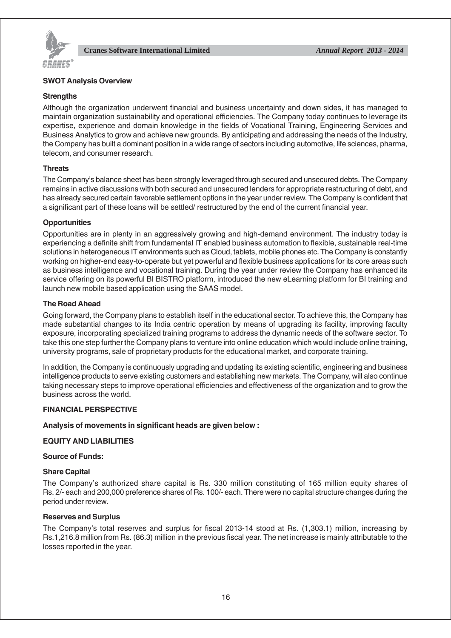

## **SWOT Analysis Overview**

## **Strengths**

Although the organization underwent financial and business uncertainty and down sides, it has managed to maintain organization sustainability and operational efficiencies. The Company today continues to leverage its expertise, experience and domain knowledge in the fields of Vocational Training, Engineering Services and Business Analytics to grow and achieve new grounds. By anticipating and addressing the needs of the Industry, the Company has built a dominant position in a wide range of sectors including automotive, life sciences, pharma, telecom, and consumer research.

## **Threats**

The Company's balance sheet has been strongly leveraged through secured and unsecured debts. The Company remains in active discussions with both secured and unsecured lenders for appropriate restructuring of debt, and has already secured certain favorable settlement options in the year under review. The Company is confident that a significant part of these loans will be settled/ restructured by the end of the current financial year.

## **Opportunities**

Opportunities are in plenty in an aggressively growing and high-demand environment. The industry today is experiencing a definite shift from fundamental IT enabled business automation to flexible, sustainable real-time solutions in heterogeneous IT environments such as Cloud, tablets, mobile phones etc. The Company is constantly working on higher-end easy-to-operate but yet powerful and flexible business applications for its core areas such as business intelligence and vocational training. During the year under review the Company has enhanced its service offering on its powerful BI BISTRO platform, introduced the new eLearning platform for BI training and launch new mobile based application using the SAAS model.

## **The Road Ahead**

Going forward, the Company plans to establish itself in the educational sector. To achieve this, the Company has made substantial changes to its India centric operation by means of upgrading its facility, improving faculty exposure, incorporating specialized training programs to address the dynamic needs of the software sector. To take this one step further the Company plans to venture into online education which would include online training, university programs, sale of proprietary products for the educational market, and corporate training.

In addition, the Company is continuously upgrading and updating its existing scientific, engineering and business intelligence products to serve existing customers and establishing new markets. The Company, will also continue taking necessary steps to improve operational efficiencies and effectiveness of the organization and to grow the business across the world.

## **FINANCIAL PERSPECTIVE**

#### **Analysis of movements in significant heads are given below :**

## **EQUITY AND LIABILITIES**

#### **Source of Funds:**

#### **Share Capital**

The Company's authorized share capital is Rs. 330 million constituting of 165 million equity shares of Rs. 2/- each and 200,000 preference shares of Rs. 100/- each. There were no capital structure changes during the period under review.

#### **Reserves and Surplus**

The Company's total reserves and surplus for fiscal 2013-14 stood at Rs. (1,303.1) million, increasing by Rs.1,216.8 million from Rs. (86.3) million in the previous fiscal year. The net increase is mainly attributable to the losses reported in the year.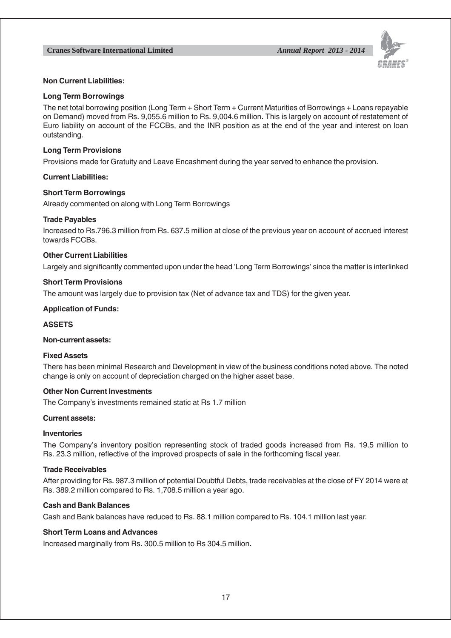

#### **Non Current Liabilities:**

## **Long Term Borrowings**

The net total borrowing position (Long Term + Short Term + Current Maturities of Borrowings + Loans repayable on Demand) moved from Rs. 9,055.6 million to Rs. 9,004.6 million. This is largely on account of restatement of Euro liability on account of the FCCBs, and the INR position as at the end of the year and interest on loan outstanding.

#### **Long Term Provisions**

Provisions made for Gratuity and Leave Encashment during the year served to enhance the provision.

#### **Current Liabilities:**

#### **Short Term Borrowings**

Already commented on along with Long Term Borrowings

#### **Trade Payables**

Increased to Rs.796.3 million from Rs. 637.5 million at close of the previous year on account of accrued interest towards FCCBs.

#### **Other Current Liabilities**

Largely and significantly commented upon under the head 'Long Term Borrowings' since the matter is interlinked

#### **Short Term Provisions**

The amount was largely due to provision tax (Net of advance tax and TDS) for the given year.

#### **Application of Funds:**

#### **ASSETS**

#### **Non-current assets:**

#### **Fixed Assets**

There has been minimal Research and Development in view of the business conditions noted above. The noted change is only on account of depreciation charged on the higher asset base.

#### **Other Non Current Investments**

The Company's investments remained static at Rs 1.7 million

#### **Current assets:**

#### **Inventories**

The Company's inventory position representing stock of traded goods increased from Rs. 19.5 million to Rs. 23.3 million, reflective of the improved prospects of sale in the forthcoming fiscal year.

#### **Trade Receivables**

After providing for Rs. 987.3 million of potential Doubtful Debts, trade receivables at the close of FY 2014 were at Rs. 389.2 million compared to Rs. 1,708.5 million a year ago.

#### **Cash and Bank Balances**

Cash and Bank balances have reduced to Rs. 88.1 million compared to Rs. 104.1 million last year.

#### **Short Term Loans and Advances**

Increased marginally from Rs. 300.5 million to Rs 304.5 million.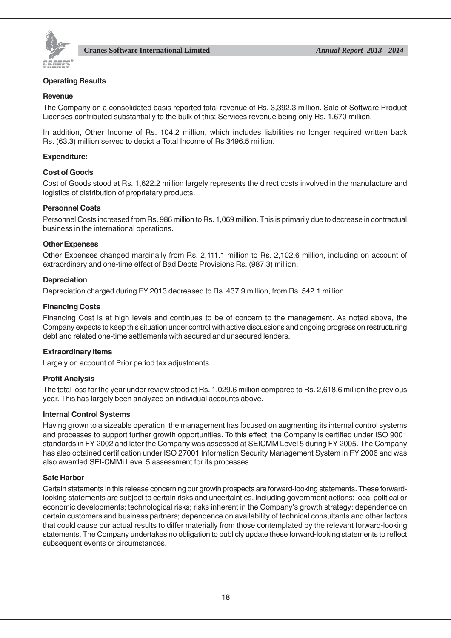

## **Operating Results**

## **Revenue**

The Company on a consolidated basis reported total revenue of Rs. 3,392.3 million. Sale of Software Product Licenses contributed substantially to the bulk of this; Services revenue being only Rs. 1,670 million.

In addition, Other Income of Rs. 104.2 million, which includes liabilities no longer required written back Rs. (63.3) million served to depict a Total Income of Rs 3496.5 million.

## **Expenditure:**

## **Cost of Goods**

Cost of Goods stood at Rs. 1,622.2 million largely represents the direct costs involved in the manufacture and logistics of distribution of proprietary products.

## **Personnel Costs**

Personnel Costs increased from Rs. 986 million to Rs. 1,069 million. This is primarily due to decrease in contractual business in the international operations.

## **Other Expenses**

Other Expenses changed marginally from Rs. 2,111.1 million to Rs. 2,102.6 million, including on account of extraordinary and one-time effect of Bad Debts Provisions Rs. (987.3) million.

#### **Depreciation**

Depreciation charged during FY 2013 decreased to Rs. 437.9 million, from Rs. 542.1 million.

#### **Financing Costs**

Financing Cost is at high levels and continues to be of concern to the management. As noted above, the Company expects to keep this situation under control with active discussions and ongoing progress on restructuring debt and related one-time settlements with secured and unsecured lenders.

## **Extraordinary Items**

Largely on account of Prior period tax adjustments.

## **Profit Analysis**

The total loss for the year under review stood at Rs. 1,029.6 million compared to Rs. 2,618.6 million the previous year. This has largely been analyzed on individual accounts above.

### **Internal Control Systems**

Having grown to a sizeable operation, the management has focused on augmenting its internal control systems and processes to support further growth opportunities. To this effect, the Company is certified under ISO 9001 standards in FY 2002 and later the Company was assessed at SEICMM Level 5 during FY 2005. The Company has also obtained certification under ISO 27001 Information Security Management System in FY 2006 and was also awarded SEI-CMMi Level 5 assessment for its processes.

## **Safe Harbor**

Certain statements in this release concerning our growth prospects are forward-looking statements. These forwardlooking statements are subject to certain risks and uncertainties, including government actions; local political or economic developments; technological risks; risks inherent in the Company's growth strategy; dependence on certain customers and business partners; dependence on availability of technical consultants and other factors that could cause our actual results to differ materially from those contemplated by the relevant forward-looking statements. The Company undertakes no obligation to publicly update these forward-looking statements to reflect subsequent events or circumstances.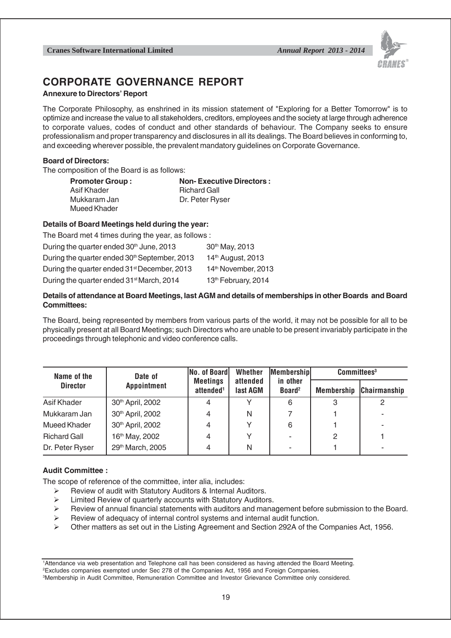

## **CORPORATE GOVERNANCE REPORT**

## **Annexure to Directors' Report**

The Corporate Philosophy, as enshrined in its mission statement of "Exploring for a Better Tomorrow" is to optimize and increase the value to all stakeholders, creditors, employees and the society at large through adherence to corporate values, codes of conduct and other standards of behaviour. The Company seeks to ensure professionalism and proper transparency and disclosures in all its dealings. The Board believes in conforming to, and exceeding wherever possible, the prevalent mandatory guidelines on Corporate Governance.

## **Board of Directors:**

The composition of the Board is as follows:

| <b>Promoter Group:</b> | <b>Non-Executive Directors:</b> |
|------------------------|---------------------------------|
| Asif Khader            | <b>Richard Gall</b>             |
| Mukkaram Jan           | Dr. Peter Ryser                 |
| Mueed Khader           |                                 |

## **Details of Board Meetings held during the year:**

| The Board met 4 times during the year, as follows :       |                     |  |  |  |
|-----------------------------------------------------------|---------------------|--|--|--|
| During the quarter ended 30 <sup>th</sup> June, 2013      | 30th May, 2013      |  |  |  |
| During the quarter ended 30 <sup>th</sup> September, 2013 | 14th August, 2013   |  |  |  |
| During the quarter ended 31 <sup>st</sup> December, 2013  | 14th November, 2013 |  |  |  |
| During the quarter ended 31 <sup>st</sup> March, 2014     | 13th February, 2014 |  |  |  |

## **Details of attendance at Board Meetings, last AGM and details of memberships in other Boards and Board Committees:**

The Board, being represented by members from various parts of the world, it may not be possible for all to be physically present at all Board Meetings; such Directors who are unable to be present invariably participate in the proceedings through telephonic and video conference calls.

| Name of the         | Date of          | No. of Board                             | Whether              | <b>Membership</b>              | Committees <sup>3</sup> |                     |
|---------------------|------------------|------------------------------------------|----------------------|--------------------------------|-------------------------|---------------------|
| <b>Director</b>     | Appointment      | <b>Meetings</b><br>attended <sup>1</sup> | attended<br>last AGM | in other<br>Board <sup>2</sup> | <b>Membership</b>       | <b>Chairmanship</b> |
| Asif Khader         | 30th April, 2002 | 4                                        |                      | 6                              | 3                       |                     |
| Mukkaram Jan        | 30th April, 2002 | 4                                        | N                    |                                |                         |                     |
| Mueed Khader        | 30th April, 2002 | $\overline{4}$                           | Y                    | 6                              |                         |                     |
| <b>Richard Gall</b> | 16th May, 2002   | 4                                        | v                    |                                | 2                       |                     |
| Dr. Peter Ryser     | 29th March, 2005 | 4                                        | N                    |                                |                         | -                   |

## **Audit Committee :**

The scope of reference of the committee, inter alia, includes:

- 
- $\geq$  Review of audit with Statutory Auditors & Internal Auditors.<br> $\geq$  Limited Review of quarterly accounts with Statutory Auditor
- $\triangleright$  Limited Review of quarterly accounts with Statutory Auditors.<br>  $\triangleright$  Review of annual financial statements with auditors and mana  $\triangleright$  Review of annual financial statements with auditors and management before submission to the Board.<br>  $\triangleright$  Review of adequacy of internal control systems and internal audit function.
- Review of adequacy of internal control systems and internal audit function.
- ¾ Other matters as set out in the Listing Agreement and Section 292A of the Companies Act, 1956.

<sup>1</sup> Attendance via web presentation and Telephone call has been considered as having attended the Board Meeting. 2 Excludes companies exempted under Sec 278 of the Companies Act, 1956 and Foreign Companies.

<sup>3</sup> Membership in Audit Committee, Remuneration Committee and Investor Grievance Committee only considered.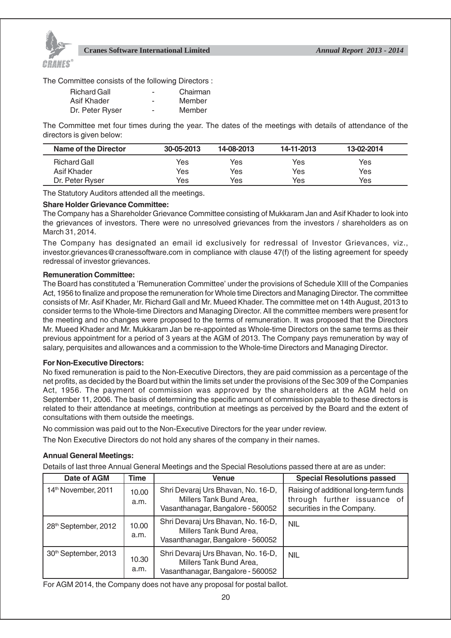

The Committee consists of the following Directors :

| <b>Richard Gall</b> | ۰                        | Chairman |
|---------------------|--------------------------|----------|
| Asif Khader         | $\overline{\phantom{a}}$ | Member   |
| Dr. Peter Ryser     | $\overline{\phantom{a}}$ | Member   |

The Committee met four times during the year. The dates of the meetings with details of attendance of the directors is given below:

| Name of the Director | 30-05-2013 | 14-08-2013 | 14-11-2013 | 13-02-2014 |
|----------------------|------------|------------|------------|------------|
| <b>Richard Gall</b>  | Yes        | Yes        | Yes        | Yes        |
| Asif Khader          | Yes        | Yes        | Yes        | Yes        |
| Dr. Peter Ryser      | Yes        | Yes        | Yes        | Yes        |

The Statutory Auditors attended all the meetings.

## **Share Holder Grievance Committee:**

The Company has a Shareholder Grievance Committee consisting of Mukkaram Jan and Asif Khader to look into the grievances of investors. There were no unresolved grievances from the investors / shareholders as on March 31, 2014.

The Company has designated an email id exclusively for redressal of Investor Grievances, viz., investor.grievances@cranessoftware.com in compliance with clause 47(f) of the listing agreement for speedy redressal of investor grievances.

## **Remuneration Committee:**

The Board has constituted a 'Remuneration Committee' under the provisions of Schedule XIII of the Companies Act, 1956 to finalize and propose the remuneration for Whole time Directors and Managing Director. The committee consists of Mr. Asif Khader, Mr. Richard Gall and Mr. Mueed Khader. The committee met on 14th August, 2013 to consider terms to the Whole-time Directors and Managing Director. All the committee members were present for the meeting and no changes were proposed to the terms of remuneration. It was proposed that the Directors Mr. Mueed Khader and Mr. Mukkaram Jan be re-appointed as Whole-time Directors on the same terms as their previous appointment for a period of 3 years at the AGM of 2013. The Company pays remuneration by way of salary, perquisites and allowances and a commission to the Whole-time Directors and Managing Director.

## **For Non-Executive Directors:**

No fixed remuneration is paid to the Non-Executive Directors, they are paid commission as a percentage of the net profits, as decided by the Board but within the limits set under the provisions of the Sec 309 of the Companies Act, 1956. The payment of commission was approved by the shareholders at the AGM held on September 11, 2006. The basis of determining the specific amount of commission payable to these directors is related to their attendance at meetings, contribution at meetings as perceived by the Board and the extent of consultations with them outside the meetings.

No commission was paid out to the Non-Executive Directors for the year under review.

The Non Executive Directors do not hold any shares of the company in their names.

## **Annual General Meetings:**

Details of last three Annual General Meetings and the Special Resolutions passed there at are as under:

| Date of AGM                      | Time          | <b>Venue</b>                                                                                       | <b>Special Resolutions passed</b>                                                                  |
|----------------------------------|---------------|----------------------------------------------------------------------------------------------------|----------------------------------------------------------------------------------------------------|
| 14th November, 2011              | 10.00<br>a.m. | Shri Devaraj Urs Bhavan, No. 16-D,<br>Millers Tank Bund Area,<br>Vasanthanagar, Bangalore - 560052 | Raising of additional long-term funds<br>through further issuance of<br>securities in the Company. |
| 28 <sup>th</sup> September, 2012 | 10.00<br>a.m. | Shri Devaraj Urs Bhavan, No. 16-D,<br>Millers Tank Bund Area,<br>Vasanthanagar, Bangalore - 560052 | <b>NIL</b>                                                                                         |
| 30 <sup>th</sup> September, 2013 | 10.30<br>a.m. | Shri Devaraj Urs Bhavan, No. 16-D,<br>Millers Tank Bund Area,<br>Vasanthanagar, Bangalore - 560052 | <b>NIL</b>                                                                                         |

For AGM 2014, the Company does not have any proposal for postal ballot.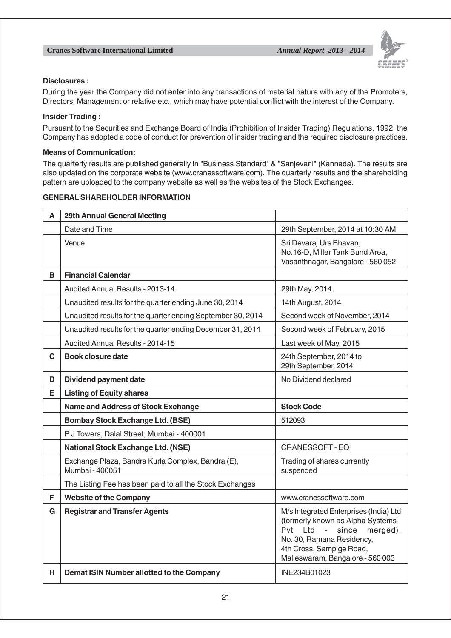

## **Disclosures :**

During the year the Company did not enter into any transactions of material nature with any of the Promoters, Directors, Management or relative etc., which may have potential conflict with the interest of the Company.

### **Insider Trading :**

Pursuant to the Securities and Exchange Board of India (Prohibition of Insider Trading) Regulations, 1992, the Company has adopted a code of conduct for prevention of insider trading and the required disclosure practices.

## **Means of Communication:**

The quarterly results are published generally in "Business Standard" & "Sanjevani" (Kannada). The results are also updated on the corporate website (www.cranessoftware.com). The quarterly results and the shareholding pattern are uploaded to the company website as well as the websites of the Stock Exchanges.

## **A 29th Annual General Meeting** Date and Time 2014 at 10:30 AM Venue  $\vert$  Sri Devaraj Urs Bhavan, No.16-D, Miller Tank Bund Area, Vasanthnagar, Bangalore - 560 052 **B Financial Calendar** Audited Annual Results - 2013-14 29th May, 2014 Unaudited results for the quarter ending June 30, 2014 14th August, 2014 Unaudited results for the quarter ending September 30, 2014 | Second week of November, 2014 Unaudited results for the quarter ending December 31, 2014  $\parallel$  Second week of February, 2015 Audited Annual Results - 2014-15 **Last week of May, 2015 C** Book closure date **2014 C** 24th September, 2014 to 29th September, 2014 **D** Dividend payment date **No Dividend declared E Listing of Equity shares Name and Address of Stock Exchange | Stock Code Bombay Stock Exchange Ltd. (BSE)** 512093 P J Towers, Dalal Street, Mumbai - 400001 **National Stock Exchange Ltd. (NSE)** CRANESSOFT - EQ Exchange Plaza, Bandra Kurla Complex, Bandra (E), Trading of shares currently<br>Mumbai - 400051 Mumbai - 400051 The Listing Fee has been paid to all the Stock Exchanges **F** Website of the Company Website of the Company www.cranessoftware.com **G** Registrar and Transfer Agents Metal Misles and Mislantegrated Enterprises (India) Ltd (formerly known as Alpha Systems Pvt Ltd - since merged), No. 30, Ramana Residency, 4th Cross, Sampige Road, Malleswaram, Bangalore - 560 003 **H** Demat ISIN Number allotted to the Company **INE234B01023**

## **GENERAL SHAREHOLDER INFORMATION**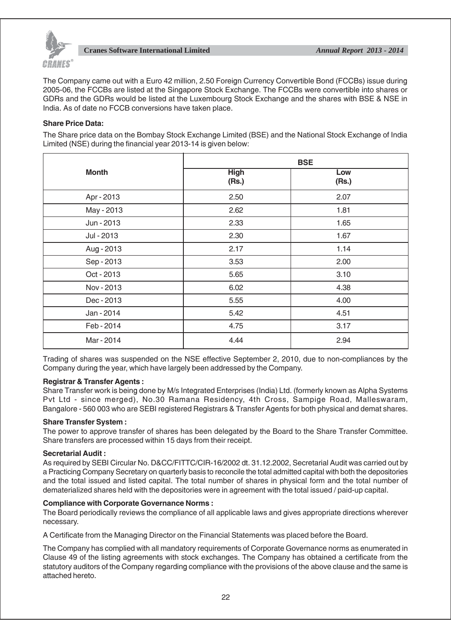

The Company came out with a Euro 42 million, 2.50 Foreign Currency Convertible Bond (FCCBs) issue during 2005-06, the FCCBs are listed at the Singapore Stock Exchange. The FCCBs were convertible into shares or GDRs and the GDRs would be listed at the Luxembourg Stock Exchange and the shares with BSE & NSE in India. As of date no FCCB conversions have taken place.

## **Share Price Data:**

The Share price data on the Bombay Stock Exchange Limited (BSE) and the National Stock Exchange of India Limited (NSE) during the financial year 2013-14 is given below:

|              | <b>BSE</b>           |              |  |  |
|--------------|----------------------|--------------|--|--|
| <b>Month</b> | <b>High</b><br>(Rs.) | Low<br>(Rs.) |  |  |
| Apr - 2013   | 2.50                 | 2.07         |  |  |
| May - 2013   | 2.62                 | 1.81         |  |  |
| Jun - 2013   | 2.33                 | 1.65         |  |  |
| Jul - 2013   | 2.30                 | 1.67         |  |  |
| Aug - 2013   | 2.17                 | 1.14         |  |  |
| Sep - 2013   | 3.53                 | 2.00         |  |  |
| Oct - 2013   | 5.65                 | 3.10         |  |  |
| Nov - 2013   | 6.02                 | 4.38         |  |  |
| Dec - 2013   | 5.55                 | 4.00         |  |  |
| Jan - 2014   | 5.42                 | 4.51         |  |  |
| Feb - 2014   | 4.75                 | 3.17         |  |  |
| Mar - 2014   | 4.44                 | 2.94         |  |  |

Trading of shares was suspended on the NSE effective September 2, 2010, due to non-compliances by the Company during the year, which have largely been addressed by the Company.

## **Registrar & Transfer Agents :**

Share Transfer work is being done by M/s Integrated Enterprises (India) Ltd. (formerly known as Alpha Systems Pvt Ltd - since merged), No.30 Ramana Residency, 4th Cross, Sampige Road, Malleswaram, Bangalore - 560 003 who are SEBI registered Registrars & Transfer Agents for both physical and demat shares.

## **Share Transfer System :**

The power to approve transfer of shares has been delegated by the Board to the Share Transfer Committee. Share transfers are processed within 15 days from their receipt.

## **Secretarial Audit :**

As required by SEBI Circular No. D&CC/FITTC/CIR-16/2002 dt. 31.12.2002, Secretarial Audit was carried out by a Practicing Company Secretary on quarterly basis to reconcile the total admitted capital with both the depositories and the total issued and listed capital. The total number of shares in physical form and the total number of dematerialized shares held with the depositories were in agreement with the total issued / paid-up capital.

## **Compliance with Corporate Governance Norms :**

The Board periodically reviews the compliance of all applicable laws and gives appropriate directions wherever necessary.

A Certificate from the Managing Director on the Financial Statements was placed before the Board.

The Company has complied with all mandatory requirements of Corporate Governance norms as enumerated in Clause 49 of the listing agreements with stock exchanges. The Company has obtained a certificate from the statutory auditors of the Company regarding compliance with the provisions of the above clause and the same is attached hereto.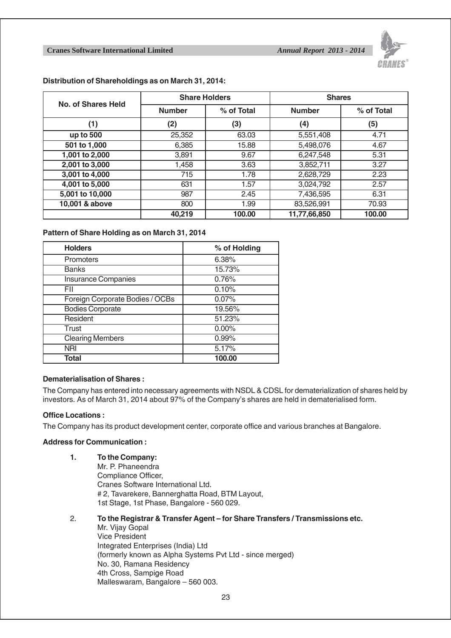

#### **Distribution of Shareholdings as on March 31, 2014:**

| No. of Shares Held | <b>Share Holders</b> |            | <b>Shares</b> |            |
|--------------------|----------------------|------------|---------------|------------|
|                    | <b>Number</b>        | % of Total | <b>Number</b> | % of Total |
| (1)                | (2)                  | (3)        | (4)           | (5)        |
| up to 500          | 25,352               | 63.03      | 5,551,408     | 4.71       |
| 501 to 1,000       | 6,385                | 15.88      | 5,498,076     | 4.67       |
| 1,001 to 2,000     | 3,891                | 9.67       | 6,247,548     | 5.31       |
| 2,001 to 3,000     | 1,458                | 3.63       | 3,852,711     | 3.27       |
| 3,001 to 4,000     | 715                  | 1.78       | 2,628,729     | 2.23       |
| 4,001 to 5,000     | 631                  | 1.57       | 3,024,792     | 2.57       |
| 5,001 to 10,000    | 987                  | 2.45       | 7,436,595     | 6.31       |
| 10,001 & above     | 800                  | 1.99       | 83,526,991    | 70.93      |
|                    | 40,219               | 100.00     | 11,77,66,850  | 100.00     |

## **Pattern of Share Holding as on March 31, 2014**

| <b>Holders</b>                  | % of Holding |
|---------------------------------|--------------|
| Promoters                       | 6.38%        |
| <b>Banks</b>                    | 15.73%       |
| <b>Insurance Companies</b>      | 0.76%        |
| FII                             | 0.10%        |
| Foreign Corporate Bodies / OCBs | 0.07%        |
| <b>Bodies Corporate</b>         | 19.56%       |
| Resident                        | 51.23%       |
| Trust                           | $0.00\%$     |
| <b>Clearing Members</b>         | 0.99%        |
| <b>NRI</b>                      | 5.17%        |
| Total                           | 100.00       |

## **Dematerialisation of Shares :**

The Company has entered into necessary agreements with NSDL & CDSL for dematerialization of shares held by investors. As of March 31, 2014 about 97% of the Company's shares are held in dematerialised form.

#### **Office Locations :**

The Company has its product development center, corporate office and various branches at Bangalore.

#### **Address for Communication :**

- **1. To the Company:**
	- Mr. P. Phaneendra Compliance Officer, Cranes Software International Ltd. # 2, Tavarekere, Bannerghatta Road, BTM Layout, 1st Stage, 1st Phase, Bangalore - 560 029.
- 2. **To the Registrar & Transfer Agent for Share Transfers / Transmissions etc.** Mr. Vijay Gopal Vice President Integrated Enterprises (India) Ltd (formerly known as Alpha Systems Pvt Ltd - since merged) No. 30, Ramana Residency 4th Cross, Sampige Road Malleswaram, Bangalore – 560 003.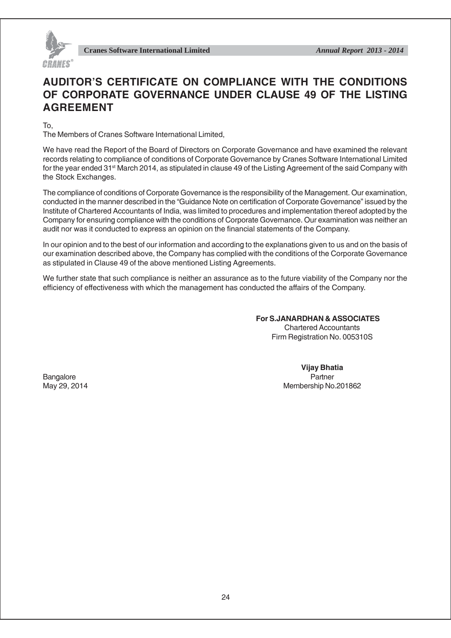

# **AUDITOR'S CERTIFICATE ON COMPLIANCE WITH THE CONDITIONS OF CORPORATE GOVERNANCE UNDER CLAUSE 49 OF THE LISTING AGREEMENT**

To,

The Members of Cranes Software International Limited,

We have read the Report of the Board of Directors on Corporate Governance and have examined the relevant records relating to compliance of conditions of Corporate Governance by Cranes Software International Limited for the year ended 31<sup>st</sup> March 2014, as stipulated in clause 49 of the Listing Agreement of the said Company with the Stock Exchanges.

The compliance of conditions of Corporate Governance is the responsibility of the Management. Our examination, conducted in the manner described in the "Guidance Note on certification of Corporate Governance" issued by the Institute of Chartered Accountants of India, was limited to procedures and implementation thereof adopted by the Company for ensuring compliance with the conditions of Corporate Governance. Our examination was neither an audit nor was it conducted to express an opinion on the financial statements of the Company.

In our opinion and to the best of our information and according to the explanations given to us and on the basis of our examination described above, the Company has complied with the conditions of the Corporate Governance as stipulated in Clause 49 of the above mentioned Listing Agreements.

We further state that such compliance is neither an assurance as to the future viability of the Company nor the efficiency of effectiveness with which the management has conducted the affairs of the Company.

> **For S.JANARDHAN & ASSOCIATES** Chartered Accountants Firm Registration No. 005310S

**Vijay Bhatia** Bangalore **Partner** Partner Partner Partner Partner Partner Partner Partner Partner Partner Partner Partner Partner May 29, 2014 Membership No.201862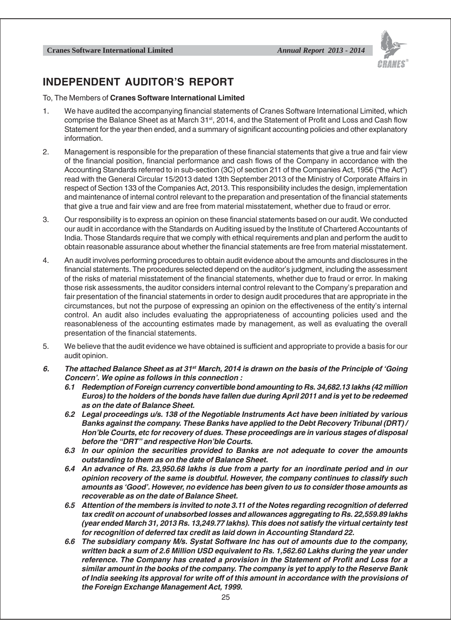

# **INDEPENDENT AUDITOR'S REPORT**

To, The Members of **Cranes Software International Limited**

- 1. We have audited the accompanying financial statements of Cranes Software International Limited, which comprise the Balance Sheet as at March 31<sup>st</sup>, 2014, and the Statement of Profit and Loss and Cash flow Statement for the year then ended, and a summary of significant accounting policies and other explanatory information.
- 2. Management is responsible for the preparation of these financial statements that give a true and fair view of the financial position, financial performance and cash flows of the Company in accordance with the Accounting Standards referred to in sub-section (3C) of section 211 of the Companies Act, 1956 ("the Act") read with the General Circular 15/2013 dated 13th September 2013 of the Ministry of Corporate Affairs in respect of Section 133 of the Companies Act, 2013. This responsibility includes the design, implementation and maintenance of internal control relevant to the preparation and presentation of the financial statements that give a true and fair view and are free from material misstatement, whether due to fraud or error.
- 3. Our responsibility is to express an opinion on these financial statements based on our audit. We conducted our audit in accordance with the Standards on Auditing issued by the Institute of Chartered Accountants of India. Those Standards require that we comply with ethical requirements and plan and perform the audit to obtain reasonable assurance about whether the financial statements are free from material misstatement.
- 4. An audit involves performing procedures to obtain audit evidence about the amounts and disclosures in the financial statements. The procedures selected depend on the auditor's judgment, including the assessment of the risks of material misstatement of the financial statements, whether due to fraud or error. In making those risk assessments, the auditor considers internal control relevant to the Company's preparation and fair presentation of the financial statements in order to design audit procedures that are appropriate in the circumstances, but not the purpose of expressing an opinion on the effectiveness of the entity's internal control. An audit also includes evaluating the appropriateness of accounting policies used and the reasonableness of the accounting estimates made by management, as well as evaluating the overall presentation of the financial statements.
- 5. We believe that the audit evidence we have obtained is sufficient and appropriate to provide a basis for our audit opinion.
- *6. The attached Balance Sheet as at 31st March, 2014 is drawn on the basis of the Principle of 'Going Concern'. We opine as follows in this connection :*
	- *6.1 Redemption of Foreign currency convertible bond amounting to Rs. 34,682.13 lakhs (42 million Euros) to the holders of the bonds have fallen due during April 2011 and is yet to be redeemed as on the date of Balance Sheet.*
	- *6.2 Legal proceedings u/s. 138 of the Negotiable Instruments Act have been initiated by various Banks against the company. These Banks have applied to the Debt Recovery Tribunal (DRT) / Hon'ble Courts, etc for recovery of dues. These proceedings are in various stages of disposal before the "DRT" and respective Hon'ble Courts.*
	- *6.3 In our opinion the securities provided to Banks are not adequate to cover the amounts outstanding to them as on the date of Balance Sheet.*
	- *6.4 An advance of Rs. 23,950.68 lakhs is due from a party for an inordinate period and in our opinion recovery of the same is doubtful. However, the company continues to classify such amounts as 'Good'. However, no evidence has been given to us to consider those amounts as recoverable as on the date of Balance Sheet.*
	- *6.5 Attention of the members is invited to note 3.11 of the Notes regarding recognition of deferred tax credit on account of unabsorbed losses and allowances aggregating to Rs. 22,559.89 lakhs (year ended March 31, 2013 Rs. 13,249.77 lakhs). This does not satisfy the virtual certainty test for recognition of deferred tax credit as laid down in Accounting Standard 22.*
	- *6.6 The subsidiary company M/s. Systat Software Inc has out of amounts due to the company, written back a sum of 2.6 Million USD equivalent to Rs. 1,562.60 Lakhs during the year under reference. The Company has created a provision in the Statement of Profit and Loss for a similar amount in the books of the company. The company is yet to apply to the Reserve Bank of India seeking its approval for write off of this amount in accordance with the provisions of the Foreign Exchange Management Act, 1999.*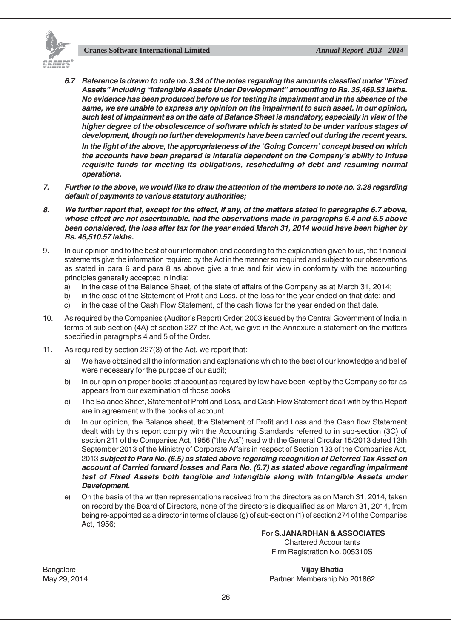

*6.7 Reference is drawn to note no. 3.34 of the notes regarding the amounts classfied under "Fixed Assets" including "Intangible Assets Under Development" amounting to Rs. 35,469.53 lakhs. No evidence has been produced before us for testing its impairment and in the absence of the same, we are unable to express any opinion on the impairment to such asset. In our opinion, such test of impairment as on the date of Balance Sheet is mandatory, especially in view of the higher degree of the obsolescence of software which is stated to be under various stages of development, though no further developments have been carried out during the recent years.*

*In the light of the above, the appropriateness of the 'Going Concern' concept based on which the accounts have been prepared is interalia dependent on the Company's ability to infuse requisite funds for meeting its obligations, rescheduling of debt and resuming normal operations.*

- *7. Further to the above, we would like to draw the attention of the members to note no. 3.28 regarding default of payments to various statutory authorities;*
- *8. We further report that, except for the effect, if any, of the matters stated in paragraphs 6.7 above, whose effect are not ascertainable, had the observations made in paragraphs 6.4 and 6.5 above been considered, the loss after tax for the year ended March 31, 2014 would have been higher by Rs. 46,510.57 lakhs.*
- 9. In our opinion and to the best of our information and according to the explanation given to us, the financial statements give the information required by the Act in the manner so required and subject to our observations as stated in para 6 and para 8 as above give a true and fair view in conformity with the accounting principles generally accepted in India:<br>a) in the case of the Balance Sheet
	- a) in the case of the Balance Sheet, of the state of affairs of the Company as at March 31, 2014;<br>b) in the case of the Statement of Profit and Loss, of the loss for the year ended on that date: and
	- b) in the case of the Statement of Profit and Loss, of the loss for the year ended on that date; and c) in the case of the Cash Flow Statement, of the cash flows for the year ended on that date.
	- in the case of the Cash Flow Statement, of the cash flows for the year ended on that date.
- 10. As required by the Companies (Auditor's Report) Order, 2003 issued by the Central Government of India in terms of sub-section (4A) of section 227 of the Act, we give in the Annexure a statement on the matters specified in paragraphs 4 and 5 of the Order.
- 11. As required by section 227(3) of the Act, we report that:
	- a) We have obtained all the information and explanations which to the best of our knowledge and belief were necessary for the purpose of our audit;
	- b) In our opinion proper books of account as required by law have been kept by the Company so far as appears from our examination of those books
	- c) The Balance Sheet, Statement of Profit and Loss, and Cash Flow Statement dealt with by this Report are in agreement with the books of account.
	- d) In our opinion, the Balance sheet, the Statement of Profit and Loss and the Cash flow Statement dealt with by this report comply with the Accounting Standards referred to in sub-section (3C) of section 211 of the Companies Act, 1956 ("the Act") read with the General Circular 15/2013 dated 13th September 2013 of the Ministry of Corporate Affairs in respect of Section 133 of the Companies Act, 2013 *subject to Para No. (6.5) as stated above regarding recognition of Deferred Tax Asset on account of Carried forward losses and Para No. (6.7) as stated above regarding impairment test of Fixed Assets both tangible and intangible along with Intangible Assets under Development.*
	- e) On the basis of the written representations received from the directors as on March 31, 2014, taken on record by the Board of Directors, none of the directors is disqualified as on March 31, 2014, from being re-appointed as a director in terms of clause (g) of sub-section (1) of section 274 of the Companies Act, 1956;

**For S.JANARDHAN & ASSOCIATES** Chartered Accountants

Firm Registration No. 005310S

Bangalore **Vijay Bhatia**<br>May 29, 2014 **May 29, 2014** Partner, Membership N Partner, Membership No.201862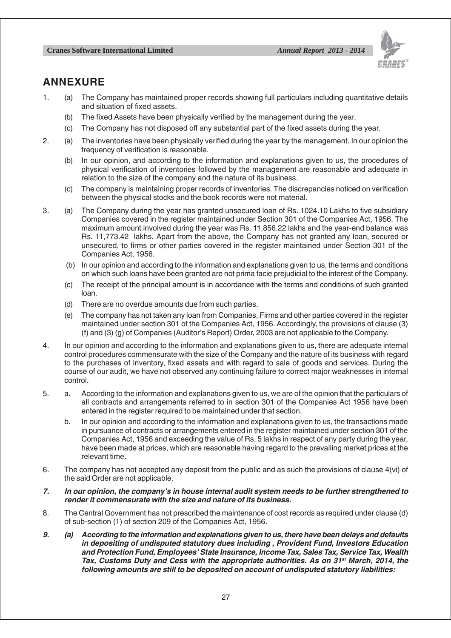

## **ANNEXURE**

- 1. (a) The Company has maintained proper records showing full particulars including quantitative details and situation of fixed assets.
	- (b) The fixed Assets have been physically verified by the management during the year.
	- (c) The Company has not disposed off any substantial part of the fixed assets during the year.
- 2. (a) The inventories have been physically verified during the year by the management. In our opinion the frequency of verification is reasonable.
	- (b) In our opinion, and according to the information and explanations given to us, the procedures of physical verification of inventories followed by the management are reasonable and adequate in relation to the size of the company and the nature of its business.
	- (c) The company is maintaining proper records of inventories. The discrepancies noticed on verification between the physical stocks and the book records were not material.
- 3. (a) The Company during the year has granted unsecured loan of Rs. 1024.10 Lakhs to five subsidiary Companies covered in the register maintained under Section 301 of the Companies Act, 1956. The maximum amount involved during the year was Rs. 11,856.22 lakhs and the year-end balance was Rs. 11,773.42 lakhs. Apart from the above, the Company has not granted any loan, secured or unsecured, to firms or other parties covered in the register maintained under Section 301 of the Companies Act, 1956.
	- (b) In our opinion and according to the information and explanations given to us, the terms and conditions on which such loans have been granted are not prima facie prejudicial to the interest of the Company.
	- (c) The receipt of the principal amount is in accordance with the terms and conditions of such granted loan.
	- (d) There are no overdue amounts due from such parties.
	- (e) The company has not taken any loan from Companies, Firms and other parties covered in the register maintained under section 301 of the Companies Act, 1956. Accordingly, the provisions of clause (3) (f) and (3) (g) of Companies (Auditor's Report) Order, 2003 are not applicable to the Company.
- 4. In our opinion and according to the information and explanations given to us, there are adequate internal control procedures commensurate with the size of the Company and the nature of its business with regard to the purchases of inventory, fixed assets and with regard to sale of goods and services. During the course of our audit, we have not observed any continuing failure to correct major weaknesses in internal control.
- 5. a. According to the information and explanations given to us, we are of the opinion that the particulars of all contracts and arrangements referred to in section 301 of the Companies Act 1956 have been entered in the register required to be maintained under that section.
	- b. In our opinion and according to the information and explanations given to us, the transactions made in pursuance of contracts or arrangements entered in the register maintained under section 301 of the Companies Act, 1956 and exceeding the value of Rs. 5 lakhs in respect of any party during the year, have been made at prices, which are reasonable having regard to the prevailing market prices at the relevant time.
- 6. The company has not accepted any deposit from the public and as such the provisions of clause 4(vi) of the said Order are not applicable.
- *7. In our opinion, the company's in house internal audit system needs to be further strengthened to render it commensurate with the size and nature of its business.*
- 8. The Central Government has not prescribed the maintenance of cost records as required under clause (d) of sub-section (1) of section 209 of the Companies Act, 1956.
- *9. (a) According to the information and explanations given to us, there have been delays and defaults in depositing of undisputed statutory dues including , Provident Fund, Investors Education and Protection Fund, Employees' State Insurance, Income Tax, Sales Tax, Service Tax, Wealth Tax, Customs Duty and Cess with the appropriate authorities. As on 31st March, 2014, the following amounts are still to be deposited on account of undisputed statutory liabilities:*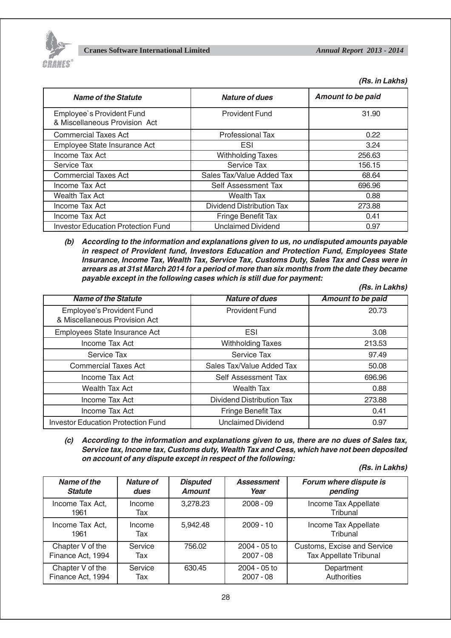

*(Rs. in Lakhs)*

| Name of the Statute                                        | <b>Nature of dues</b>     | <b>Amount to be paid</b> |
|------------------------------------------------------------|---------------------------|--------------------------|
| Employee's Provident Fund<br>& Miscellaneous Provision Act | <b>Provident Fund</b>     | 31.90                    |
| <b>Commercial Taxes Act</b>                                | <b>Professional Tax</b>   | 0.22                     |
| Employee State Insurance Act                               | ESI                       | 3.24                     |
| Income Tax Act                                             | <b>Withholding Taxes</b>  | 256.63                   |
| Service Tax                                                | Service Tax               | 156.15                   |
| <b>Commercial Taxes Act</b>                                | Sales Tax/Value Added Tax | 68.64                    |
| Income Tax Act                                             | Self Assessment Tax       | 696.96                   |
| <b>Wealth Tax Act</b>                                      | <b>Wealth Tax</b>         | 0.88                     |
| Income Tax Act                                             | Dividend Distribution Tax | 273.88                   |
| Income Tax Act                                             | <b>Fringe Benefit Tax</b> | 0.41                     |
| <b>Investor Education Protection Fund</b>                  | <b>Unclaimed Dividend</b> | 0.97                     |

*(b) According to the information and explanations given to us, no undisputed amounts payable in respect of Provident fund, Investors Education and Protection Fund, Employees State Insurance, Income Tax, Wealth Tax, Service Tax, Customs Duty, Sales Tax and Cess were in arrears as at 31st March 2014 for a period of more than six months from the date they became payable except in the following cases which is still due for payment:*

*(Rs. in Lakhs)*

| <b>Name of the Statute</b>                                        | <b>Nature of dues</b>     | <b>Amount to be paid</b> |
|-------------------------------------------------------------------|---------------------------|--------------------------|
| <b>Employee's Provident Fund</b><br>& Miscellaneous Provision Act | <b>Provident Fund</b>     | 20.73                    |
| Employees State Insurance Act                                     | ESI                       | 3.08                     |
| Income Tax Act                                                    | <b>Withholding Taxes</b>  | 213.53                   |
| Service Tax                                                       | Service Tax               | 97.49                    |
| <b>Commercial Taxes Act</b>                                       | Sales Tax/Value Added Tax | 50.08                    |
| Income Tax Act                                                    | Self Assessment Tax       | 696.96                   |
| Wealth Tax Act                                                    | Wealth Tax                | 0.88                     |
| Income Tax Act                                                    | Dividend Distribution Tax | 273.88                   |
| Income Tax Act                                                    | <b>Fringe Benefit Tax</b> | 0.41                     |
| <b>Investor Education Protection Fund</b>                         | <b>Unclaimed Dividend</b> | 0.97                     |

*(c) According to the information and explanations given to us, there are no dues of Sales tax, Service tax, Income tax, Customs duty, Wealth Tax and Cess, which have not been deposited on account of any dispute except in respect of the following:*

*(Rs. in Lakhs)*

| Name of the             | Nature of     | <b>Disputed</b> | <b>Assessment</b> | Forum where dispute is           |
|-------------------------|---------------|-----------------|-------------------|----------------------------------|
| <b>Statute</b>          | dues          | <b>Amount</b>   | Year              | pending                          |
| Income Tax Act,<br>1961 | Income<br>Tax | 3,278.23        | $2008 - 09$       | Income Tax Appellate<br>Tribunal |
| Income Tax Act,<br>1961 | Income<br>Tax | 5,942.48        | $2009 - 10$       | Income Tax Appellate<br>Tribunal |
| Chapter V of the        | Service       | 756.02          | $2004 - 05$ to    | Customs, Excise and Service      |
| Finance Act, 1994       | Tax           |                 | $2007 - 08$       | <b>Tax Appellate Tribunal</b>    |
| Chapter V of the        | Service       | 630.45          | 2004 - 05 to      | Department                       |
| Finance Act, 1994       | Tax           |                 | $2007 - 08$       | Authorities                      |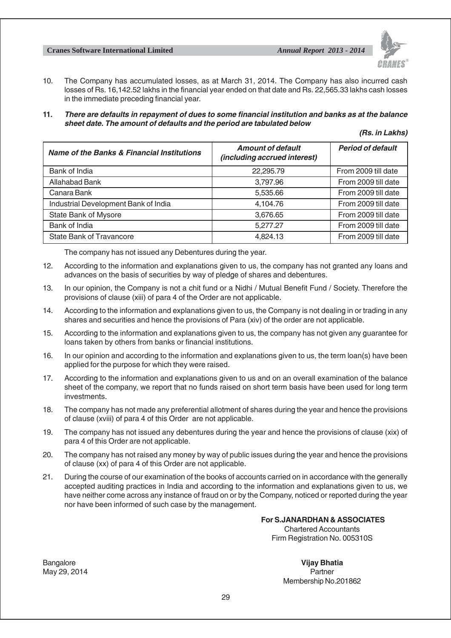

- 10. The Company has accumulated losses, as at March 31, 2014. The Company has also incurred cash losses of Rs. 16,142.52 lakhs in the financial year ended on that date and Rs. 22,565.33 lakhs cash losses in the immediate preceding financial year.
- **11.** *There are defaults in repayment of dues to some financial institution and banks as at the balance sheet date. The amount of defaults and the period are tabulated below*

*(Rs. in Lakhs)*

| <b>Name of the Banks &amp; Financial Institutions</b> | <b>Amount of default</b><br>(including accrued interest) | <b>Period of default</b> |  |
|-------------------------------------------------------|----------------------------------------------------------|--------------------------|--|
| Bank of India                                         | 22,295.79                                                | From 2009 till date      |  |
| Allahabad Bank                                        | 3,797.96                                                 | From 2009 till date      |  |
| Canara Bank                                           | 5,535.66                                                 | From 2009 till date      |  |
| Industrial Development Bank of India                  | 4,104.76                                                 | From 2009 till date      |  |
| State Bank of Mysore                                  | 3,676.65                                                 | From 2009 till date      |  |
| Bank of India                                         | 5,277.27                                                 | From 2009 till date      |  |
| <b>State Bank of Travancore</b>                       | 4,824.13                                                 | From 2009 till date      |  |

The company has not issued any Debentures during the year.

- 12. According to the information and explanations given to us, the company has not granted any loans and advances on the basis of securities by way of pledge of shares and debentures.
- 13. In our opinion, the Company is not a chit fund or a Nidhi / Mutual Benefit Fund / Society. Therefore the provisions of clause (xiii) of para 4 of the Order are not applicable.
- 14. According to the information and explanations given to us, the Company is not dealing in or trading in any shares and securities and hence the provisions of Para (xiv) of the order are not applicable.
- 15. According to the information and explanations given to us, the company has not given any guarantee for loans taken by others from banks or financial institutions.
- 16. In our opinion and according to the information and explanations given to us, the term loan(s) have been applied for the purpose for which they were raised.
- 17. According to the information and explanations given to us and on an overall examination of the balance sheet of the company, we report that no funds raised on short term basis have been used for long term investments.
- 18. The company has not made any preferential allotment of shares during the year and hence the provisions of clause (xviii) of para 4 of this Order are not applicable.
- 19. The company has not issued any debentures during the year and hence the provisions of clause (xix) of para 4 of this Order are not applicable.
- 20. The company has not raised any money by way of public issues during the year and hence the provisions of clause (xx) of para 4 of this Order are not applicable.
- 21. During the course of our examination of the books of accounts carried on in accordance with the generally accepted auditing practices in India and according to the information and explanations given to us, we have neither come across any instance of fraud on or by the Company, noticed or reported during the year nor have been informed of such case by the management.

**For S.JANARDHAN & ASSOCIATES** Chartered Accountants Firm Registration No. 005310S

Bangalore **Vijay Bhatia** May 29, 2014 **Partner** Partner and *Partner* Partner and *Partner* Partner and *Partner* Partner Membership No.201862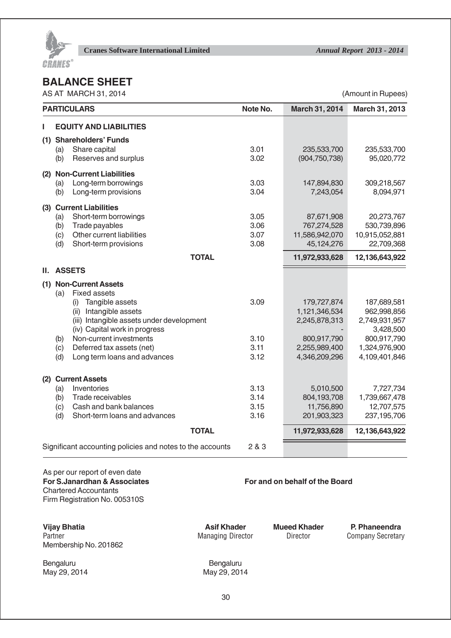

## **BALANCE SHEET**

AS AT MARCH 31, 2014 (Amount in Rupees)

| <b>PARTICULARS</b> |                               | Note No.                                                  | March 31, 2014 | March 31, 2013                 |                                |
|--------------------|-------------------------------|-----------------------------------------------------------|----------------|--------------------------------|--------------------------------|
|                    | <b>EQUITY AND LIABILITIES</b> |                                                           |                |                                |                                |
| (1)                |                               | <b>Shareholders' Funds</b>                                |                |                                |                                |
|                    | (a)                           | Share capital                                             | 3.01           | 235,533,700                    | 235,533,700                    |
|                    | (b)                           | Reserves and surplus                                      | 3.02           | (904, 750, 738)                | 95,020,772                     |
| (2)                |                               | <b>Non-Current Liabilities</b>                            |                |                                |                                |
|                    | (a)                           | Long-term borrowings                                      | 3.03           | 147,894,830                    | 309,218,567                    |
|                    | (b)                           | Long-term provisions                                      | 3.04           | 7,243,054                      | 8,094,971                      |
| (3)                |                               | <b>Current Liabilities</b>                                |                |                                |                                |
|                    | (a)                           | Short-term borrowings                                     | 3.05           | 87,671,908                     | 20,273,767                     |
|                    | (b)                           | Trade payables                                            | 3.06           | 767,274,528                    | 530,739,896                    |
|                    | (c)                           | Other current liabilities                                 | 3.07           | 11,586,942,070                 | 10,915,052,881                 |
|                    | (d)                           | Short-term provisions                                     | 3.08           | 45,124,276                     | 22,709,368                     |
|                    |                               | <b>TOTAL</b>                                              |                | 11,972,933,628                 | 12,136,643,922                 |
| Ш.                 |                               | <b>ASSETS</b>                                             |                |                                |                                |
| (1)                |                               | <b>Non-Current Assets</b>                                 |                |                                |                                |
|                    | (a)                           | <b>Fixed assets</b>                                       |                |                                |                                |
|                    |                               | Tangible assets<br>(i)                                    | 3.09           | 179,727,874                    | 187,689,581                    |
|                    |                               | (ii) Intangible assets                                    |                | 1,121,346,534                  | 962,998,856                    |
|                    |                               | (iii) Intangible assets under development                 |                | 2,245,878,313                  | 2,749,931,957                  |
|                    |                               | (iv) Capital work in progress                             |                |                                | 3,428,500                      |
|                    | (b)                           | Non-current investments                                   | 3.10<br>3.11   | 800,917,790                    | 800,917,790                    |
|                    | (c)<br>(d)                    | Deferred tax assets (net)<br>Long term loans and advances | 3.12           | 2,255,989,400<br>4,346,209,296 | 1,324,976,900<br>4,109,401,846 |
|                    |                               |                                                           |                |                                |                                |
| (2)                |                               | <b>Current Assets</b>                                     |                |                                |                                |
|                    | (a)                           | Inventories                                               | 3.13           | 5,010,500                      | 7,727,734                      |
|                    | (b)                           | Trade receivables                                         | 3.14           | 804,193,708                    | 1,739,667,478                  |
|                    | (c)                           | Cash and bank balances                                    | 3.15           | 11,756,890                     | 12,707,575                     |
|                    | (d)                           | Short-term loans and advances                             | 3.16           | 201,903,323                    | 237, 195, 706                  |
|                    |                               | <b>TOTAL</b>                                              |                | 11,972,933,628                 | 12,136,643,922                 |
|                    |                               | Significant accounting policies and notes to the accounts | 2 & 3          |                                |                                |

As per our report of even date **For S.Janardhan & Associates For and on behalf of the Board** Chartered Accountants Firm Registration No. 005310S

**Vijay Bhatia Asif Khader Mueed Khader P. Phaneendra**<br>
Partner **P. Phaneendra Partner Company Secretary Managing Director Director Company Secretary** Membership No. 201862

Bengaluru Bengaluru Bengaluru Bengaluru Bengaluru Bengaluru Bengaluru Bengaluru Bengaluru Bengaluru Bengaluru Bengaluru Bengaluru Bengaluru Bengaluru Bengaluru Bengaluru Bengaluru Bengaluru Bengaluru Bengaluru Bengaluru Be

Managing Director

May 29, 2014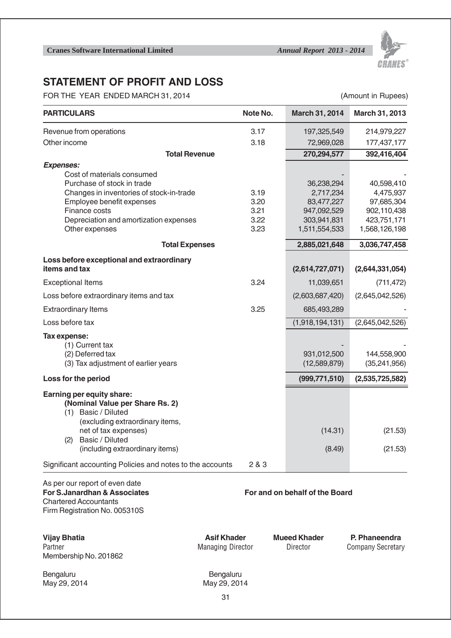

# **STATEMENT OF PROFIT AND LOSS**

FOR THE YEAR ENDED MARCH 31, 2014 (Amount in Rupees)

| <b>PARTICULARS</b>                                                                  | Note No. | March 31, 2014          | March 31, 2013          |
|-------------------------------------------------------------------------------------|----------|-------------------------|-------------------------|
| Revenue from operations                                                             | 3.17     | 197,325,549             | 214,979,227             |
| Other income                                                                        | 3.18     | 72,969,028              | 177,437,177             |
| <b>Total Revenue</b>                                                                |          | 270,294,577             | 392,416,404             |
| <b>Expenses:</b>                                                                    |          |                         |                         |
| Cost of materials consumed                                                          |          |                         |                         |
| Purchase of stock in trade<br>Changes in inventories of stock-in-trade              | 3.19     | 36,238,294<br>2,717,234 | 40,598,410<br>4,475,937 |
| Employee benefit expenses                                                           | 3.20     | 83,477,227              | 97,685,304              |
| Finance costs                                                                       | 3.21     | 947,092,529             | 902,110,438             |
| Depreciation and amortization expenses                                              | 3.22     | 303,941,831             | 423,751,171             |
| Other expenses                                                                      | 3.23     | 1,511,554,533           | 1,568,126,198           |
| <b>Total Expenses</b>                                                               |          | 2,885,021,648           | 3,036,747,458           |
| Loss before exceptional and extraordinary                                           |          |                         |                         |
| items and tax                                                                       |          | (2,614,727,071)         | (2,644,331,054)         |
| <b>Exceptional Items</b>                                                            | 3.24     | 11,039,651              | (711, 472)              |
| Loss before extraordinary items and tax                                             |          | (2,603,687,420)         | (2,645,042,526)         |
| <b>Extraordinary Items</b>                                                          | 3.25     | 685,493,289             |                         |
| Loss before tax                                                                     |          | (1,918,194,131)         | (2,645,042,526)         |
| Tax expense:                                                                        |          |                         |                         |
| (1) Current tax                                                                     |          |                         |                         |
| (2) Deferred tax                                                                    |          | 931,012,500             | 144,558,900             |
| (3) Tax adjustment of earlier years                                                 |          | (12,589,879)            | (35, 241, 956)          |
| Loss for the period                                                                 |          | (999, 771, 510)         | (2,535,725,582)         |
| Earning per equity share:<br>(Nominal Value per Share Rs. 2)<br>(1) Basic / Diluted |          |                         |                         |
| (excluding extraordinary items,<br>net of tax expenses)<br>Basic / Diluted<br>(2)   |          | (14.31)                 | (21.53)                 |
| (including extraordinary items)                                                     |          | (8.49)                  | (21.53)                 |
| Significant accounting Policies and notes to the accounts                           | 2 & 3    |                         |                         |

## As per our report of even date<br>For S.Janardhan & Associates Chartered Accountants Firm Registration No. 005310S

## For and on behalf of the Board

**Vijay Bhatia Asif Khader Mueed Khader P. Phaneendra**<br>
Partner **P. Phaneendra** Managing Director Director Company Secretary Membership No. 201862

May 29, 2014

Managing Director

Bengaluru Bengaluru Bengaluru Bengaluru Bengaluru Bengaluru Bengaluru Bengaluru Bengaluru Bengaluru Bengaluru Bengaluru Bengaluru Bengaluru Bengaluru Bengaluru Bengaluru Bengaluru Bengaluru Bengaluru Bengaluru Bengaluru Be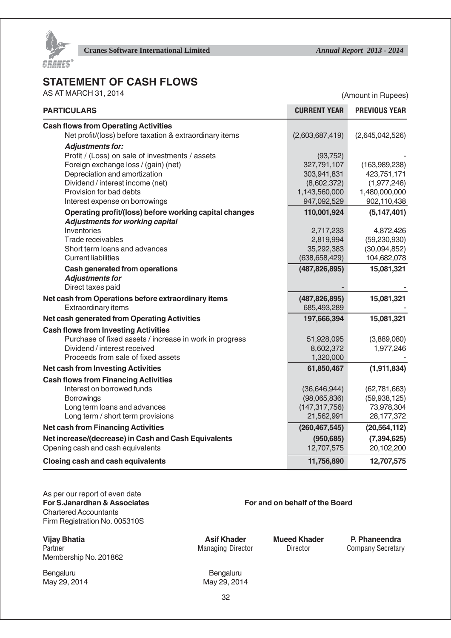

(Amount in Rupees)

# **STATEMENT OF CASH FLOWS**<br>AS AT MARCH 31, 2014

| <b>PARTICULARS</b>                                                                               | <b>CURRENT YEAR</b> | <b>PREVIOUS YEAR</b> |
|--------------------------------------------------------------------------------------------------|---------------------|----------------------|
| <b>Cash flows from Operating Activities</b>                                                      |                     |                      |
| Net profit/(loss) before taxation & extraordinary items                                          | (2,603,687,419)     | (2,645,042,526)      |
| <b>Adjustments for:</b>                                                                          |                     |                      |
| Profit / (Loss) on sale of investments / assets                                                  | (93, 752)           |                      |
| Foreign exchange loss / (gain) (net)                                                             | 327,791,107         | (163,989,238)        |
| Depreciation and amortization                                                                    | 303,941,831         | 423,751,171          |
| Dividend / interest income (net)                                                                 | (8,602,372)         | (1,977,246)          |
| Provision for bad debts                                                                          | 1,143,560,000       | 1,480,000,000        |
| Interest expense on borrowings                                                                   | 947,092,529         | 902,110,438          |
| Operating profit/(loss) before working capital changes<br><b>Adjustments for working capital</b> | 110,001,924         | (5, 147, 401)        |
| Inventories                                                                                      | 2,717,233           | 4,872,426            |
| Trade receivables                                                                                | 2,819,994           | (59, 230, 930)       |
| Short term loans and advances                                                                    | 35,292,383          | (30,094,852)         |
| <b>Current liabilities</b>                                                                       | (638, 658, 429)     | 104,682,078          |
| <b>Cash generated from operations</b>                                                            | (487, 826, 895)     | 15,081,321           |
| <b>Adjustments for</b>                                                                           |                     |                      |
| Direct taxes paid                                                                                |                     |                      |
| Net cash from Operations before extraordinary items                                              | (487, 826, 895)     | 15,081,321           |
| Extraordinary items                                                                              | 685,493,289         |                      |
| <b>Net cash generated from Operating Activities</b>                                              | 197,666,394         | 15,081,321           |
| <b>Cash flows from Investing Activities</b>                                                      |                     |                      |
| Purchase of fixed assets / increase in work in progress                                          | 51,928,095          | (3,889,080)          |
| Dividend / interest received                                                                     | 8,602,372           | 1,977,246            |
| Proceeds from sale of fixed assets                                                               | 1,320,000           |                      |
| <b>Net cash from Investing Activities</b>                                                        | 61,850,467          | (1,911,834)          |
| <b>Cash flows from Financing Activities</b>                                                      |                     |                      |
| Interest on borrowed funds                                                                       | (36, 646, 944)      | (62, 781, 663)       |
| Borrowings                                                                                       | (98,065,836)        | (59,938,125)         |
| Long term loans and advances                                                                     | (147, 317, 756)     | 73,978,304           |
| Long term / short term provisions                                                                | 21,562,991          | 28,177,372           |
| <b>Net cash from Financing Activities</b>                                                        | (260, 467, 545)     | (20, 564, 112)       |
| Net increase/(decrease) in Cash and Cash Equivalents                                             | (950, 685)          | (7, 394, 625)        |
| Opening cash and cash equivalents                                                                | 12,707,575          | 20,102,200           |
| <b>Closing cash and cash equivalents</b>                                                         | 11,756,890          | 12,707,575           |

As per our report of even date **For S.Janardhan & Associates For and on behalf of the Board** Chartered Accountants Firm Registration No. 005310S

**Vijay Bhatia Asif Khader Mueed Khader P. Phaneendra**<br>
Partner **P. Phaneendra** Managing Director Director Company Secretary Membership No. 201862

Bengaluru Bengaluru Bengaluru Bengaluru Bengaluru Bengaluru Bengaluru Bengaluru Bengaluru Bengaluru Bengaluru Bengaluru Bengaluru Bengaluru Bengaluru Bengaluru Bengaluru Bengaluru Bengaluru Bengaluru Bengaluru Bengaluru Be May 29, 2014

Managing Director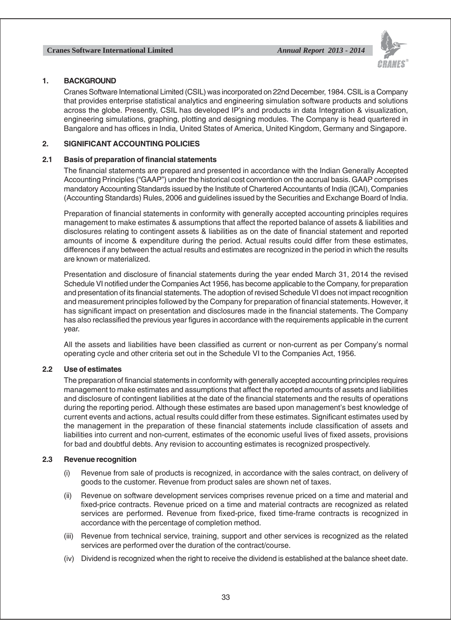

## **1. BACKGROUND**

Cranes Software International Limited (CSIL) was incorporated on 22nd December, 1984. CSIL is a Company that provides enterprise statistical analytics and engineering simulation software products and solutions across the globe. Presently, CSIL has developed IP's and products in data Integration & visualization, engineering simulations, graphing, plotting and designing modules. The Company is head quartered in Bangalore and has offices in India, United States of America, United Kingdom, Germany and Singapore.

## **2. SIGNIFICANT ACCOUNTING POLICIES**

### **2.1 Basis of preparation of financial statements**

The financial statements are prepared and presented in accordance with the Indian Generally Accepted Accounting Principles ("GAAP") under the historical cost convention on the accrual basis. GAAP comprises mandatory Accounting Standards issued by the Institute of Chartered Accountants of India (ICAI), Companies (Accounting Standards) Rules, 2006 and guidelines issued by the Securities and Exchange Board of India.

Preparation of financial statements in conformity with generally accepted accounting principles requires management to make estimates & assumptions that affect the reported balance of assets & liabilities and disclosures relating to contingent assets & liabilities as on the date of financial statement and reported amounts of income & expenditure during the period. Actual results could differ from these estimates, differences if any between the actual results and estimates are recognized in the period in which the results are known or materialized.

Presentation and disclosure of financial statements during the year ended March 31, 2014 the revised Schedule VI notified under the Companies Act 1956, has become applicable to the Company, for preparation and presentation of its financial statements. The adoption of revised Schedule VI does not impact recognition and measurement principles followed by the Company for preparation of financial statements. However, it has significant impact on presentation and disclosures made in the financial statements. The Company has also reclassified the previous year figures in accordance with the requirements applicable in the current year.

All the assets and liabilities have been classified as current or non-current as per Company's normal operating cycle and other criteria set out in the Schedule VI to the Companies Act, 1956.

## **2.2 Use of estimates**

The preparation of financial statements in conformity with generally accepted accounting principles requires management to make estimates and assumptions that affect the reported amounts of assets and liabilities and disclosure of contingent liabilities at the date of the financial statements and the results of operations during the reporting period. Although these estimates are based upon management's best knowledge of current events and actions, actual results could differ from these estimates. Significant estimates used by the management in the preparation of these financial statements include classification of assets and liabilities into current and non-current, estimates of the economic useful lives of fixed assets, provisions for bad and doubtful debts. Any revision to accounting estimates is recognized prospectively.

## **2.3 Revenue recognition**

- (i) Revenue from sale of products is recognized, in accordance with the sales contract, on delivery of goods to the customer. Revenue from product sales are shown net of taxes.
- (ii) Revenue on software development services comprises revenue priced on a time and material and fixed-price contracts. Revenue priced on a time and material contracts are recognized as related services are performed. Revenue from fixed-price, fixed time-frame contracts is recognized in accordance with the percentage of completion method.
- (iii) Revenue from technical service, training, support and other services is recognized as the related services are performed over the duration of the contract/course.
- (iv) Dividend is recognized when the right to receive the dividend is established at the balance sheet date.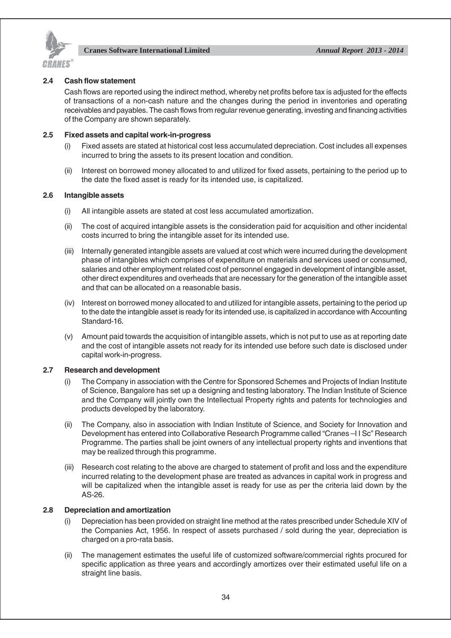

## **2.4 Cash flow statement**

Cash flows are reported using the indirect method, whereby net profits before tax is adjusted for the effects of transactions of a non-cash nature and the changes during the period in inventories and operating receivables and payables. The cash flows from regular revenue generating, investing and financing activities of the Company are shown separately.

## **2.5 Fixed assets and capital work-in-progress**

- Fixed assets are stated at historical cost less accumulated depreciation. Cost includes all expenses incurred to bring the assets to its present location and condition.
- (ii) Interest on borrowed money allocated to and utilized for fixed assets, pertaining to the period up to the date the fixed asset is ready for its intended use, is capitalized.

## **2.6 Intangible assets**

- (i) All intangible assets are stated at cost less accumulated amortization.
- (ii) The cost of acquired intangible assets is the consideration paid for acquisition and other incidental costs incurred to bring the intangible asset for its intended use.
- (iii) Internally generated intangible assets are valued at cost which were incurred during the development phase of intangibles which comprises of expenditure on materials and services used or consumed, salaries and other employment related cost of personnel engaged in development of intangible asset, other direct expenditures and overheads that are necessary for the generation of the intangible asset and that can be allocated on a reasonable basis.
- (iv) Interest on borrowed money allocated to and utilized for intangible assets, pertaining to the period up to the date the intangible asset is ready for its intended use, is capitalized in accordance with Accounting Standard-16.
- (v) Amount paid towards the acquisition of intangible assets, which is not put to use as at reporting date and the cost of intangible assets not ready for its intended use before such date is disclosed under capital work-in-progress.

## **2.7 Research and development**

- The Company in association with the Centre for Sponsored Schemes and Projects of Indian Institute of Science, Bangalore has set up a designing and testing laboratory. The Indian Institute of Science and the Company will jointly own the Intellectual Property rights and patents for technologies and products developed by the laboratory.
- (ii) The Company, also in association with Indian Institute of Science, and Society for Innovation and Development has entered into Collaborative Research Programme called "Cranes –I I Sc" Research Programme. The parties shall be joint owners of any intellectual property rights and inventions that may be realized through this programme.
- (iii) Research cost relating to the above are charged to statement of profit and loss and the expenditure incurred relating to the development phase are treated as advances in capital work in progress and will be capitalized when the intangible asset is ready for use as per the criteria laid down by the AS-26.

## **2.8 Depreciation and amortization**

- (i) Depreciation has been provided on straight line method at the rates prescribed under Schedule XIV of the Companies Act, 1956. In respect of assets purchased / sold during the year, depreciation is charged on a pro-rata basis.
- (ii) The management estimates the useful life of customized software/commercial rights procured for specific application as three years and accordingly amortizes over their estimated useful life on a straight line basis.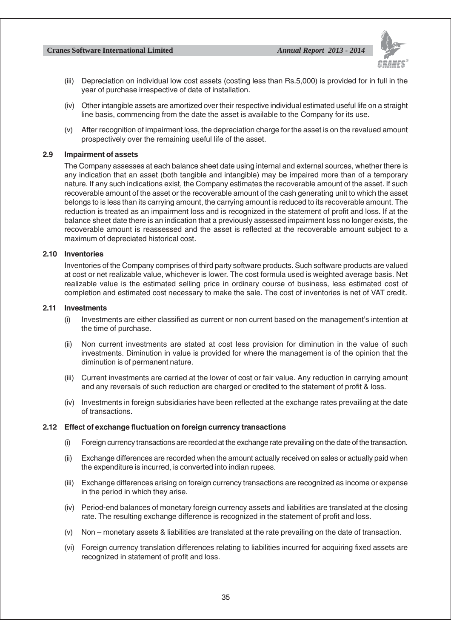

- (iii) Depreciation on individual low cost assets (costing less than Rs.5,000) is provided for in full in the year of purchase irrespective of date of installation.
- (iv) Other intangible assets are amortized over their respective individual estimated useful life on a straight line basis, commencing from the date the asset is available to the Company for its use.
- (v) After recognition of impairment loss, the depreciation charge for the asset is on the revalued amount prospectively over the remaining useful life of the asset.

## **2.9 Impairment of assets**

The Company assesses at each balance sheet date using internal and external sources, whether there is any indication that an asset (both tangible and intangible) may be impaired more than of a temporary nature. If any such indications exist, the Company estimates the recoverable amount of the asset. If such recoverable amount of the asset or the recoverable amount of the cash generating unit to which the asset belongs to is less than its carrying amount, the carrying amount is reduced to its recoverable amount. The reduction is treated as an impairment loss and is recognized in the statement of profit and loss. If at the balance sheet date there is an indication that a previously assessed impairment loss no longer exists, the recoverable amount is reassessed and the asset is reflected at the recoverable amount subject to a maximum of depreciated historical cost.

#### **2.10 Inventories**

Inventories of the Company comprises of third party software products. Such software products are valued at cost or net realizable value, whichever is lower. The cost formula used is weighted average basis. Net realizable value is the estimated selling price in ordinary course of business, less estimated cost of completion and estimated cost necessary to make the sale. The cost of inventories is net of VAT credit.

#### **2.11 Investments**

- (i) Investments are either classified as current or non current based on the management's intention at the time of purchase.
- (ii) Non current investments are stated at cost less provision for diminution in the value of such investments. Diminution in value is provided for where the management is of the opinion that the diminution is of permanent nature.
- (iii) Current investments are carried at the lower of cost or fair value. Any reduction in carrying amount and any reversals of such reduction are charged or credited to the statement of profit & loss.
- (iv) Investments in foreign subsidiaries have been reflected at the exchange rates prevailing at the date of transactions.

#### **2.12 Effect of exchange fluctuation on foreign currency transactions**

- (i) Foreign currency transactions are recorded at the exchange rate prevailing on the date of the transaction.
- (ii) Exchange differences are recorded when the amount actually received on sales or actually paid when the expenditure is incurred, is converted into indian rupees.
- (iii) Exchange differences arising on foreign currency transactions are recognized as income or expense in the period in which they arise.
- (iv) Period-end balances of monetary foreign currency assets and liabilities are translated at the closing rate. The resulting exchange difference is recognized in the statement of profit and loss.
- (v) Non monetary assets & liabilities are translated at the rate prevailing on the date of transaction.
- (vi) Foreign currency translation differences relating to liabilities incurred for acquiring fixed assets are recognized in statement of profit and loss.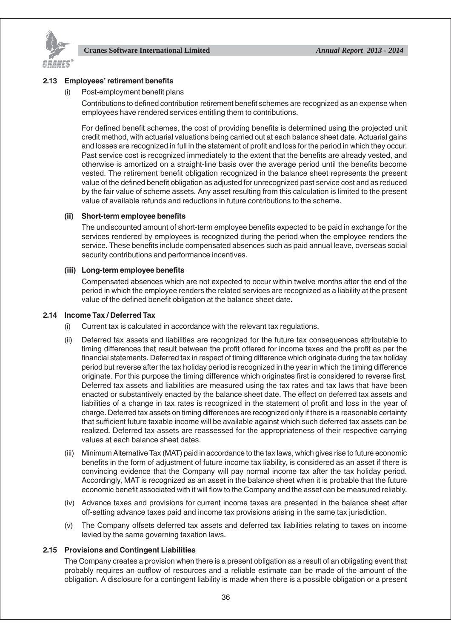

## **2.13 Employees' retirement benefits**

Post-employment benefit plans

Contributions to defined contribution retirement benefit schemes are recognized as an expense when employees have rendered services entitling them to contributions.

For defined benefit schemes, the cost of providing benefits is determined using the projected unit credit method, with actuarial valuations being carried out at each balance sheet date. Actuarial gains and losses are recognized in full in the statement of profit and loss for the period in which they occur. Past service cost is recognized immediately to the extent that the benefits are already vested, and otherwise is amortized on a straight-line basis over the average period until the benefits become vested. The retirement benefit obligation recognized in the balance sheet represents the present value of the defined benefit obligation as adjusted for unrecognized past service cost and as reduced by the fair value of scheme assets. Any asset resulting from this calculation is limited to the present value of available refunds and reductions in future contributions to the scheme.

## **(ii) Short-term employee benefits**

The undiscounted amount of short-term employee benefits expected to be paid in exchange for the services rendered by employees is recognized during the period when the employee renders the service. These benefits include compensated absences such as paid annual leave, overseas social security contributions and performance incentives.

## **(iii) Long-term employee benefits**

Compensated absences which are not expected to occur within twelve months after the end of the period in which the employee renders the related services are recognized as a liability at the present value of the defined benefit obligation at the balance sheet date.

## **2.14 Income Tax / Deferred Tax**

- (i) Current tax is calculated in accordance with the relevant tax regulations.
- (ii) Deferred tax assets and liabilities are recognized for the future tax consequences attributable to timing differences that result between the profit offered for income taxes and the profit as per the financial statements. Deferred tax in respect of timing difference which originate during the tax holiday period but reverse after the tax holiday period is recognized in the year in which the timing difference originate. For this purpose the timing difference which originates first is considered to reverse first. Deferred tax assets and liabilities are measured using the tax rates and tax laws that have been enacted or substantively enacted by the balance sheet date. The effect on deferred tax assets and liabilities of a change in tax rates is recognized in the statement of profit and loss in the year of charge. Deferred tax assets on timing differences are recognized only if there is a reasonable certainty that sufficient future taxable income will be available against which such deferred tax assets can be realized. Deferred tax assets are reassessed for the appropriateness of their respective carrying values at each balance sheet dates.
- (iii) Minimum Alternative Tax (MAT) paid in accordance to the tax laws, which gives rise to future economic benefits in the form of adjustment of future income tax liability, is considered as an asset if there is convincing evidence that the Company will pay normal income tax after the tax holiday period. Accordingly, MAT is recognized as an asset in the balance sheet when it is probable that the future economic benefit associated with it will flow to the Company and the asset can be measured reliably.
- (iv) Advance taxes and provisions for current income taxes are presented in the balance sheet after off-setting advance taxes paid and income tax provisions arising in the same tax jurisdiction.
- (v) The Company offsets deferred tax assets and deferred tax liabilities relating to taxes on income levied by the same governing taxation laws.

#### **2.15 Provisions and Contingent Liabilities**

The Company creates a provision when there is a present obligation as a result of an obligating event that probably requires an outflow of resources and a reliable estimate can be made of the amount of the obligation. A disclosure for a contingent liability is made when there is a possible obligation or a present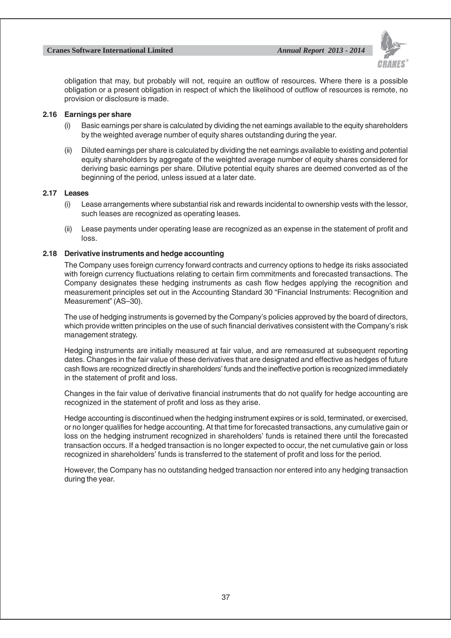

obligation that may, but probably will not, require an outflow of resources. Where there is a possible obligation or a present obligation in respect of which the likelihood of outflow of resources is remote, no provision or disclosure is made.

#### **2.16 Earnings per share**

- Basic earnings per share is calculated by dividing the net earnings available to the equity shareholders by the weighted average number of equity shares outstanding during the year.
- (ii) Diluted earnings per share is calculated by dividing the net earnings available to existing and potential equity shareholders by aggregate of the weighted average number of equity shares considered for deriving basic earnings per share. Dilutive potential equity shares are deemed converted as of the beginning of the period, unless issued at a later date.

#### **2.17 Leases**

- (i) Lease arrangements where substantial risk and rewards incidental to ownership vests with the lessor, such leases are recognized as operating leases.
- (ii) Lease payments under operating lease are recognized as an expense in the statement of profit and loss.

#### **2.18 Derivative instruments and hedge accounting**

The Company uses foreign currency forward contracts and currency options to hedge its risks associated with foreign currency fluctuations relating to certain firm commitments and forecasted transactions. The Company designates these hedging instruments as cash flow hedges applying the recognition and measurement principles set out in the Accounting Standard 30 "Financial Instruments: Recognition and Measurement" (AS–30).

The use of hedging instruments is governed by the Company's policies approved by the board of directors, which provide written principles on the use of such financial derivatives consistent with the Company's risk management strategy.

Hedging instruments are initially measured at fair value, and are remeasured at subsequent reporting dates. Changes in the fair value of these derivatives that are designated and effective as hedges of future cash flows are recognized directly in shareholders' funds and the ineffective portion is recognized immediately in the statement of profit and loss.

Changes in the fair value of derivative financial instruments that do not qualify for hedge accounting are recognized in the statement of profit and loss as they arise.

Hedge accounting is discontinued when the hedging instrument expires or is sold, terminated, or exercised, or no longer qualifies for hedge accounting. At that time for forecasted transactions, any cumulative gain or loss on the hedging instrument recognized in shareholders' funds is retained there until the forecasted transaction occurs. If a hedged transaction is no longer expected to occur, the net cumulative gain or loss recognized in shareholders' funds is transferred to the statement of profit and loss for the period.

However, the Company has no outstanding hedged transaction nor entered into any hedging transaction during the year.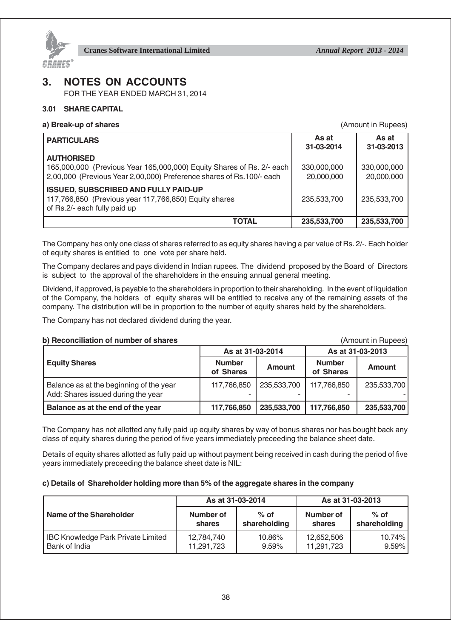

#### **3. NOTES ON ACCOUNTS**

FOR THE YEAR ENDED MARCH 31, 2014

#### **3.01 SHARE CAPITAL**

#### **a) Break-up of shares** (Amount in Rupees)

| <b>PARTICULARS</b>                                                                                                                                                 | As at<br>31-03-2014       | As at<br>31-03-2013       |
|--------------------------------------------------------------------------------------------------------------------------------------------------------------------|---------------------------|---------------------------|
| <b>AUTHORISED</b><br>165,000,000 (Previous Year 165,000,000) Equity Shares of Rs. 2/- each<br>2,00,000 (Previous Year 2,00,000) Preference shares of Rs.100/- each | 330,000,000<br>20,000,000 | 330,000,000<br>20,000,000 |
| <b>ISSUED, SUBSCRIBED AND FULLY PAID-UP</b><br>117,766,850 (Previous year 117,766,850) Equity shares<br>of Rs.2/- each fully paid up                               | 235,533,700               | 235,533,700               |
| TOTAL                                                                                                                                                              | 235,533,700               | 235,533,700               |

The Company has only one class of shares referred to as equity shares having a par value of Rs. 2/-. Each holder of equity shares is entitled to one vote per share held.

The Company declares and pays dividend in Indian rupees. The dividend proposed by the Board of Directors is subject to the approval of the shareholders in the ensuing annual general meeting.

Dividend, if approved, is payable to the shareholders in proportion to their shareholding. In the event of liquidation of the Company, the holders of equity shares will be entitled to receive any of the remaining assets of the company. The distribution will be in proportion to the number of equity shares held by the shareholders.

The Company has not declared dividend during the year.

#### **b) Reconciliation of number of shares** (Amount in Rupees)

|                                                                               | As at 31-03-2014           |             |                            | As at 31-03-2013 |
|-------------------------------------------------------------------------------|----------------------------|-------------|----------------------------|------------------|
| <b>Equity Shares</b>                                                          | <b>Number</b><br>of Shares | Amount      | <b>Number</b><br>of Shares | <b>Amount</b>    |
| Balance as at the beginning of the year<br>Add: Shares issued during the year | 117,766,850                | 235,533,700 | 117,766,850<br>-           | 235,533,700      |
| Balance as at the end of the year                                             | 117,766,850                | 235,533,700 | 117,766,850                | 235,533,700      |

The Company has not allotted any fully paid up equity shares by way of bonus shares nor has bought back any class of equity shares during the period of five years immediately preceeding the balance sheet date.

Details of equity shares allotted as fully paid up without payment being received in cash during the period of five years immediately preceeding the balance sheet date is NIL:

#### **c) Details of Shareholder holding more than 5% of the aggregate shares in the company**

|                                           | As at 31-03-2014 |              |            | As at 31-03-2013 |
|-------------------------------------------|------------------|--------------|------------|------------------|
| <b>Name of the Shareholder</b>            | Number of        | $%$ of       | Number of  | $%$ of           |
|                                           | shares           | shareholding | shares     | shareholding     |
| <b>IBC Knowledge Park Private Limited</b> | 12,784,740       | 10.86%       | 12,652,506 | 10.74%           |
| Bank of India                             | 11,291,723       | 9.59%        | 11,291,723 | 9.59%            |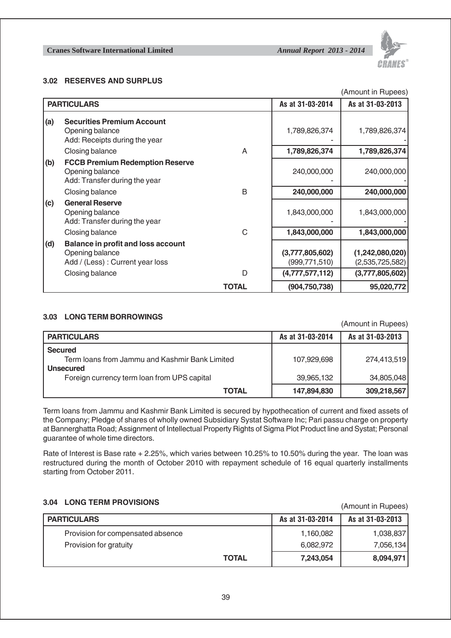

#### **3.02 RESERVES AND SURPLUS**

|     |                                                                                                  |       |                                    | (Amount in Rupees)                 |
|-----|--------------------------------------------------------------------------------------------------|-------|------------------------------------|------------------------------------|
|     | <b>PARTICULARS</b>                                                                               |       | As at 31-03-2014                   | As at 31-03-2013                   |
| (a) | <b>Securities Premium Account</b><br>Opening balance<br>Add: Receipts during the year            |       | 1,789,826,374                      | 1,789,826,374                      |
|     | Closing balance                                                                                  | A     | 1,789,826,374                      | 1,789,826,374                      |
| (b) | <b>FCCB Premium Redemption Reserve</b><br>Opening balance<br>Add: Transfer during the year       |       | 240,000,000                        | 240,000,000                        |
|     | Closing balance                                                                                  | B     | 240,000,000                        | 240,000,000                        |
| (c) | <b>General Reserve</b><br>Opening balance<br>Add: Transfer during the year                       |       | 1,843,000,000                      | 1,843,000,000                      |
|     | Closing balance                                                                                  | C     | 1,843,000,000                      | 1,843,000,000                      |
| (d) | <b>Balance in profit and loss account</b><br>Opening balance<br>Add / (Less) : Current year loss |       | (3,777,805,602)<br>(999, 771, 510) | (1,242,080,020)<br>(2,535,725,582) |
|     | Closing balance                                                                                  | D     | (4,777,577,112)                    | (3,777,805,602)                    |
|     |                                                                                                  | TOTAL | (904, 750, 738)                    | 95,020,772                         |

#### **3.03 LONG TERM BORROWINGS**

(Amount in Rupees)

| <b>PARTICULARS</b>                                                                                                                  | As at 31-03-2014          | As at 31-03-2013          |
|-------------------------------------------------------------------------------------------------------------------------------------|---------------------------|---------------------------|
| <b>Secured</b><br>Term loans from Jammu and Kashmir Bank Limited<br><b>Unsecured</b><br>Foreign currency term loan from UPS capital | 107,929,698<br>39,965,132 | 274,413,519<br>34,805,048 |
| <b>TOTAL</b>                                                                                                                        | 147,894,830               | 309,218,567               |

Term loans from Jammu and Kashmir Bank Limited is secured by hypothecation of current and fixed assets of the Company; Pledge of shares of wholly owned Subsidiary Systat Software Inc; Pari passu charge on property at Bannerghatta Road; Assignment of Intellectual Property Rights of Sigma Plot Product line and Systat; Personal guarantee of whole time directors.

Rate of Interest is Base rate + 2.25%, which varies between 10.25% to 10.50% during the year. The loan was restructured during the month of October 2010 with repayment schedule of 16 equal quarterly installments starting from October 2011.

#### **3.04 LONG TERM PROVISIONS**

| 3.04 LUNG I ERM PROVISIONS        |              |                  | (Amount in Rupees) |
|-----------------------------------|--------------|------------------|--------------------|
| <b>PARTICULARS</b>                |              | As at 31-03-2014 | As at 31-03-2013   |
| Provision for compensated absence |              | 1,160,082        | 1,038,837          |
| Provision for gratuity            |              | 6.082.972        | 7,056,134          |
|                                   | <b>TOTAL</b> | 7,243,054        | 8,094,971          |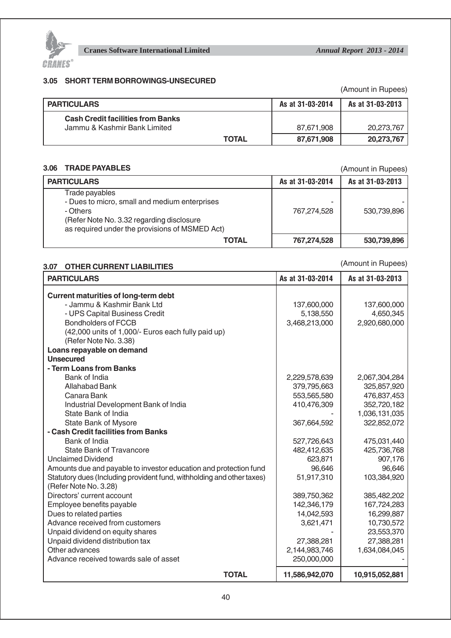

(Amount in Rupees)

(Amount in Rupees)

(Amount in Rupees)

#### **3.05 SHORT TERM BORROWINGS-UNSECURED**

| <b>PARTICULARS</b>                                                       |              | As at 31-03-2014 | As at 31-03-2013 |
|--------------------------------------------------------------------------|--------------|------------------|------------------|
| <b>Cash Credit facilities from Banks</b><br>Jammu & Kashmir Bank Limited |              | 87.671.908       | 20,273,767       |
|                                                                          | <b>TOTAL</b> | 87,671,908       | 20,273,767       |

#### **3.06 TRADE PAYABLES**

| <b>PARTICULARS</b>                             | As at 31-03-2014 | As at 31-03-2013 |
|------------------------------------------------|------------------|------------------|
| Trade payables                                 |                  |                  |
| - Dues to micro, small and medium enterprises  | -                |                  |
| - Others                                       | 767,274,528      | 530,739,896      |
| (Refer Note No. 3.32 regarding disclosure      |                  |                  |
| as required under the provisions of MSMED Act) |                  |                  |
| <b>TOTAL</b>                                   | 767,274,528      | 530,739,896      |

#### **3.07 OTHER CURRENT LIABILITIES**

#### **Current maturities of long-term debt** - Jammu & Kashmir Bank Ltd 137,600,000 137,600,000 137,600,000 137,600,000 137,600,000 - UPS Capital Business Credit 6.138,550 (2,920,680,000 FCCB 1900)<br>5,138,550 3,468,213,000 2,920,680,000 Bondholders of FCCB 3,468,213,000 (42,000 units of 1,000/- Euros each fully paid up) (Refer Note No. 3.38) **Loans repayable on demand Unsecured - Term Loans from Banks** 8,229,578,639 2,067,304,284<br>379,795,663 225,857,920 Allahabad Bank 379,795,663 325,857,920<br>Canara Bank 325,857,920 553,565.580 476.837.453 Canara Bank 553,565,580 476,837,453 Industrial Development Bank of India 10,476,309 352,720,182<br>State Bank of India 1,036,131,035 State Bank of India State Bank of Mysore 367,664,592 367,664,592 322,852,072 **- Cash Credit facilities from Banks** 527,726,643 475,031,440<br>482,412,635 425,736,768 State Bank of Travancore 6 (1990) 482,412,635 425,736,768 425,736,768 4 and the state Dividend 482,412,635 623,871 Unclaimed Dividend<br>Amounts due and payable to investor education and protection fund<br>96.646 96.646 Amounts due and payable to investor education and protection fund 96,646 96,646 96,646 96,646 96,646 96,646 96<br>103,384,920 51,917,310 103,384,920 Statutory dues (Including provident fund, withholding and other taxes) (Refer Note No. 3.28) Directors' current account 389,750,362 385,482,202<br>Employee benefits payable 142,346,179 167,724,283 Employee benefits payable 142,346,179<br>
Dues to related parties 14042,593 Dues to related parties 14,042,593 16,299,887 Advance received from customers and the state of the 3,621,471 10,730,572<br>
Unpaid dividend on equity shares 23,553,370 Unpaid dividend on equity shares and the Unpaid dividend on equity shares and the Unpaid dividend distribution tax and the 27,388,281 Unpaid dividend distribution tax 27,388,281<br>Other advances 2.144,983,746 144,983,746 | 1,634,084,045<br>250,000,000 | 250.000 | Advance received towards sale of asset **TOTAL 11,586,942,070 10,915,052,881 PARTICULARS As at 31-03-2014 As at 31-03-2013**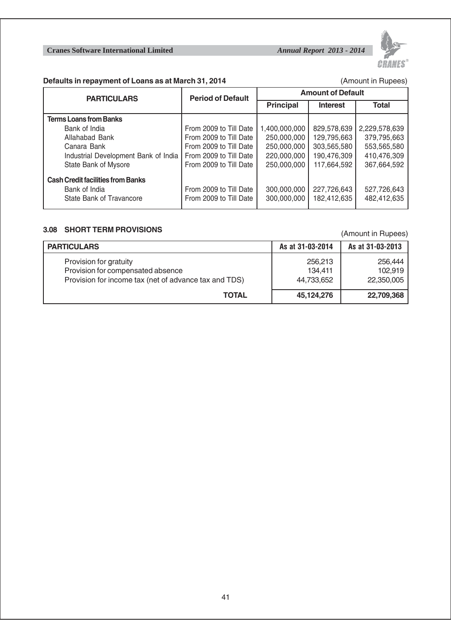

#### **Defaults in repayment of Loans as at March 31, 2014**

(Amount in Rupees)

| <b>PARTICULARS</b>                       | <b>Period of Default</b> |                  | <b>Amount of Default</b> |               |
|------------------------------------------|--------------------------|------------------|--------------------------|---------------|
|                                          |                          | <b>Principal</b> | <b>Interest</b>          | Total         |
| <b>Terms Loans from Banks</b>            |                          |                  |                          |               |
| Bank of India                            | From 2009 to Till Date   | 1,400,000,000    | 829,578,639              | 2,229,578,639 |
| Allahabad Bank                           | From 2009 to Till Date   | 250,000,000      | 129,795,663              | 379,795,663   |
| Canara Bank                              | From 2009 to Till Date   | 250,000,000      | 303,565,580              | 553,565,580   |
| Industrial Development Bank of India     | From 2009 to Till Date   | 220,000,000      | 190,476,309              | 410,476,309   |
| <b>State Bank of Mysore</b>              | From 2009 to Till Date   | 250,000,000      | 117,664,592              | 367,664,592   |
| <b>Cash Credit facilities from Banks</b> |                          |                  |                          |               |
| Bank of India                            | From 2009 to Till Date   | 300,000,000      | 227,726,643              | 527,726,643   |
| State Bank of Travancore                 | From 2009 to Till Date   | 300,000,000      | 182,412,635              | 482,412,635   |

#### **3.08 SHORT TERM PROVISIONS**

| <b>PARTICULARS</b>                                                                                                   | As at 31-03-2014                 | As at 31-03-2013                 |
|----------------------------------------------------------------------------------------------------------------------|----------------------------------|----------------------------------|
| Provision for gratuity<br>Provision for compensated absence<br>Provision for income tax (net of advance tax and TDS) | 256,213<br>134,411<br>44,733,652 | 256,444<br>102,919<br>22,350,005 |
| <b>TOTAL</b>                                                                                                         | 45,124,276                       | 22,709,368                       |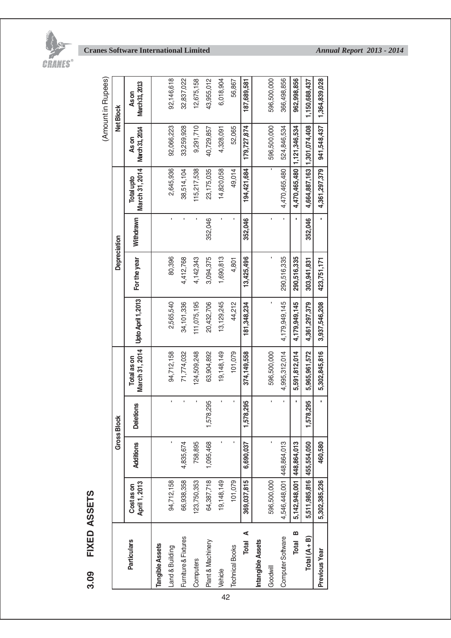

#### **Cranes Software International Limited** *Annual Report 2013 - 2014*

|                        |                             |           |                    |                               |                    |              |           |                                     |                         | (Amount in Rupees)            |
|------------------------|-----------------------------|-----------|--------------------|-------------------------------|--------------------|--------------|-----------|-------------------------------------|-------------------------|-------------------------------|
|                        |                             |           | <b>Gross Block</b> |                               |                    | Depreciation |           |                                     |                         | Net Block                     |
| <b>Particulars</b>     | April 1, 2013<br>Cost as on | Additions | <b>Deletions</b>   | March 31, 2014<br>Total as on | Upto April 1, 2013 | For the year | Withdrawn | March 31, 2014<br><b>Total upto</b> | March 31, 2014<br>As on | March 31, 2013<br><b>Ason</b> |
| Tangible Assets        |                             |           |                    |                               |                    |              |           |                                     |                         |                               |
| and & Building         | 94,712,158                  |           |                    | 94,712,158                    | 2,565,540          | 80,396       |           | 2,645,936                           | 92,066,223              | 92,146,618                    |
| Fumiture & Fixtures    | 66,938,358                  | 4,835,674 |                    | 71,774,032                    | 34,101,336         | 4,412,768    |           | 38,514,104                          | 33,259,928              | 32,837,022                    |
| Computers              | 123,750,353                 | 758,895   |                    | 124,509,248                   | 111,075,195        | 4,142,343    |           | 115,217,538                         | 9,291,710               | 12,675,158                    |
| Plant & Machinery      | 64,387,718                  | 1,095,468 | 1,578,295          | 63,904,892                    | 20,432,706         | 3,094,375    | 352,046   | 23,175,035                          | 40,729,857              | 43,955,012                    |
| Vehicle                | 19, 148, 149                |           |                    | 9,148,149                     | 13, 129, 245       | 1,690,813    |           | 14,820,058                          | 4,328,091               | 6,018,904                     |
| <b>Technical Books</b> | 101,079                     |           |                    | 101,079                       | 44,212             | 4,801        |           | 49,014                              | 52,065                  | 56,867                        |
| Total A                | 369,037,815                 | 6,690,037 | 8,295<br>1,57      | 374,149,558                   | 181,348,234        | 13,425,496   | 352,046   | 194,421,684                         | 179,727,874             | 187,689,581                   |
| Intangible Assets      |                             |           |                    |                               |                    |              |           |                                     |                         |                               |
| Goodwill               | 596,500,000                 |           |                    | 596,500,000                   |                    |              |           | ī                                   | 596,500,000             | 596,500,000                   |
| Computer Software      | 4,546,448,001 448,864,013   |           | f,                 | 4,995,312,014                 | 4, 179, 949, 145   | 290,516,335  | ï         | 4,470,465,480                       | 524,846,534             | 366,498,856                   |
| Total B                | 5,142,948,001 448,864,013   |           |                    | 5,591,812,014                 | 4,179,949,145      | 290,516,335  |           | 4,470,465,480 1,121,346,534         |                         | 962,998,856                   |
| Total $(A + B)$        | 5,511,985,816 455,554,050   |           | 8,295<br>1,57      | 5,965,961,572                 | 4,361,297,379      | 303,941,831  | 352,046   | 4,664,887,163  1,301,074,408        |                         | 1,150,688,437                 |
| Previous Year          | 5,302,385,236               | 460,580   |                    | 5,302,845,816                 | 3,937,546,208      | 423,751,171  |           | 4,361,297,379                       | 941,548,437             | 1,364,839,028                 |

# FIXED ASSETS **3.09 FIXED ASSETS** 3.09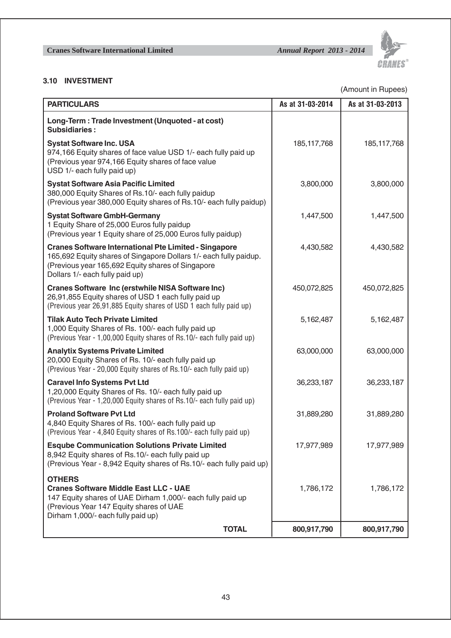

#### **3.10 INVESTMENT**

| <b>PARTICULARS</b>                                                                                                                                                                                                        | As at 31-03-2014 | As at 31-03-2013 |
|---------------------------------------------------------------------------------------------------------------------------------------------------------------------------------------------------------------------------|------------------|------------------|
| Long-Term: Trade Investment (Unquoted - at cost)<br><b>Subsidiaries:</b>                                                                                                                                                  |                  |                  |
| <b>Systat Software Inc. USA</b><br>974,166 Equity shares of face value USD 1/- each fully paid up<br>(Previous year 974,166 Equity shares of face value<br>USD 1/- each fully paid up)                                    | 185, 117, 768    | 185, 117, 768    |
| <b>Systat Software Asia Pacific Limited</b><br>380,000 Equity Shares of Rs.10/- each fully paidup<br>(Previous year 380,000 Equity shares of Rs.10/- each fully paidup)                                                   | 3,800,000        | 3,800,000        |
| <b>Systat Software GmbH-Germany</b><br>1 Equity Share of 25,000 Euros fully paidup<br>(Previous year 1 Equity share of 25,000 Euros fully paidup)                                                                         | 1,447,500        | 1,447,500        |
| <b>Cranes Software International Pte Limited - Singapore</b><br>165,692 Equity shares of Singapore Dollars 1/- each fully paidup.<br>(Previous year 165,692 Equity shares of Singapore<br>Dollars 1/- each fully paid up) | 4,430,582        | 4,430,582        |
| <b>Cranes Software Inc (erstwhile NISA Software Inc)</b><br>26,91,855 Equity shares of USD 1 each fully paid up<br>(Previous year 26,91,885 Equity shares of USD 1 each fully paid up)                                    | 450,072,825      | 450,072,825      |
| <b>Tilak Auto Tech Private Limited</b><br>1,000 Equity Shares of Rs. 100/- each fully paid up<br>(Previous Year - 1,00,000 Equity shares of Rs.10/- each fully paid up)                                                   | 5,162,487        | 5,162,487        |
| <b>Analytix Systems Private Limited</b><br>20,000 Equity Shares of Rs. 10/- each fully paid up<br>(Previous Year - 20,000 Equity shares of Rs.10/- each fully paid up)                                                    | 63,000,000       | 63,000,000       |
| <b>Caravel Info Systems Pvt Ltd</b><br>1,20,000 Equity Shares of Rs. 10/- each fully paid up<br>(Previous Year - 1,20,000 Equity shares of Rs.10/- each fully paid up)                                                    | 36,233,187       | 36,233,187       |
| <b>Proland Software Pvt Ltd</b><br>4,840 Equity Shares of Rs. 100/- each fully paid up<br>(Previous Year - 4,840 Equity shares of Rs.100/- each fully paid up)                                                            | 31,889,280       | 31,889,280       |
| <b>Esqube Communication Solutions Private Limited</b><br>8,942 Equity shares of Rs.10/- each fully paid up<br>(Previous Year - 8,942 Equity shares of Rs.10/- each fully paid up)                                         | 17,977,989       | 17,977,989       |
| <b>OTHERS</b><br><b>Cranes Software Middle East LLC - UAE</b><br>147 Equity shares of UAE Dirham 1,000/- each fully paid up<br>(Previous Year 147 Equity shares of UAE<br>Dirham 1,000/- each fully paid up)              | 1,786,172        | 1,786,172        |
| <b>TOTAL</b>                                                                                                                                                                                                              | 800,917,790      | 800,917,790      |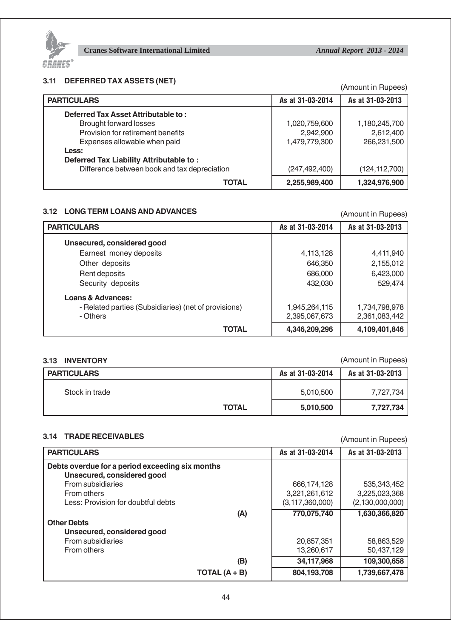

(Amount in Rupees)

(Amount in Rupees)

#### **3.11 DEFERRED TAX ASSETS (NET)**

| <b>PARTICULARS</b>                           | As at 31-03-2014 | As at 31-03-2013 |
|----------------------------------------------|------------------|------------------|
| Deferred Tax Asset Attributable to:          |                  |                  |
| Brought forward losses                       | 1,020,759,600    | 1,180,245,700    |
| Provision for retirement benefits            | 2,942,900        | 2,612,400        |
| Expenses allowable when paid                 | 1,479,779,300    | 266,231,500      |
| Less:                                        |                  |                  |
| Deferred Tax Liability Attributable to:      |                  |                  |
| Difference between book and tax depreciation | (247, 492, 400)  | (124, 112, 700)  |
| TOTAL                                        | 2,255,989,400    | 1,324,976,900    |

#### **3.12 LONG TERM LOANS AND ADVANCES**

| <b>PARTICULARS</b>                                   | As at 31-03-2014 | As at 31-03-2013 |
|------------------------------------------------------|------------------|------------------|
| Unsecured, considered good                           |                  |                  |
| Earnest money deposits                               | 4,113,128        | 4,411,940        |
| Other deposits                                       | 646,350          | 2,155,012        |
| Rent deposits                                        | 686,000          | 6,423,000        |
| Security deposits                                    | 432,030          | 529,474          |
| <b>Loans &amp; Advances:</b>                         |                  |                  |
| - Related parties (Subsidiaries) (net of provisions) | 1,945,264,115    | 1,734,798,978    |
| - Others                                             | 2,395,067,673    | 2,361,083,442    |
| <b>TOTAL</b>                                         | 4,346,209,296    | 4,109,401,846    |

#### **3.13 INVENTORY**

(Amount in Rupees)

| <b>PARTICULARS</b> |              | As at 31-03-2014 | As at 31-03-2013 |
|--------------------|--------------|------------------|------------------|
| Stock in trade     |              | 5,010,500        | 7,727,734        |
|                    | <b>TOTAL</b> | 5,010,500        | 7,727,734        |

#### **3.14 TRADE RECEIVABLES**

| <b>PARTICULARS</b>                                                            | As at 31-03-2014   | As at 31-03-2013   |
|-------------------------------------------------------------------------------|--------------------|--------------------|
| Debts overdue for a period exceeding six months<br>Unsecured, considered good |                    |                    |
| From subsidiaries                                                             | 666,174,128        | 535,343,452        |
| From others                                                                   | 3,221,261,612      | 3,225,023,368      |
| Less: Provision for doubtful debts                                            | (3, 117, 360, 000) | (2, 130, 000, 000) |
| (A)                                                                           | 770,075,740        | 1,630,366,820      |
| <b>Other Debts</b>                                                            |                    |                    |
| Unsecured, considered good                                                    |                    |                    |
| From subsidiaries                                                             | 20,857,351         | 58,863,529         |
| From others                                                                   | 13,260,617         | 50,437,129         |
| (B)                                                                           | 34,117,968         | 109,300,658        |
| TOTAL $(A + B)$                                                               | 804,193,708        | 1,739,667,478      |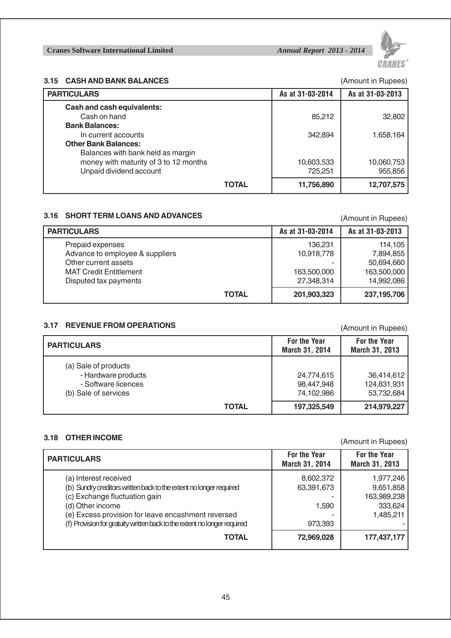

(Amount in Rupees)

#### **3.15 CASH AND BANK BALANCES**

| <b>PARTICULARS</b>                    |              | As at 31-03-2014 | As at 31-03-2013 |
|---------------------------------------|--------------|------------------|------------------|
| Cash and cash equivalents:            |              |                  |                  |
| Cash on hand                          |              | 85,212           | 32,802           |
| <b>Bank Balances:</b>                 |              |                  |                  |
| In current accounts                   |              | 342.894          | 1,658,164        |
| <b>Other Bank Balances:</b>           |              |                  |                  |
| Balances with bank held as margin     |              |                  |                  |
| money with maturity of 3 to 12 months |              | 10,603,533       | 10,060,753       |
| Unpaid dividend account               |              | 725,251          | 955,856          |
|                                       | <b>TOTAL</b> | 11,756,890       | 12,707,575       |

#### **3.16 SHORT TERM LOANS AND ADVANCES**

| <b>PARTICULARS</b>              | As at 31-03-2014 |             | As at 31-03-2013 |
|---------------------------------|------------------|-------------|------------------|
| Prepaid expenses                |                  | 136,231     | 114,105          |
| Advance to employee & suppliers |                  | 10,918,778  | 7,894,855        |
| Other current assets            |                  |             | 50,694,660       |
| <b>MAT Credit Entitlement</b>   |                  | 163,500,000 | 163,500,000      |
| Disputed tax payments           |                  | 27,348,314  | 14,992,086       |
| <b>TOTAL</b>                    |                  | 201,903,323 | 237, 195, 706    |

#### **3.17 REVENUE FROM OPERATIONS**

| <b>PARTICULARS</b>                                                                         | <b>For the Year</b><br>March 31, 2014 |                                        | <b>For the Year</b><br>March 31, 2013   |
|--------------------------------------------------------------------------------------------|---------------------------------------|----------------------------------------|-----------------------------------------|
| (a) Sale of products<br>- Hardware products<br>- Software licences<br>(b) Sale of services |                                       | 24,774,615<br>98,447,948<br>74,102,986 | 36,414,612<br>124,831,931<br>53,732,684 |
|                                                                                            | <b>TOTAL</b>                          | 197,325,549                            | 214,979,227                             |

#### **3.18 OTHER INCOME**

(Amount in Rupees)

| <b>PARTICULARS</b>                                                                                                                                                                                                                                                                 | For the Year<br>March 31, 2014              | <b>For the Year</b><br>March 31, 2013                         |
|------------------------------------------------------------------------------------------------------------------------------------------------------------------------------------------------------------------------------------------------------------------------------------|---------------------------------------------|---------------------------------------------------------------|
| (a) Interest received<br>(b) Sundry creditors written back to the extent no longer required<br>(c) Exchange fluctuation gain<br>(d) Other income<br>(e) Excess provision for leave encashment reversed<br>(f) Provision for gratuity written back to the extent no longer required | 8,602,372<br>63,391,673<br>1,590<br>973,393 | 1,977,246<br>9,651,858<br>163,989,238<br>333,624<br>1,485,211 |
| <b>TOTAL</b>                                                                                                                                                                                                                                                                       | 72,969,028                                  | 177,437,177                                                   |

(Amount in Rupees)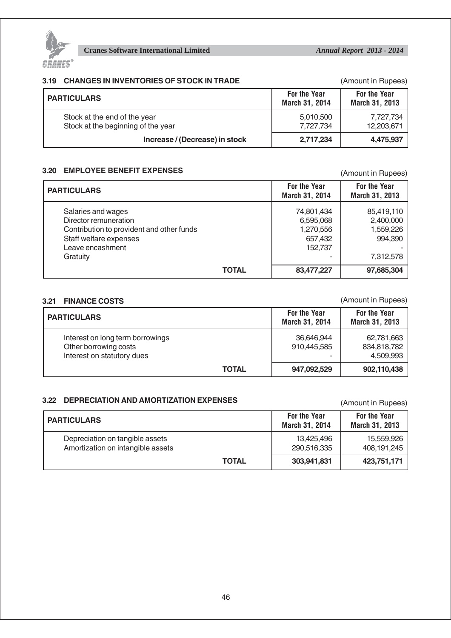

#### **3.19 CHANGES IN INVENTORIES OF STOCK IN TRADE**

(Amount in Rupees)

(Amount in Rupees)

| <b>PARTICULARS</b>                                                 | <b>For the Year</b><br>March 31, 2014 | <b>For the Year</b><br>March 31, 2013 |
|--------------------------------------------------------------------|---------------------------------------|---------------------------------------|
| Stock at the end of the year<br>Stock at the beginning of the year | 5,010,500<br>7,727,734                | 7,727,734<br>12,203,671               |
| Increase / (Decrease) in stock                                     | 2,717,234                             | 4,475,937                             |

#### **3.20 EMPLOYEE BENEFIT EXPENSES**

| <b>PARTICULARS</b>                                                                                                                                 | For the Year<br>March 31, 2014                             | For the Year<br>March 31, 2013                               |
|----------------------------------------------------------------------------------------------------------------------------------------------------|------------------------------------------------------------|--------------------------------------------------------------|
| Salaries and wages<br>Director remuneration<br>Contribution to provident and other funds<br>Staff welfare expenses<br>Leave encashment<br>Gratuity | 74,801,434<br>6,595,068<br>1,270,556<br>657,432<br>152,737 | 85,419,110<br>2,400,000<br>1,559,226<br>994,390<br>7,312,578 |
| <b>TOTAL</b>                                                                                                                                       | 83,477,227                                                 | 97,685,304                                                   |

#### **3.21 FINANCE COSTS**

| <b>PARTICULARS</b>                                                                      |              | <b>For the Year</b><br>March 31, 2014 | <b>For the Year</b><br>March 31, 2013  |
|-----------------------------------------------------------------------------------------|--------------|---------------------------------------|----------------------------------------|
| Interest on long term borrowings<br>Other borrowing costs<br>Interest on statutory dues |              | 36,646,944<br>910,445,585             | 62,781,663<br>834,818,782<br>4,509,993 |
|                                                                                         | <b>TOTAL</b> | 947,092,529                           | 902,110,438                            |

#### **3.22 DEPRECIATION AND AMORTIZATION EXPENSES**

(Amount in Rupees)

| <b>PARTICULARS</b>                                                   |              | <b>For the Year</b><br>March 31, 2014 | <b>For the Year</b><br>March 31, 2013 |
|----------------------------------------------------------------------|--------------|---------------------------------------|---------------------------------------|
| Depreciation on tangible assets<br>Amortization on intangible assets |              | 13.425.496<br>290,516,335             | 15,559,926<br>408, 191, 245           |
|                                                                      | <b>TOTAL</b> | 303,941,831                           | 423,751,171                           |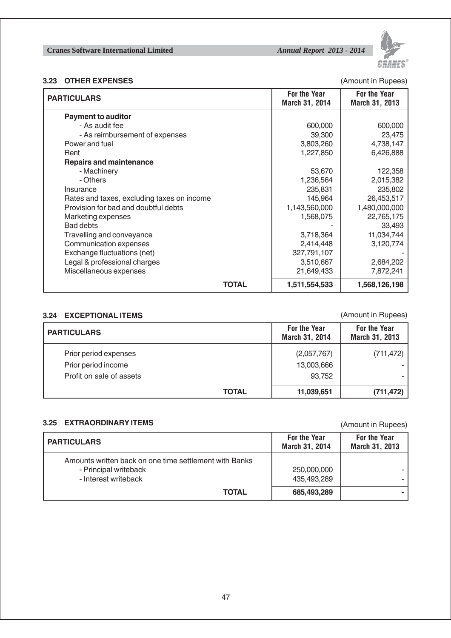**Cranes Software International Limited** *Annual Report 2013 - 2014*



(Amount in Rupees)

#### **3.23 OTHER EXPENSES**

| <b>PARTICULARS</b>                         | <b>For the Year</b><br>March 31, 2014 | <b>For the Year</b><br>March 31, 2013 |
|--------------------------------------------|---------------------------------------|---------------------------------------|
| <b>Payment to auditor</b>                  |                                       |                                       |
| - As audit fee                             | 600,000                               | 600,000                               |
| - As reimbursement of expenses             | 39,300                                | 23,475                                |
| Power and fuel                             | 3,803,260                             | 4,738,147                             |
| Rent                                       | 1,227,850                             | 6,426,888                             |
| <b>Repairs and maintenance</b>             |                                       |                                       |
| - Machinery                                | 53,670                                | 122,358                               |
| - Others                                   | 1,236,564                             | 2,015,382                             |
| Insurance                                  | 235,831                               | 235,802                               |
| Rates and taxes, excluding taxes on income | 145,964                               | 26,453,517                            |
| Provision for bad and doubtful debts       | 1,143,560,000                         | 1,480,000,000                         |
| Marketing expenses                         | 1,568,075                             | 22,765,175                            |
| Bad debts                                  |                                       | 33,493                                |
| Travelling and conveyance                  | 3,718,364                             | 11,034,744                            |
| Communication expenses                     | 2,414,448                             | 3,120,774                             |
| Exchange fluctuations (net)                | 327,791,107                           |                                       |
| Legal & professional charges               | 3,510,667                             | 2,684,202                             |
| Miscellaneous expenses                     | 21,649,433                            | 7,872,241                             |
| <b>TOTAL</b>                               | 1,511,554,533                         | 1,568,126,198                         |

#### **3.24 EXCEPTIONAL ITEMS**

| <b>PARTICULARS</b>                                                       |              | For the Year<br>March 31, 2014      | For the Year<br>March 31, 2013 |
|--------------------------------------------------------------------------|--------------|-------------------------------------|--------------------------------|
| Prior period expenses<br>Prior period income<br>Profit on sale of assets |              | (2,057,767)<br>13,003,666<br>93,752 | (711, 472)                     |
|                                                                          | <b>TOTAL</b> | 11,039,651                          | (711, 472)                     |

#### **3.25 EXTRAORDINARY ITEMS**

(Amount in Rupees)

| <b>PARTICULARS</b>                                                                                      | <b>For the Year</b><br>March 31, 2014 | <b>For the Year</b><br>March 31, 2013 |
|---------------------------------------------------------------------------------------------------------|---------------------------------------|---------------------------------------|
| Amounts written back on one time settlement with Banks<br>- Principal writeback<br>- Interest writeback | 250,000,000<br>435,493,289            |                                       |
| <b>TOTAL</b>                                                                                            | 685,493,289                           |                                       |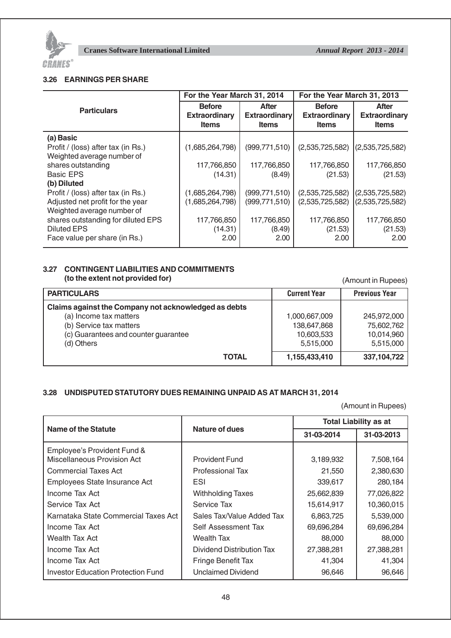

#### **3.26 EARNINGS PER SHARE**

|                                                                                                      | For the Year March 31, 2014                           |                                               | For the Year March 31, 2013                           |                                               |
|------------------------------------------------------------------------------------------------------|-------------------------------------------------------|-----------------------------------------------|-------------------------------------------------------|-----------------------------------------------|
| <b>Particulars</b>                                                                                   | <b>Before</b><br><b>Extraordinary</b><br><b>Items</b> | After<br><b>Extraordinary</b><br><b>Items</b> | <b>Before</b><br><b>Extraordinary</b><br><b>Items</b> | After<br><b>Extraordinary</b><br><b>Items</b> |
| (a) Basic<br>Profit / (loss) after tax (in Rs.)<br>Weighted average number of                        | (1,685,264,798)                                       | (999, 771, 510)                               | (2,535,725,582)                                       | (2,535,725,582)                               |
| shares outstanding<br><b>Basic EPS</b><br>(b) Diluted                                                | 117,766,850<br>(14.31)                                | 117,766,850<br>(8.49)                         | 117,766,850<br>(21.53)                                | 117,766,850<br>(21.53)                        |
| Profit / (loss) after tax (in Rs.)<br>Adjusted net profit for the year<br>Weighted average number of | (1,685,264,798)<br>(1,685,264,798)                    | (999, 771, 510)<br>(999, 771, 510)            | (2,535,725,582)<br>(2,535,725,582)                    | (2,535,725,582)<br>(2,535,725,582)            |
| shares outstanding for diluted EPS<br><b>Diluted EPS</b><br>Face value per share (in Rs.)            | 117,766,850<br>(14.31)<br>2.00                        | 117,766,850<br>(8.49)<br>2.00                 | 117,766,850<br>(21.53)<br>2.00                        | 117,766,850<br>(21.53)<br>2.00                |

#### **3.27 CONTINGENT LIABILITIES AND COMMITMENTS (to the extent not provided for)**

(Amount in Rupees)

| <b>PARTICULARS</b>                                   | <b>Current Year</b> | <b>Previous Year</b> |
|------------------------------------------------------|---------------------|----------------------|
| Claims against the Company not acknowledged as debts |                     |                      |
| (a) Income tax matters                               | 1,000,667,009       | 245,972,000          |
| (b) Service tax matters                              | 138,647,868         | 75,602,762           |
| (c) Guarantees and counter guarantee                 | 10,603,533          | 10,014,960           |
| (d) Others                                           | 5,515,000           | 5,515,000            |
| <b>TOTAL</b>                                         | 1,155,433,410       | 337,104,722          |

#### **3.28 UNDISPUTED STATUTORY DUES REMAINING UNPAID AS AT MARCH 31, 2014**

|                                      |                           | <b>Total Liability as at</b> |            |  |
|--------------------------------------|---------------------------|------------------------------|------------|--|
| Name of the Statute                  | Nature of dues            | 31-03-2014                   | 31-03-2013 |  |
| Employee's Provident Fund &          |                           |                              |            |  |
| Miscellaneous Provision Act          | <b>Provident Fund</b>     | 3,189,932                    | 7,508,164  |  |
| <b>Commercial Taxes Act</b>          | Professional Tax          | 21,550                       | 2,380,630  |  |
| Employees State Insurance Act        | ESI                       | 339,617                      | 280,184    |  |
| Income Tax Act                       | <b>Withholding Taxes</b>  | 25,662,839                   | 77,026,822 |  |
| Service Tax Act                      | Service Tax               | 15,614,917                   | 10,360,015 |  |
| Karnataka State Commercial Taxes Act | Sales Tax/Value Added Tax | 6,863,725                    | 5,539,000  |  |
| Income Tax Act                       | Self Assessment Tax       | 69.696.284                   | 69,696,284 |  |
| Wealth Tax Act                       | Wealth Tax                | 88,000                       | 88,000     |  |
| Income Tax Act                       | Dividend Distribution Tax | 27,388,281                   | 27,388,281 |  |
| Income Tax Act                       | <b>Fringe Benefit Tax</b> | 41,304                       | 41,304     |  |
| Investor Education Protection Fund   | Unclaimed Dividend        | 96,646                       | 96,646     |  |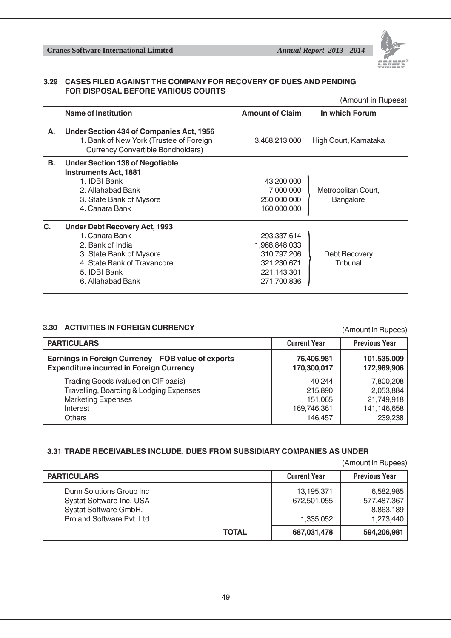

#### **3.29 CASES FILED AGAINST THE COMPANY FOR RECOVERY OF DUES AND PENDING FOR DISPOSAL BEFORE VARIOUS COURTS**

|    |                                                                                                                                 |                        | (Amount in Rupees)    |
|----|---------------------------------------------------------------------------------------------------------------------------------|------------------------|-----------------------|
|    | Name of Institution                                                                                                             | <b>Amount of Claim</b> | In which Forum        |
| А. | Under Section 434 of Companies Act, 1956<br>1. Bank of New York (Trustee of Foreign<br><b>Currency Convertible Bondholders)</b> | 3,468,213,000          | High Court, Karnataka |
| В. | <b>Under Section 138 of Negotiable</b>                                                                                          |                        |                       |
|    | <b>Instruments Act, 1881</b>                                                                                                    |                        |                       |
|    | 1. IDBI Bank                                                                                                                    | 43,200,000             |                       |
|    | 2. Allahabad Bank                                                                                                               | 7,000,000              | Metropolitan Court,   |
|    | 3. State Bank of Mysore                                                                                                         | 250,000,000            | Bangalore             |
|    | 4. Canara Bank                                                                                                                  | 160,000,000            |                       |
| C. | <b>Under Debt Recovery Act, 1993</b>                                                                                            |                        |                       |
|    | 1. Canara Bank                                                                                                                  | 293,337,614            |                       |
|    | 2. Bank of India                                                                                                                | 1,968,848,033          |                       |
|    | 3. State Bank of Mysore                                                                                                         | 310,797,206            | Debt Recovery         |
|    | 4. State Bank of Travancore                                                                                                     | 321,230,671            | Tribunal              |
|    | 5. IDBI Bank                                                                                                                    | 221,143,301            |                       |
|    | 6. Allahabad Bank                                                                                                               | 271,700,836            |                       |

#### **3.30 ACTIVITIES IN FOREIGN CURRENCY**

(Amount in Rupees)

| <b>PARTICULARS</b>                                  | <b>Current Year</b> | <b>Previous Year</b> |
|-----------------------------------------------------|---------------------|----------------------|
| Earnings in Foreign Currency - FOB value of exports | 76,406,981          | 101,535,009          |
| <b>Expenditure incurred in Foreign Currency</b>     | 170,300,017         | 172,989,906          |
| Trading Goods (valued on CIF basis)                 | 40,244              | 7,800,208            |
| Travelling, Boarding & Lodging Expenses             | 215,890             | 2,053,884            |
| <b>Marketing Expenses</b>                           | 151,065             | 21,749,918           |
| Interest                                            | 169,746,361         | 141,146,658          |
| <b>Others</b>                                       | 146,457             | 239,238              |

#### **3.31 TRADE RECEIVABLES INCLUDE, DUES FROM SUBSIDIARY COMPANIES AS UNDER**

| <b>PARTICULARS</b>                                                                                          |              | <b>Current Year</b>                    | <b>Previous Year</b>                               |
|-------------------------------------------------------------------------------------------------------------|--------------|----------------------------------------|----------------------------------------------------|
| Dunn Solutions Group Inc<br>Systat Software Inc, USA<br>Systat Software GmbH,<br>Proland Software Pvt. Ltd. |              | 13,195,371<br>672,501,055<br>1,335,052 | 6,582,985<br>577,487,367<br>8,863,189<br>1,273,440 |
|                                                                                                             | <b>TOTAL</b> | 687,031,478                            | 594,206,981                                        |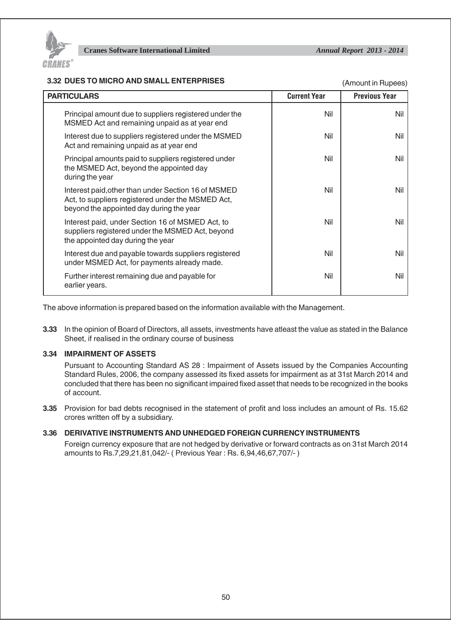

#### **3.32 DUES TO MICRO AND SMALL ENTERPRISES**

(Amount in Rupees)

| <b>PARTICULARS</b>                                                                                                                                   | <b>Current Year</b> | <b>Previous Year</b> |
|------------------------------------------------------------------------------------------------------------------------------------------------------|---------------------|----------------------|
| Principal amount due to suppliers registered under the<br>MSMED Act and remaining unpaid as at year end                                              | Nil                 | Nil                  |
| Interest due to suppliers registered under the MSMED<br>Act and remaining unpaid as at year end                                                      | Nil                 | Nil                  |
| Principal amounts paid to suppliers registered under<br>the MSMED Act, beyond the appointed day<br>during the year                                   | Nil                 | Nil                  |
| Interest paid, other than under Section 16 of MSMED<br>Act, to suppliers registered under the MSMED Act,<br>beyond the appointed day during the year | Nil                 | Nil                  |
| Interest paid, under Section 16 of MSMED Act, to<br>suppliers registered under the MSMED Act, beyond<br>the appointed day during the year            | Nil                 | Nil                  |
| Interest due and payable towards suppliers registered<br>under MSMED Act, for payments already made.                                                 | Nil                 | Nil                  |
| Further interest remaining due and payable for<br>earlier years.                                                                                     | Nil                 | Nil                  |

The above information is prepared based on the information available with the Management.

**3.33** In the opinion of Board of Directors, all assets, investments have atleast the value as stated in the Balance Sheet, if realised in the ordinary course of business

#### **3.34 IMPAIRMENT OF ASSETS**

Pursuant to Accounting Standard AS 28 : Impairment of Assets issued by the Companies Accounting Standard Rules, 2006, the company assessed its fixed assets for impairment as at 31st March 2014 and concluded that there has been no significant impaired fixed asset that needs to be recognized in the books of account.

**3.35** Provision for bad debts recognised in the statement of profit and loss includes an amount of Rs. 15.62 crores written off by a subsidiary.

#### **3.36 DERIVATIVE INSTRUMENTS AND UNHEDGED FOREIGN CURRENCY INSTRUMENTS**

Foreign currency exposure that are not hedged by derivative or forward contracts as on 31st March 2014 amounts to Rs.7,29,21,81,042/- ( Previous Year : Rs. 6,94,46,67,707/- )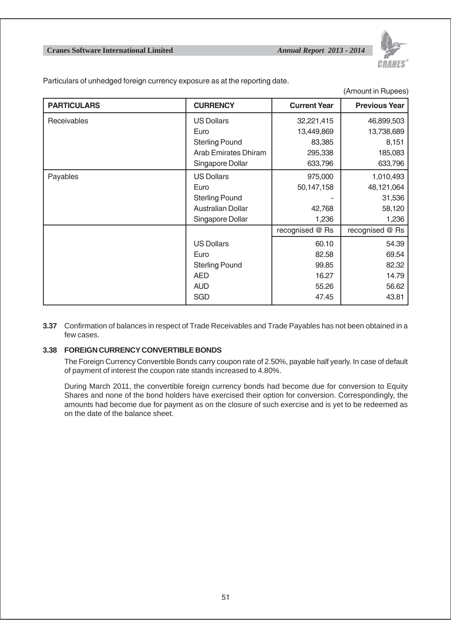

(Amount in Rupees)

| <b>PARTICULARS</b> | <b>CURRENCY</b>          | <b>Current Year</b> | <b>Previous Year</b> |
|--------------------|--------------------------|---------------------|----------------------|
| Receivables        | <b>US Dollars</b>        | 32,221,415          | 46,899,503           |
|                    | Euro                     | 13,449,869          | 13,738,689           |
|                    | <b>Sterling Pound</b>    | 83,385              | 8,151                |
|                    | Arab Emirates Dhiram     | 295,338             | 185,083              |
|                    | Singapore Dollar         | 633,796             | 633,796              |
| Payables           | <b>US Dollars</b>        | 975,000             | 1,010,493            |
|                    | Euro                     | 50,147,158          | 48,121,064           |
|                    | <b>Sterling Pound</b>    |                     | 31,536               |
|                    | <b>Australian Dollar</b> | 42,768              | 58,120               |
|                    | Singapore Dollar         | 1,236               | 1,236                |
|                    |                          | recognised @ Rs     | recognised @ Rs      |
|                    | <b>US Dollars</b>        | 60.10               | 54.39                |
|                    | Euro                     | 82.58               | 69.54                |
|                    | <b>Sterling Pound</b>    | 99.85               | 82.32                |
|                    | <b>AED</b>               | 16.27               | 14.79                |
|                    | <b>AUD</b>               | 55.26               | 56.62                |
|                    | <b>SGD</b>               | 47.45               | 43.81                |

Particulars of unhedged foreign currency exposure as at the reporting date.

**3.37** Confirmation of balances in respect of Trade Receivables and Trade Payables has not been obtained in a few cases.

#### **3.38 FOREIGN CURRENCY CONVERTIBLE BONDS**

The Foreign Currency Convertible Bonds carry coupon rate of 2.50%, payable half yearly. In case of default of payment of interest the coupon rate stands increased to 4.80%.

During March 2011, the convertible foreign currency bonds had become due for conversion to Equity Shares and none of the bond holders have exercised their option for conversion. Correspondingly, the amounts had become due for payment as on the closure of such exercise and is yet to be redeemed as on the date of the balance sheet.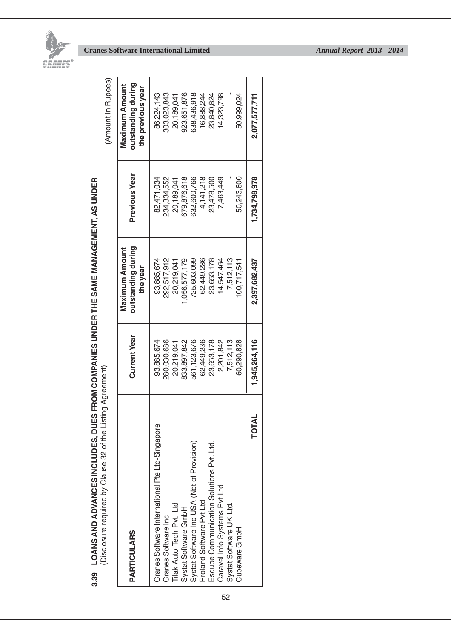

3.39

| (Disclosure required by Clause 32 of the Listing Agreement)<br>3.39 LOANS AND ADVANCES INCLUDES, DUES |                     | FROM COMPANIES UNDER THE SAME MANAGEMENT, AS UNDER |                      | (Amount in Rupees)                                        |
|-------------------------------------------------------------------------------------------------------|---------------------|----------------------------------------------------|----------------------|-----------------------------------------------------------|
| <b>PARTICULARS</b>                                                                                    | <b>Current Year</b> | outstanding during<br>Maximum Amount<br>the year   | <b>Previous Year</b> | outstanding during<br>Maximum Amount<br>the previous year |
| Cranes Software International Pte Ltd-Singapore                                                       | 93.885.674          | 93.885.674                                         | 82.471.034           | 86,224,143                                                |
| Cranes Software Inc                                                                                   | 280,030,686         | 292.517.912                                        | 234,334,552          | 303,023,843                                               |
| Tilak Auto Tech Pvt. Ltd                                                                              | 20,219,041          | 20,219,041                                         | 20,189,041           | 20,189,041                                                |
| Systat Software GmbH                                                                                  | 833,897,842         | 056,577,179                                        | 679,876,618          | 923,651,876                                               |
| Systat Software Inc USA (Net of Provision)                                                            | 561,123,676         | 725,603,099                                        | 632,600,766          | 638,436,918                                               |
| Proland Software Pvt Ltd                                                                              | 62,449,236          | 62,449,236                                         | 4,141.218            | 16,888,244                                                |
| Esqube Communication Solutions Pvt. Ltd.                                                              | 23,653,178          | 23,653,178                                         | 23,478,500           | 23,840,824                                                |
| Caravel Info Systems Pvt Ltd                                                                          | 2.201.842           | 14,547,464                                         | 7,463,449            | 14,323,798                                                |
| Systat Software UK Ltd.                                                                               | 7,512,113           | 7,512,113                                          |                      |                                                           |
| Cubeware GmbH                                                                                         | 60,290,828          | 100,717,541                                        | 50,243,800           | 50,999,024                                                |
| <b>TOTAL</b>                                                                                          | 1,945,264,116       | 2,397,682,437                                      | 1,734,798,978        | 2,077,577,711                                             |

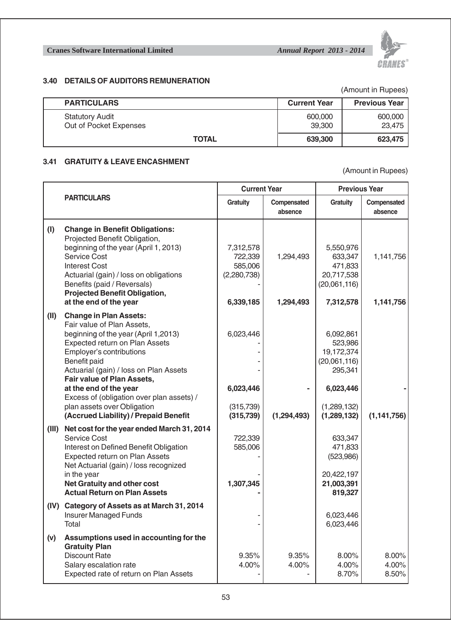

#### **3.40 DETAILS OF AUDITORS REMUNERATION**

|                                                  |                     | (Amount in Rupees)   |
|--------------------------------------------------|---------------------|----------------------|
| <b>PARTICULARS</b>                               | <b>Current Year</b> | <b>Previous Year</b> |
| <b>Statutory Audit</b><br>Out of Pocket Expenses | 600,000<br>39,300   | 600,000<br>23,475    |
| <b>TOTAL</b>                                     | 639,300             | 623,475              |

#### **3.41 GRATUITY & LEAVE ENCASHMENT**

|       |                                                                                                                                                                                                                                                                                                                                                                                                          | <b>Current Year</b>                                         |                        | <b>Previous Year</b>                                                                                     |                         |
|-------|----------------------------------------------------------------------------------------------------------------------------------------------------------------------------------------------------------------------------------------------------------------------------------------------------------------------------------------------------------------------------------------------------------|-------------------------------------------------------------|------------------------|----------------------------------------------------------------------------------------------------------|-------------------------|
|       | <b>PARTICULARS</b>                                                                                                                                                                                                                                                                                                                                                                                       | Gratuity                                                    | Compensated<br>absence | Gratuity                                                                                                 | Compensated<br>absence  |
| (1)   | <b>Change in Benefit Obligations:</b><br>Projected Benefit Obligation,<br>beginning of the year (April 1, 2013)<br><b>Service Cost</b><br><b>Interest Cost</b><br>Actuarial (gain) / loss on obligations<br>Benefits (paid / Reversals)<br><b>Projected Benefit Obligation,</b><br>at the end of the year                                                                                                | 7,312,578<br>722,339<br>585,006<br>(2,280,738)<br>6,339,185 | 1,294,493<br>1,294,493 | 5,550,976<br>633,347<br>471,833<br>20,717,538<br>(20,061,116)<br>7,312,578                               | 1,141,756<br>1,141,756  |
| (II)  | <b>Change in Plan Assets:</b><br>Fair value of Plan Assets,<br>beginning of the year (April 1,2013)<br>Expected return on Plan Assets<br>Employer's contributions<br>Benefit paid<br>Actuarial (gain) / loss on Plan Assets<br>Fair value of Plan Assets,<br>at the end of the year<br>Excess of (obligation over plan assets) /<br>plan assets over Obligation<br>(Accrued Liability) / Prepaid Benefit | 6,023,446<br>6,023,446<br>(315, 739)<br>(315, 739)          | (1, 294, 493)          | 6,092,861<br>523,986<br>19,172,374<br>(20,061,116)<br>295,341<br>6,023,446<br>(1,289,132)<br>(1,289,132) | (1, 141, 756)           |
| (III) | Net cost for the year ended March 31, 2014<br><b>Service Cost</b><br>Interest on Defined Benefit Obligation<br>Expected return on Plan Assets<br>Net Actuarial (gain) / loss recognized<br>in the year<br><b>Net Gratuity and other cost</b><br><b>Actual Return on Plan Assets</b>                                                                                                                      | 722,339<br>585,006<br>1,307,345                             |                        | 633,347<br>471,833<br>(523,986)<br>20,422,197<br>21,003,391<br>819,327                                   |                         |
| (IV)  | Category of Assets as at March 31, 2014<br><b>Insurer Managed Funds</b><br>Total                                                                                                                                                                                                                                                                                                                         |                                                             |                        | 6,023,446<br>6,023,446                                                                                   |                         |
| (v)   | Assumptions used in accounting for the<br><b>Gratuity Plan</b><br><b>Discount Rate</b><br>Salary escalation rate<br>Expected rate of return on Plan Assets                                                                                                                                                                                                                                               | 9.35%<br>4.00%                                              | 9.35%<br>4.00%         | 8.00%<br>4.00%<br>8.70%                                                                                  | 8.00%<br>4.00%<br>8.50% |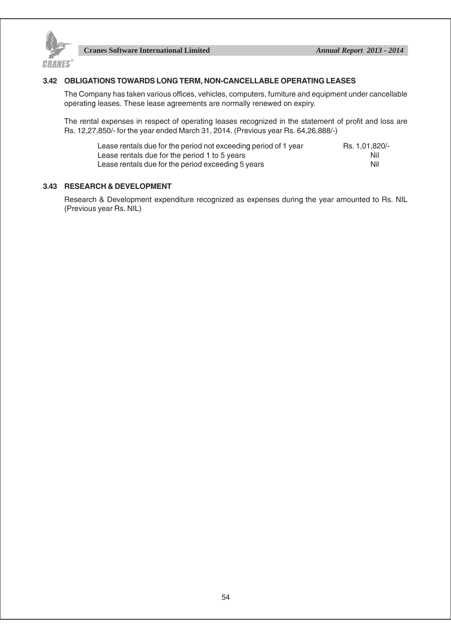

#### **3.42 OBLIGATIONS TOWARDS LONG TERM, NON-CANCELLABLE OPERATING LEASES**

The Company has taken various offices, vehicles, computers, furniture and equipment under cancellable operating leases. These lease agreements are normally renewed on expiry.

The rental expenses in respect of operating leases recognized in the statement of profit and loss are Rs. 12,27,850/- for the year ended March 31, 2014. (Previous year Rs. 64,26,888/-)

| Lease rentals due for the period not exceeding period of 1 year | Rs. 1.01.820/- |
|-----------------------------------------------------------------|----------------|
| Lease rentals due for the period 1 to 5 years                   | Nil            |
| Lease rentals due for the period exceeding 5 years              | Nil            |

#### **3.43 RESEARCH & DEVELOPMENT**

Research & Development expenditure recognized as expenses during the year amounted to Rs. NIL (Previous year Rs. NIL)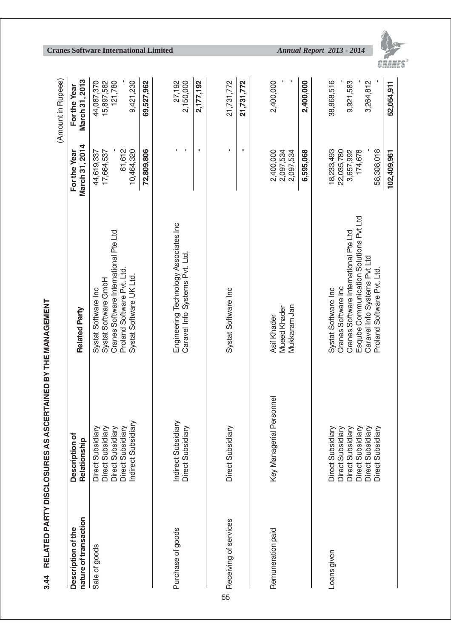| 3.44                                        | RELATED PARTY DISCLOSURES AS ASCERTAINED BY THE MANAGEMENT                                              |                                                                                                                                               |                                                  | (Amount in Rupees)                               |
|---------------------------------------------|---------------------------------------------------------------------------------------------------------|-----------------------------------------------------------------------------------------------------------------------------------------------|--------------------------------------------------|--------------------------------------------------|
| nature of transaction<br>Description of the | Description of<br>Relationship                                                                          | <b>Related Party</b>                                                                                                                          | March 31, 2014<br>For the Year                   | March 31, 2013<br>For the Year                   |
| Sale of goods                               | Indirect Subsidiary<br>Direct Subsidiary<br>Direct Subsidiary<br>Direct Subsidiary<br>Direct Subsidiary | Cranes Software International Pte Ltd<br>Proland Software Pvt. Ltd.<br>Systat Software UK Ltd.<br>Systat Software GmbH<br>Systat Software Inc | 10,464,320<br>61,612<br>17,664,537<br>44,619,337 | 9,421,230<br>121,780<br>44,087,370<br>15,897,582 |
|                                             |                                                                                                         |                                                                                                                                               | 72,809,806                                       | 69,527,962                                       |
| Purchase of goods                           | Indirect Subsidiary<br>Direct Subsidiary                                                                | Engineering Technology Associates Inc<br>Caravel Info Systems Pvt. Ltd.                                                                       | J.                                               | 27,192<br>2,150,000                              |
|                                             |                                                                                                         |                                                                                                                                               | f,                                               | 2,177,192                                        |
| Receiving of services<br>55                 | Direct Subsidiary                                                                                       | Systat Software Inc                                                                                                                           | I.                                               | 21,731,772                                       |
|                                             |                                                                                                         |                                                                                                                                               | ٠                                                | 21,731,772                                       |
| Remuneration paid                           | Key Managerial Personnel                                                                                | Mukkaram Jan<br>Mueed Khader<br>Asif Khader                                                                                                   | 2,400,000<br>2,097,534<br>2,097,534              | 2,400,000                                        |
|                                             |                                                                                                         |                                                                                                                                               | 6,595,068                                        | 2,400,000                                        |
| Loans given                                 | Direct Subsidiary<br>Direct Subsidiary                                                                  | Cranes Software Inc<br>Systat Software Inc                                                                                                    | 18,233,493<br>22,035,780                         | 38,868,516                                       |
|                                             | Direct Subsidiary<br>Direct Subsidiary                                                                  | Esqube Communication Solutions Pvt Ltd<br>Cranes Software International Pte Ltd                                                               | 174,678<br>3,657,992                             | 9,921,583                                        |
|                                             | Direct Subsidiary<br>Direct Subsidiary                                                                  | Caravel Info Systems Pvt Ltd<br>Proland Software Pvt. Ltd.                                                                                    | 58,308,018                                       | 3,264,812                                        |
|                                             |                                                                                                         |                                                                                                                                               | 102,409,961                                      | 52,054,911                                       |

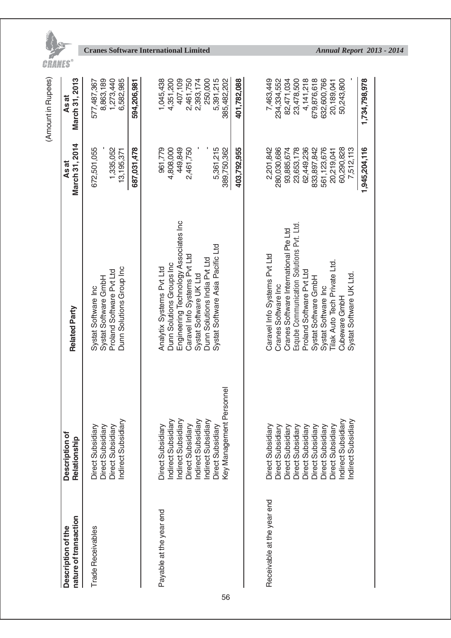|                                             |                                                                                                                                                                                                                                         |                                                                                                                                                                                                                                                                                                      |                                                                                                                                                              | (Amount in Rupees)                                                                                                                           | <b>BRANES®</b> |
|---------------------------------------------|-----------------------------------------------------------------------------------------------------------------------------------------------------------------------------------------------------------------------------------------|------------------------------------------------------------------------------------------------------------------------------------------------------------------------------------------------------------------------------------------------------------------------------------------------------|--------------------------------------------------------------------------------------------------------------------------------------------------------------|----------------------------------------------------------------------------------------------------------------------------------------------|----------------|
| nature of transaction<br>Description of the | Description of<br>Relationship                                                                                                                                                                                                          | <b>Related Party</b>                                                                                                                                                                                                                                                                                 | March 31, 2014<br>As at                                                                                                                                      | March 31, 2013<br><b>Asat</b>                                                                                                                |                |
| <b>Trade Receivables</b>                    | ndirect Subsidiary<br>Direct Subsidiary<br>Direct Subsidiary<br>Direct Subsidiary                                                                                                                                                       | <b>Dunn Solutions Group Inc</b><br>Proland Software Pvt Ltd<br>Systat Software GmbH<br>Systat Software Inc                                                                                                                                                                                           | 672,501,055<br>1,335,052<br>687,031,478<br>13, 195, 371                                                                                                      | 8,863,189<br>1,273,440<br>6,582,985<br>577,487,367<br>594,206,981                                                                            |                |
| Payable at the year end                     | Key Management Personnel<br>Indirect Subsidiary<br>Indirect Subsidiary<br>Indirect Subsidiary<br>Indirect Subsidiary<br><b>Direct Subsidiary</b><br>Direct Subsidiary<br>Direct Subsidiary                                              | Engineering Technology Associates Inc<br>Systat Software Asia Pacific Ltd<br>Caravel Info Systems Pvt Ltd<br>Dunn Solutions India Pvt Ltd<br>Dunn Solutions Groups Inc<br>Analytix Systems Pvt Ltd<br>Systat Software UK Ltd                                                                         | 2,461,750<br>5,361,215<br>4,808,000<br>389,750,362<br>403,792,955<br>449,849<br>961,779                                                                      | 2,461,750<br>5,391,215<br>1,045,438<br>4,351,200<br>407,109<br>2,393,174<br>250,000<br>385,482,202<br>401,782,088                            |                |
| Receivable at the year end                  | Indirect Subsidiary<br>Indirect Subsidiary<br>Direct Subsidiary<br>Direct Subsidiary<br><b>Direct Subsidiary</b><br><b>Direct Subsidiary</b><br>Direct Subsidiary<br><b>Direct Subsidiary</b><br>Direct Subsidiary<br>Direct Subsidiary | Esqube Communication Solutions Pvt. Ltd<br>Cranes Software International Pte Ltd<br>Caravel Info Systems Pvt Ltd<br><b>Tilak Auto Tech Private Ltd</b><br>Proland Software Pvt Ltd<br>Systat Software UK Ltd.<br>Systat Software GmbH<br>Cranes Software Inc<br>Systat Software Inc<br>Cubeware GmbH | 1,945,204,116<br>280,030,686<br>23,653,178<br>62,449,236<br>833, 897, 842<br>561,123,676<br>60,290,828<br>7,512,113<br>2,201,842<br>93,885,674<br>20,219,041 | 7,463,449<br>82,471,034<br>23,478,500<br>632,600,766<br>50,243,800<br>234,334,552<br>4,141,218<br>679,876,618<br>1,734,798,978<br>20,189,041 |                |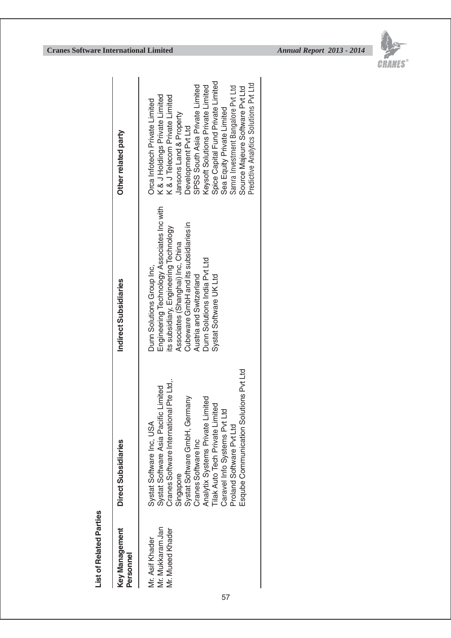| Key Management<br>Personnel                             | Direct Subsidiaries                                                                                                                                                                                                                                                                                                                                                   | Indirect Subsidiaries                                                                                                                                                                                                                                                               | Other related party                                                                                                                                                                                                                                                                                                                                                                                               |
|---------------------------------------------------------|-----------------------------------------------------------------------------------------------------------------------------------------------------------------------------------------------------------------------------------------------------------------------------------------------------------------------------------------------------------------------|-------------------------------------------------------------------------------------------------------------------------------------------------------------------------------------------------------------------------------------------------------------------------------------|-------------------------------------------------------------------------------------------------------------------------------------------------------------------------------------------------------------------------------------------------------------------------------------------------------------------------------------------------------------------------------------------------------------------|
| Mr. Mukkaram Jan<br>Mr. Mueed Khader<br>Mr. Asif Khader | Esqube Communication Solutions Pvt Ltd<br>Cranes Software International Pte Ltd,.<br>Systat Software Asia Pacific Limited<br>Systat Software GmbH, Germany<br>Analytix Systems Private Limited<br><b>Tilak Auto Tech Private Limited</b><br>먹<br>Caravel Info Systems Pvt<br>Systat Software Inc, USA<br>Proland Software Pvt Ltd<br>Cranes Software Inc<br>Singapore | Engineering Technology Associates Inc with<br>Cubeware GmbH and its subsidiaries in<br>its subsidiary, Engineering Technology<br>Associates (Shanghai) Inc, China<br>Dunn Solutions India Pvt Ltd<br>Dunn Solutions Group Inc,<br>Austria and Switzerland<br>Systat Software UK Ltd | Spice Capital Fund Private Limited<br>Predictive Analytics Solutions Pvt Ltd<br>SPSS South Asia Private Limited<br>Keysoft Solutions Private Limited<br>Samra Investment Bangalore Pvt Ltd<br>Source Majeure Software Pvt Ltd<br>K & J Telecom Private Limited<br>K & J Holdings Private Limited<br>Orca Infotech Private Limited<br>Sea Equity Private Limited<br>Jansons Land & Property<br>Development Pvt Ltd |
|                                                         |                                                                                                                                                                                                                                                                                                                                                                       |                                                                                                                                                                                                                                                                                     |                                                                                                                                                                                                                                                                                                                                                                                                                   |

**List of Related Parties List of Related Parties**

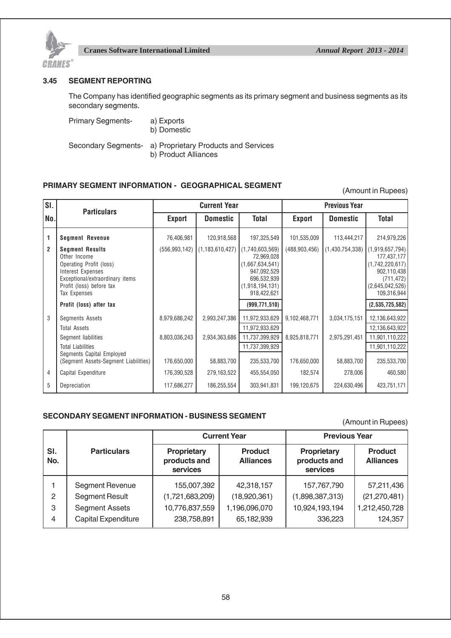

#### **3.45 SEGMENT REPORTING**

The Company has identified geographic segments as its primary segment and business segments as its secondary segments.

| <b>Primary Segments-</b> | a) Exports<br>b) Domestic                                    |
|--------------------------|--------------------------------------------------------------|
| Secondary Segments-      | a) Proprietary Products and Services<br>b) Product Alliances |

#### **PRIMARY SEGMENT INFORMATION - GEOGRAPHICAL SEGMENT**

(Amount in Rupees)

| SI.            | <b>Particulars</b>                                                                                                                                                    |                                | <b>Current Year</b>            |                                                                                                                  |                                | <b>Previous Year</b>           |                                                                                                                  |
|----------------|-----------------------------------------------------------------------------------------------------------------------------------------------------------------------|--------------------------------|--------------------------------|------------------------------------------------------------------------------------------------------------------|--------------------------------|--------------------------------|------------------------------------------------------------------------------------------------------------------|
| No.            |                                                                                                                                                                       | <b>Export</b>                  | <b>Domestic</b>                | <b>Total</b>                                                                                                     | <b>Export</b>                  | <b>Domestic</b>                | <b>Total</b>                                                                                                     |
| 1              | <b>Segment Revenue</b>                                                                                                                                                | 76,406,981                     | 120,918,568                    | 197,325,549                                                                                                      | 101,535,009                    | 113,444,217                    | 214,979,226                                                                                                      |
| $\overline{2}$ | <b>Segment Results</b><br>Other Income<br>Operating Profit (loss)<br>Interest Expenses<br>Exceptional/extraordinary items<br>Profit (loss) before tax<br>Tax Expenses | (556, 993, 142)                | (1, 183, 610, 427)             | (1,740,603,569)<br>72,969,028<br>(1,667,634,541)<br>947,092,529<br>696,532,939<br>(1,918,194,131)<br>918,422,621 | (488, 903, 456)                | (1,430,754,338)                | (1,919,657,794)<br>177,437,177<br>(1,742,220,617)<br>902,110,438<br>(711, 472)<br>(2,645,042,526)<br>109,316,944 |
|                | Profit (loss) after tax                                                                                                                                               |                                |                                | (999, 771, 510)                                                                                                  |                                |                                | (2,535,725,582)                                                                                                  |
| 3              | Segments Assets<br><b>Total Assets</b><br>Segment liabilities                                                                                                         | 8,979,686,242<br>8,803,036,243 | 2,993,247,386<br>2,934,363,686 | 11,972,933,629<br>11,972,933,629<br>11,737,399,929                                                               | 9,102,468,771<br>8,925,818,771 | 3,034,175,151<br>2,975,291,451 | 12,136,643,922<br>12,136,643,922<br>11,901,110,222                                                               |
|                | <b>Total Liabilities</b>                                                                                                                                              |                                |                                | 11,737,399,929                                                                                                   |                                |                                | 11,901,110,222                                                                                                   |
|                | Segments Capital Employed<br>(Segment Assets-Segment Liabilities)                                                                                                     | 176,650,000                    | 58,883,700                     | 235,533,700                                                                                                      | 176,650,000                    | 58,883,700                     | 235,533,700                                                                                                      |
| $\overline{4}$ | Capital Expenditure                                                                                                                                                   | 176,390,528                    | 279,163,522                    | 455,554,050                                                                                                      | 182,574                        | 278,006                        | 460,580                                                                                                          |
| 5              | Depreciation                                                                                                                                                          | 117,686,277                    | 186,255,554                    | 303,941,831                                                                                                      | 199,120,675                    | 224,630,496                    | 423,751,171                                                                                                      |

#### **SECONDARY SEGMENT INFORMATION - BUSINESS SEGMENT**

|                |                        |                                                | <b>Current Year</b>                | <b>Previous Year</b>                           |                                    |
|----------------|------------------------|------------------------------------------------|------------------------------------|------------------------------------------------|------------------------------------|
| SI.<br>No.     | <b>Particulars</b>     | Proprietary<br>products and<br><b>services</b> | <b>Product</b><br><b>Alliances</b> | Proprietary<br>products and<br><b>services</b> | <b>Product</b><br><b>Alliances</b> |
|                | <b>Segment Revenue</b> | 155,007,392                                    | 42,318,157                         | 157,767,790                                    | 57,211,436                         |
| 2              | <b>Segment Result</b>  | (1,721,683,209)                                | (18,920,361)                       | (1,898,387,313)                                | (21, 270, 481)                     |
| 3              | <b>Segment Assets</b>  | 10,776,837,559                                 | 1,196,096,070                      | 10,924,193,194                                 | 1,212,450,728                      |
| $\overline{4}$ | Capital Expenditure    | 238,758,891                                    | 65,182,939                         | 336,223                                        | 124,357                            |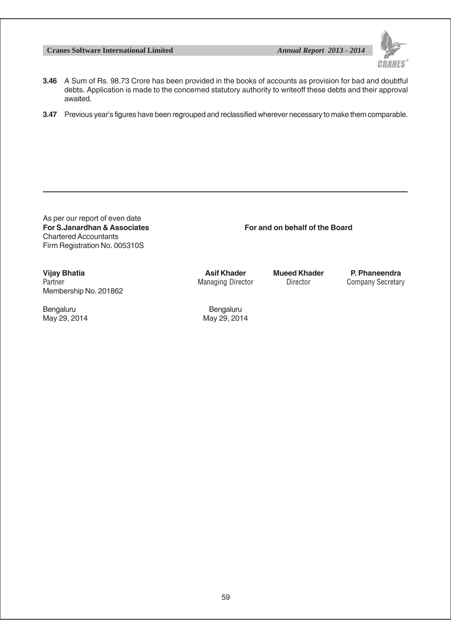

- **3.46** A Sum of Rs. 98.73 Crore has been provided in the books of accounts as provision for bad and doubtful debts. Application is made to the concerned statutory authority to writeoff these debts and their approval awaited.
- **3.47** Previous year's figures have been regrouped and reclassified wherever necessary to make them comparable.

As per our report of even date<br>For S.Janardhan & Associates Chartered Accountants Firm Registration No. 005310S

For and on behalf of the Board

**Vijay Bhatia Asif Khader Mueed Khader P. Phaneendra** Partner Managing Director Director Company Secretary Membership No. 201862

Bengaluru Bengaluru Bengaluru Bengaluru Bengaluru Bengaluru Bengaluru Bengaluru Bengaluru Bengaluru Bengaluru Bengaluru Bengaluru Bengaluru Bengaluru Bengaluru Bengaluru Bengaluru Bengaluru Bengaluru Bengaluru Bengaluru Be

May 29, 2014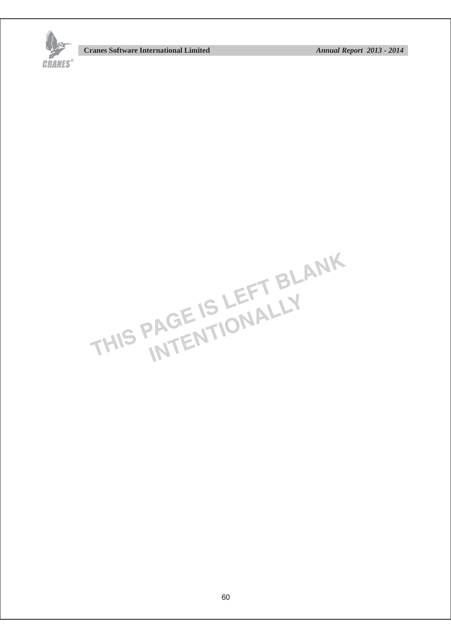

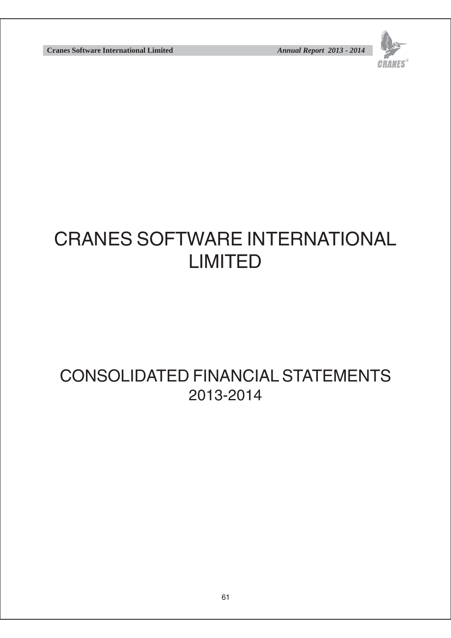

## CRANES SOFTWARE INTERNATIONAL LIMITED

### CONSOLIDATED FINANCIAL STATEMENTS 2013-2014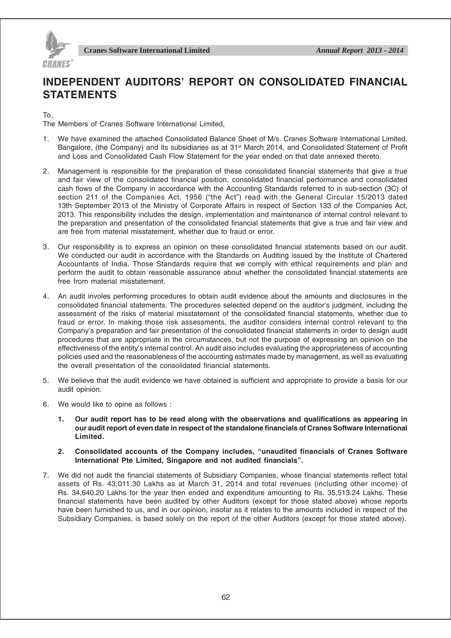

### **INDEPENDENT AUDITORS' REPORT ON CONSOLIDATED FINANCIAL STATEMENTS**

#### To,

The Members of Cranes Software International Limited,

- 1. We have examined the attached Consolidated Balance Sheet of M/s. Cranes Software International Limited, Bangalore, (the Company) and its subsidiaries as at 31<sup>st</sup> March 2014, and Consolidated Statement of Profit and Loss and Consolidated Cash Flow Statement for the year ended on that date annexed thereto.
- 2. Management is responsible for the preparation of these consolidated financial statements that give a true and fair view of the consolidated financial position, consolidated financial performance and consolidated cash flows of the Company in accordance with the Accounting Standards referred to in sub-section (3C) of section 211 of the Companies Act, 1956 ("the Act") read with the General Circular 15/2013 dated 13th September 2013 of the Ministry of Corporate Affairs in respect of Section 133 of the Companies Act, 2013. This responsibility includes the design, implementation and maintenance of internal control relevant to the preparation and presentation of the consolidated financial statements that give a true and fair view and are free from material misstatement, whether due to fraud or error.
- 3. Our responsibility is to express an opinion on these consolidated financial statements based on our audit. We conducted our audit in accordance with the Standards on Auditing issued by the Institute of Chartered Accountants of India. Those Standards require that we comply with ethical requirements and plan and perform the audit to obtain reasonable assurance about whether the consolidated financial statements are free from material misstatement.
- 4. An audit involes performing procedures to obtain audit evidence about the amounts and disclosures in the consolidated financial statements. The procedures selected depend on the auditor's judgment, including the assessment of the risks of material misstatement of the consolidated financial statements, whether due to fraud or error. In making those risk assessments, the auditor considers internal control relevant to the Company's preparation and fair presentation of the consolidated financial statements in order to design audit procedures that are appropriate in the circumstances, but not the purpose of expressing an opinion on the effectiveness of the entity's internal control. An audit also includes evaluating the appropriateness of accounting policies used and the reasonableness of the accounting estimates made by management, as well as evaluating the overall presentation of the consolidated financial statements.
- 5. We believe that the audit evidence we have obtained is sufficient and appropriate to provide a basis for our audit opinion.
- 6. We would like to opine as follows :
	- **1. Our audit report has to be read along with the observations and qualifications as appearing in our audit report of even date in respect of the standalone financials of Cranes Software International Limited.**
	- **2. Consolidated accounts of the Company includes, "unaudited financials of Cranes Software International Pte Limited, Singapore and not audited financials".**
- 7. We did not audit the financial statements of Subsidiary Companies, whose financial statements reflect total assets of Rs. 43,011.30 Lakhs as at March 31, 2014 and total revenues (including other income) of Rs. 34,640.20 Lakhs for the year then ended and expenditure amounting to Rs. 35,513.24 Lakhs. These financial statements have been audited by other Auditors (except for those stated above) whose reports have been furnished to us, and in our opinion, insofar as it relates to the amounts included in respect of the Subsidiary Companies, is based solely on the report of the other Auditors (except for those stated above).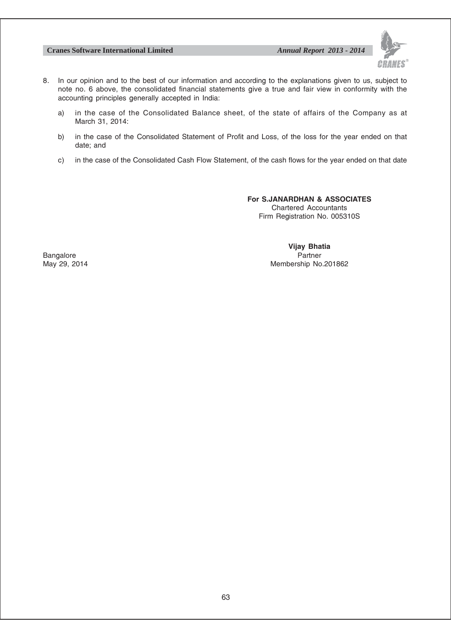

- 8. In our opinion and to the best of our information and according to the explanations given to us, subject to note no. 6 above, the consolidated financial statements give a true and fair view in conformity with the accounting principles generally accepted in India:
	- a) in the case of the Consolidated Balance sheet, of the state of affairs of the Company as at March 31, 2014:
	- b) in the case of the Consolidated Statement of Profit and Loss, of the loss for the year ended on that date; and
	- c) in the case of the Consolidated Cash Flow Statement, of the cash flows for the year ended on that date

**For S.JANARDHAN & ASSOCIATES** Chartered Accountants Firm Registration No. 005310S

**Vijay Bhatia** Bangalore **Partner** Partner Partner Partner Partner Partner Partner Partner Partner May 29, 2014 201862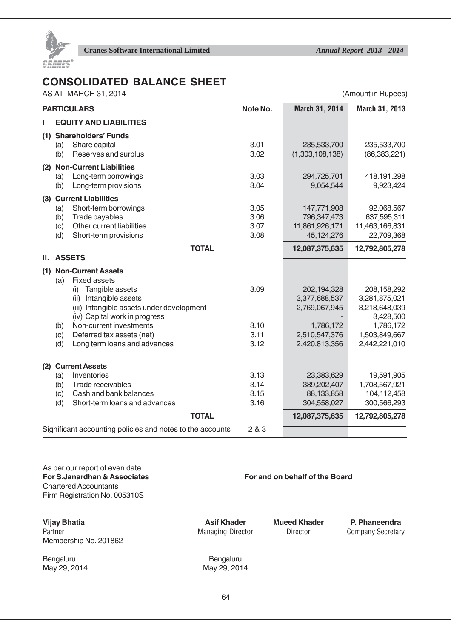

#### **CONSOLIDATED BALANCE SHEET**

AS AT MARCH 31, 2014 (Amount in Rupees)

|     |     | <b>PARTICULARS</b>                                        | Note No. | March 31, 2014  | March 31, 2013 |
|-----|-----|-----------------------------------------------------------|----------|-----------------|----------------|
|     |     | <b>EQUITY AND LIABILITIES</b>                             |          |                 |                |
| (1) |     | <b>Shareholders' Funds</b>                                |          |                 |                |
|     | (a) | Share capital                                             | 3.01     | 235,533,700     | 235,533,700    |
|     | (b) | Reserves and surplus                                      | 3.02     | (1,303,108,138) | (86, 383, 221) |
| (2) |     | <b>Non-Current Liabilities</b>                            |          |                 |                |
|     | (a) | Long-term borrowings                                      | 3.03     | 294,725,701     | 418, 191, 298  |
|     | (b) | Long-term provisions                                      | 3.04     | 9,054,544       | 9,923,424      |
| (3) |     | <b>Current Liabilities</b>                                |          |                 |                |
|     | (a) | Short-term borrowings                                     | 3.05     | 147,771,908     | 92,068,567     |
|     | (b) | Trade payables                                            | 3.06     | 796,347,473     | 637,595,311    |
|     | (c) | Other current liabilities                                 | 3.07     | 11,861,926,171  | 11,463,166,831 |
|     | (d) | Short-term provisions                                     | 3.08     | 45,124,276      | 22,709,368     |
|     |     | <b>TOTAL</b>                                              |          | 12,087,375,635  | 12,792,805,278 |
| Ш.  |     | <b>ASSETS</b>                                             |          |                 |                |
| (1) |     | <b>Non-Current Assets</b>                                 |          |                 |                |
|     | (a) | <b>Fixed assets</b>                                       |          |                 |                |
|     |     | Tangible assets<br>(i)                                    | 3.09     | 202,194,328     | 208, 158, 292  |
|     |     | (ii) Intangible assets                                    |          | 3,377,688,537   | 3,281,875,021  |
|     |     | (iii) Intangible assets under development                 |          | 2,769,067,945   | 3,218,648,039  |
|     |     | (iv) Capital work in progress                             |          |                 | 3,428,500      |
|     | (b) | Non-current investments                                   | 3.10     | 1,786,172       | 1,786,172      |
|     | (c) | Deferred tax assets (net)                                 | 3.11     | 2,510,547,376   | 1,503,849,667  |
|     | (d) | Long term loans and advances                              | 3.12     | 2,420,813,356   | 2,442,221,010  |
| (2) |     | <b>Current Assets</b>                                     |          |                 |                |
|     | (a) | Inventories                                               | 3.13     | 23,383,629      | 19,591,905     |
|     | (b) | Trade receivables                                         | 3.14     | 389,202,407     | 1,708,567,921  |
|     | (c) | Cash and bank balances                                    | 3.15     | 88,133,858      | 104, 112, 458  |
|     | (d) | Short-term loans and advances                             | 3.16     | 304,558,027     | 300,566,293    |
|     |     | <b>TOTAL</b>                                              |          | 12,087,375,635  | 12,792,805,278 |
|     |     | Significant accounting policies and notes to the accounts | 2 & 3    |                 |                |

As per our report of even date **For S.Janardhan & Associates For and on behalf of the Board** Chartered Accountants Firm Registration No. 005310S

**Vijay Bhatia Asif Khader Mueed Khader P. Phaneendra**<br>
Partner **P. Phaneendra** Managing Director Director Company Secretary Membership No. 201862

Bengaluru Bengaluru Bengaluru Bengaluru Bengaluru Bengaluru Bengaluru Bengaluru Bengaluru Bengaluru Bengaluru Bengaluru Bengaluru Bengaluru Bengaluru Bengaluru Bengaluru Bengaluru Bengaluru Bengaluru Bengaluru Bengaluru Be May 29, 2014

**Managing Director**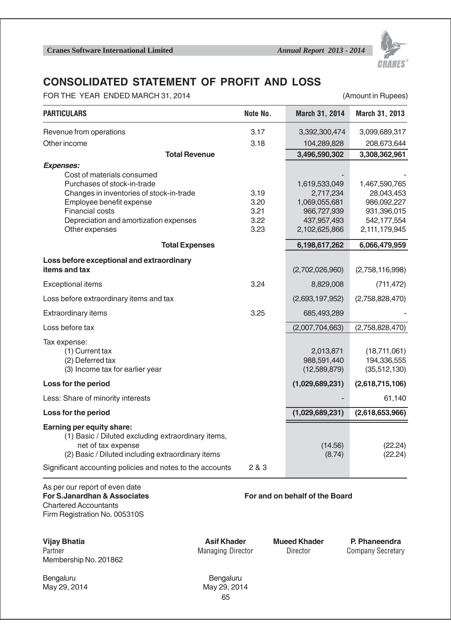

### **CONSOLIDATED STATEMENT OF PROFIT AND LOSS**

FOR THE YEAR ENDED MARCH 31, 2014 (Amount in Rupees)

| <b>PARTICULARS</b>                                                                                                                                                                                                                          | Note No.                             | March 31, 2014                                                                             | March 31, 2013                                                                              |
|---------------------------------------------------------------------------------------------------------------------------------------------------------------------------------------------------------------------------------------------|--------------------------------------|--------------------------------------------------------------------------------------------|---------------------------------------------------------------------------------------------|
| Revenue from operations                                                                                                                                                                                                                     | 3.17                                 | 3,392,300,474                                                                              | 3,099,689,317                                                                               |
| Other income                                                                                                                                                                                                                                | 3.18                                 | 104,289,828                                                                                | 208,673,644                                                                                 |
| <b>Total Revenue</b>                                                                                                                                                                                                                        |                                      | 3,496,590,302                                                                              | 3,308,362,961                                                                               |
| <b>Expenses:</b><br>Cost of materials consumed<br>Purchases of stock-in-trade<br>Changes in inventories of stock-in-trade<br>Employee benefit expense<br><b>Financial costs</b><br>Depreciation and amortization expenses<br>Other expenses | 3.19<br>3.20<br>3.21<br>3.22<br>3.23 | 1,619,533,049<br>2,717,234<br>1,069,055,681<br>966,727,939<br>437,957,493<br>2,102,625,866 | 1,467,590,765<br>28,043,453<br>986,092,227<br>931,396,015<br>542, 177, 554<br>2,111,179,945 |
| <b>Total Expenses</b>                                                                                                                                                                                                                       |                                      | 6,198,617,262                                                                              | 6,066,479,959                                                                               |
| Loss before exceptional and extraordinary<br>items and tax                                                                                                                                                                                  |                                      | (2,702,026,960)                                                                            | (2,758,116,998)                                                                             |
| <b>Exceptional items</b>                                                                                                                                                                                                                    | 3.24                                 | 8,829,008                                                                                  | (711, 472)                                                                                  |
| Loss before extraordinary items and tax                                                                                                                                                                                                     |                                      | (2,693,197,952)                                                                            | (2,758,828,470)                                                                             |
| <b>Extraordinary items</b>                                                                                                                                                                                                                  | 3.25                                 | 685,493,289                                                                                |                                                                                             |
| Loss before tax                                                                                                                                                                                                                             |                                      | (2,007,704,663)                                                                            | (2,758,828,470)                                                                             |
| Tax expense:<br>(1) Current tax<br>(2) Deferred tax<br>(3) Income tax for earlier year                                                                                                                                                      |                                      | 2,013,871<br>988,591,440<br>(12,589,879)                                                   | (18,711,061)<br>194,336,555<br>(35,512,130)                                                 |
| Loss for the period                                                                                                                                                                                                                         |                                      | (1,029,689,231)                                                                            | (2,618,715,106)                                                                             |
| Less: Share of minority interests                                                                                                                                                                                                           |                                      |                                                                                            | 61,140                                                                                      |
| Loss for the period                                                                                                                                                                                                                         |                                      | (1,029,689,231)                                                                            | (2,618,653,966)                                                                             |
| Earning per equity share:<br>(1) Basic / Diluted excluding extraordinary items,<br>net of tax expense<br>(2) Basic / Diluted including extraordinary items                                                                                  |                                      | (14.56)<br>(8.74)                                                                          | (22.24)<br>(22.24)                                                                          |
| Significant accounting policies and notes to the accounts                                                                                                                                                                                   | 2 & 3                                |                                                                                            |                                                                                             |
| As per our report of even date<br>For S.Janardhan & Associates                                                                                                                                                                              | For and on behalf of the Board       |                                                                                            |                                                                                             |

Chartered Accountants Firm Registration No. 005310S

**Vijay Bhatia Asif Khader Mueed Khader P. Phaneendra** Partner **P. Phaneendra** Partner **P. Phaneendra** Partner Managing Director Membership No. 201862 Bengaluru Bengaluru Bengaluru Bengaluru Bengaluru Bengaluru Bengaluru Bengaluru Bengaluru Bengaluru Bengaluru Bengaluru Bengaluru Bengaluru Bengaluru Bengaluru Bengaluru Bengaluru Bengaluru Bengaluru Bengaluru Bengaluru Be

May 29, 2014

65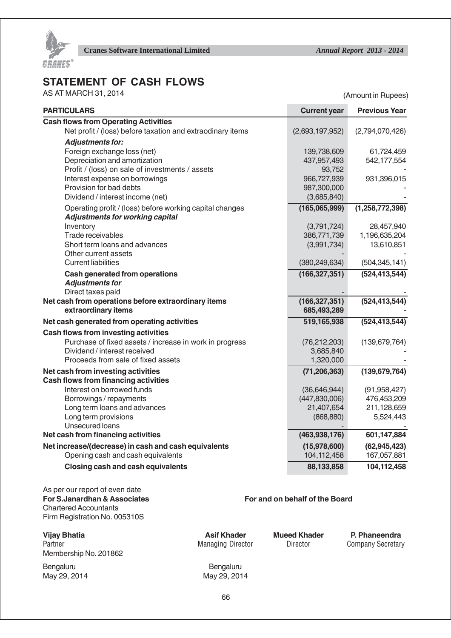

## **STATEMENT OF CASH FLOWS**<br>AS AT MARCH 31, 2014

| AS AT MARCH 31, 2014                                                                               |                                             | (Amount in Rupees)       |
|----------------------------------------------------------------------------------------------------|---------------------------------------------|--------------------------|
| <b>PARTICULARS</b>                                                                                 | <b>Current year</b><br><b>Previous Year</b> |                          |
| <b>Cash flows from Operating Activities</b>                                                        |                                             |                          |
| Net profit / (loss) before taxation and extraodinary items                                         | (2,693,197,952)                             | (2,794,070,426)          |
| <b>Adjustments for:</b>                                                                            |                                             |                          |
| Foreign exchange loss (net)                                                                        | 139,738,609                                 | 61,724,459               |
| Depreciation and amortization                                                                      | 437,957,493                                 | 542, 177, 554            |
| Profit / (loss) on sale of investments / assets                                                    | 93,752                                      |                          |
| Interest expense on borrowings                                                                     | 966,727,939                                 | 931,396,015              |
| Provision for bad debts                                                                            | 987,300,000                                 |                          |
| Dividend / interest income (net)                                                                   | (3,685,840)                                 |                          |
| Operating profit / (loss) before working capital changes<br><b>Adjustments for working capital</b> | (165,065,999)                               | (1, 258, 772, 398)       |
| Inventory                                                                                          | (3,791,724)                                 | 28,457,940               |
| Trade receivables                                                                                  | 386,771,739                                 | 1,196,635,204            |
| Short term loans and advances<br>Other current assets                                              | (3,991,734)                                 | 13,610,851               |
| <b>Current liabilities</b>                                                                         | (380, 249, 634)                             | (504, 345, 141)          |
| <b>Cash generated from operations</b><br><b>Adjustments for</b><br>Direct taxes paid               | (166, 327, 351)                             | (524, 413, 544)          |
| Net cash from operations before extraordinary items                                                | (166, 327, 351)                             | (524, 413, 544)          |
| extraordinary items                                                                                | 685,493,289                                 |                          |
| Net cash generated from operating activities                                                       | 519, 165, 938                               | (524, 413, 544)          |
| Cash flows from investing activities                                                               |                                             |                          |
| Purchase of fixed assets / increase in work in progress                                            | (76, 212, 203)                              | (139, 679, 764)          |
| Dividend / interest received                                                                       | 3,685,840                                   |                          |
| Proceeds from sale of fixed assets                                                                 | 1,320,000                                   |                          |
| Net cash from investing activities                                                                 | (71, 206, 363)                              | (139, 679, 764)          |
| <b>Cash flows from financing activities</b>                                                        |                                             |                          |
| Interest on borrowed funds                                                                         | (36, 646, 944)                              | (91, 958, 427)           |
| Borrowings / repayments                                                                            | (447, 830, 006)                             | 476,453,209              |
| Long term loans and advances<br>Long term provisions                                               | 21,407,654                                  | 211,128,659<br>5,524,443 |
| Unsecured loans                                                                                    | (868, 880)                                  |                          |
| Net cash from financing activities                                                                 | (463, 938, 176)                             | 601,147,884              |
| Net increase/(decrease) in cash and cash equivalents                                               | (15,978,600)                                | (62, 945, 423)           |
| Opening cash and cash equivalents                                                                  | 104,112,458                                 | 167,057,881              |
| <b>Closing cash and cash equivalents</b>                                                           | 88,133,858                                  | 104,112,458              |

As per our report of even date **For S.Janardhan & Associates For and on behalf of the Board** Chartered Accountants Firm Registration No. 005310S

**Vijay Bhatia Asif Khader Mueed Khader P. Phaneendra**<br>
Partner **P. Phaneendra** Managing Director Director Company Secretary

Membership No. 201862

Managing Director

Bengaluru Bengaluru Bengaluru Bengaluru Bengaluru Bengaluru Bengaluru Bengaluru Bengaluru Bengaluru Bengaluru Bengaluru Bengaluru Bengaluru Bengaluru Bengaluru Bengaluru Bengaluru Bengaluru Bengaluru Bengaluru Bengaluru Be May 29, 2014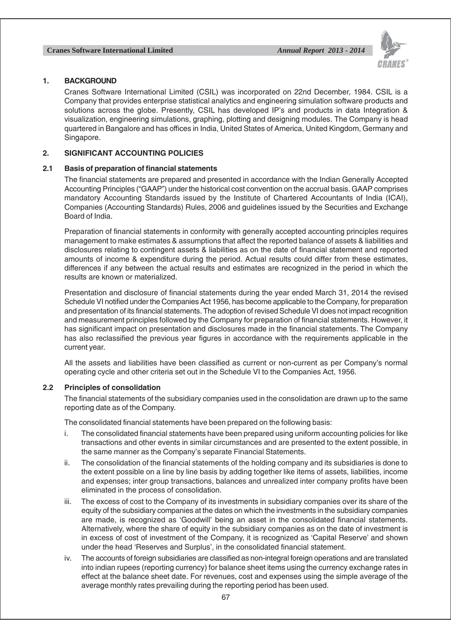

#### **1. BACKGROUND**

Cranes Software International Limited (CSIL) was incorporated on 22nd December, 1984. CSIL is a Company that provides enterprise statistical analytics and engineering simulation software products and solutions across the globe. Presently, CSIL has developed IP's and products in data Integration & visualization, engineering simulations, graphing, plotting and designing modules. The Company is head quartered in Bangalore and has offices in India, United States of America, United Kingdom, Germany and Singapore.

#### **2. SIGNIFICANT ACCOUNTING POLICIES**

#### **2.1 Basis of preparation of financial statements**

The financial statements are prepared and presented in accordance with the Indian Generally Accepted Accounting Principles ("GAAP") under the historical cost convention on the accrual basis. GAAP comprises mandatory Accounting Standards issued by the Institute of Chartered Accountants of India (ICAI), Companies (Accounting Standards) Rules, 2006 and guidelines issued by the Securities and Exchange Board of India.

Preparation of financial statements in conformity with generally accepted accounting principles requires management to make estimates & assumptions that affect the reported balance of assets & liabilities and disclosures relating to contingent assets & liabilities as on the date of financial statement and reported amounts of income & expenditure during the period. Actual results could differ from these estimates, differences if any between the actual results and estimates are recognized in the period in which the results are known or materialized.

Presentation and disclosure of financial statements during the year ended March 31, 2014 the revised Schedule VI notified under the Companies Act 1956, has become applicable to the Company, for preparation and presentation of its financial statements. The adoption of revised Schedule VI does not impact recognition and measurement principles followed by the Company for preparation of financial statements. However, it has significant impact on presentation and disclosures made in the financial statements. The Company has also reclassified the previous year figures in accordance with the requirements applicable in the current year.

All the assets and liabilities have been classified as current or non-current as per Company's normal operating cycle and other criteria set out in the Schedule VI to the Companies Act, 1956.

#### **2.2 Principles of consolidation**

The financial statements of the subsidiary companies used in the consolidation are drawn up to the same reporting date as of the Company.

The consolidated financial statements have been prepared on the following basis:

- i. The consolidated financial statements have been prepared using uniform accounting policies for like transactions and other events in similar circumstances and are presented to the extent possible, in the same manner as the Company's separate Financial Statements.
- ii. The consolidation of the financial statements of the holding company and its subsidiaries is done to the extent possible on a line by line basis by adding together like items of assets, liabilities, income and expenses; inter group transactions, balances and unrealized inter company profits have been eliminated in the process of consolidation.
- iii. The excess of cost to the Company of its investments in subsidiary companies over its share of the equity of the subsidiary companies at the dates on which the investments in the subsidiary companies are made, is recognized as 'Goodwill' being an asset in the consolidated financial statements. Alternatively, where the share of equity in the subsidiary companies as on the date of investment is in excess of cost of investment of the Company, it is recognized as 'Capital Reserve' and shown under the head 'Reserves and Surplus', in the consolidated financial statement.
- iv. The accounts of foreign subsidiaries are classified as non-integral foreign operations and are translated into indian rupees (reporting currency) for balance sheet items using the currency exchange rates in effect at the balance sheet date. For revenues, cost and expenses using the simple average of the average monthly rates prevailing during the reporting period has been used.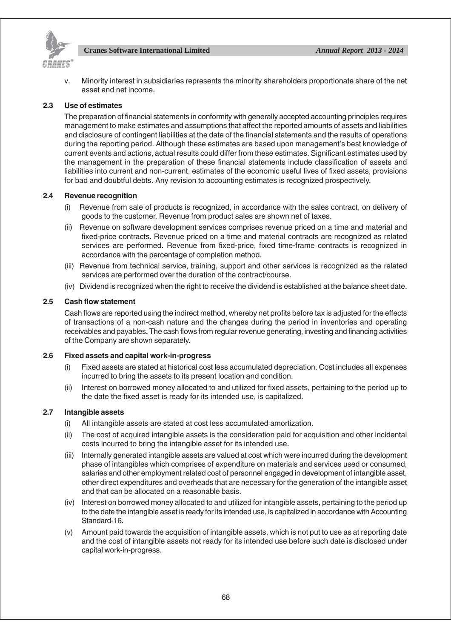

v. Minority interest in subsidiaries represents the minority shareholders proportionate share of the net asset and net income.

#### **2.3 Use of estimates**

The preparation of financial statements in conformity with generally accepted accounting principles requires management to make estimates and assumptions that affect the reported amounts of assets and liabilities and disclosure of contingent liabilities at the date of the financial statements and the results of operations during the reporting period. Although these estimates are based upon management's best knowledge of current events and actions, actual results could differ from these estimates. Significant estimates used by the management in the preparation of these financial statements include classification of assets and liabilities into current and non-current, estimates of the economic useful lives of fixed assets, provisions for bad and doubtful debts. Any revision to accounting estimates is recognized prospectively.

#### **2.4 Revenue recognition**

- (i) Revenue from sale of products is recognized, in accordance with the sales contract, on delivery of goods to the customer. Revenue from product sales are shown net of taxes.
- (ii) Revenue on software development services comprises revenue priced on a time and material and fixed-price contracts. Revenue priced on a time and material contracts are recognized as related services are performed. Revenue from fixed-price, fixed time-frame contracts is recognized in accordance with the percentage of completion method.
- (iii) Revenue from technical service, training, support and other services is recognized as the related services are performed over the duration of the contract/course.
- (iv) Dividend is recognized when the right to receive the dividend is established at the balance sheet date.

#### **2.5 Cash flow statement**

Cash flows are reported using the indirect method, whereby net profits before tax is adjusted for the effects of transactions of a non-cash nature and the changes during the period in inventories and operating receivables and payables. The cash flows from regular revenue generating, investing and financing activities of the Company are shown separately.

#### **2.6 Fixed assets and capital work-in-progress**

- (i) Fixed assets are stated at historical cost less accumulated depreciation. Cost includes all expenses incurred to bring the assets to its present location and condition.
- (ii) Interest on borrowed money allocated to and utilized for fixed assets, pertaining to the period up to the date the fixed asset is ready for its intended use, is capitalized.

#### **2.7 Intangible assets**

- (i) All intangible assets are stated at cost less accumulated amortization.
- (ii) The cost of acquired intangible assets is the consideration paid for acquisition and other incidental costs incurred to bring the intangible asset for its intended use.
- (iii) Internally generated intangible assets are valued at cost which were incurred during the development phase of intangibles which comprises of expenditure on materials and services used or consumed, salaries and other employment related cost of personnel engaged in development of intangible asset, other direct expenditures and overheads that are necessary for the generation of the intangible asset and that can be allocated on a reasonable basis.
- (iv) Interest on borrowed money allocated to and utilized for intangible assets, pertaining to the period up to the date the intangible asset is ready for its intended use, is capitalized in accordance with Accounting Standard-16.
- (v) Amount paid towards the acquisition of intangible assets, which is not put to use as at reporting date and the cost of intangible assets not ready for its intended use before such date is disclosed under capital work-in-progress.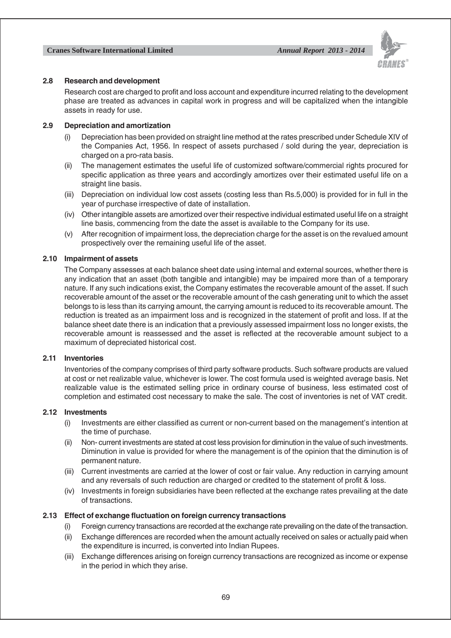

#### **2.8 Research and development**

Research cost are charged to profit and loss account and expenditure incurred relating to the development phase are treated as advances in capital work in progress and will be capitalized when the intangible assets in ready for use.

#### **2.9 Depreciation and amortization**

- Depreciation has been provided on straight line method at the rates prescribed under Schedule XIV of the Companies Act, 1956. In respect of assets purchased / sold during the year, depreciation is charged on a pro-rata basis.
- (ii) The management estimates the useful life of customized software/commercial rights procured for specific application as three years and accordingly amortizes over their estimated useful life on a straight line basis.
- (iii) Depreciation on individual low cost assets (costing less than Rs.5,000) is provided for in full in the year of purchase irrespective of date of installation.
- (iv) Other intangible assets are amortized over their respective individual estimated useful life on a straight line basis, commencing from the date the asset is available to the Company for its use.
- (v) After recognition of impairment loss, the depreciation charge for the asset is on the revalued amount prospectively over the remaining useful life of the asset.

#### **2.10 Impairment of assets**

The Company assesses at each balance sheet date using internal and external sources, whether there is any indication that an asset (both tangible and intangible) may be impaired more than of a temporary nature. If any such indications exist, the Company estimates the recoverable amount of the asset. If such recoverable amount of the asset or the recoverable amount of the cash generating unit to which the asset belongs to is less than its carrying amount, the carrying amount is reduced to its recoverable amount. The reduction is treated as an impairment loss and is recognized in the statement of profit and loss. If at the balance sheet date there is an indication that a previously assessed impairment loss no longer exists, the recoverable amount is reassessed and the asset is reflected at the recoverable amount subject to a maximum of depreciated historical cost.

#### **2.11 Inventories**

Inventories of the company comprises of third party software products. Such software products are valued at cost or net realizable value, whichever is lower. The cost formula used is weighted average basis. Net realizable value is the estimated selling price in ordinary course of business, less estimated cost of completion and estimated cost necessary to make the sale. The cost of inventories is net of VAT credit.

#### **2.12 Investments**

- (i) Investments are either classified as current or non-current based on the management's intention at the time of purchase.
- (ii) Non- current investments are stated at cost less provision for diminution in the value of such investments. Diminution in value is provided for where the management is of the opinion that the diminution is of permanent nature.
- (iii) Current investments are carried at the lower of cost or fair value. Any reduction in carrying amount and any reversals of such reduction are charged or credited to the statement of profit & loss.
- (iv) Investments in foreign subsidiaries have been reflected at the exchange rates prevailing at the date of transactions.

#### **2.13 Effect of exchange fluctuation on foreign currency transactions**

- (i) Foreign currency transactions are recorded at the exchange rate prevailing on the date of the transaction.
- (ii) Exchange differences are recorded when the amount actually received on sales or actually paid when the expenditure is incurred, is converted into Indian Rupees.
- (iii) Exchange differences arising on foreign currency transactions are recognized as income or expense in the period in which they arise.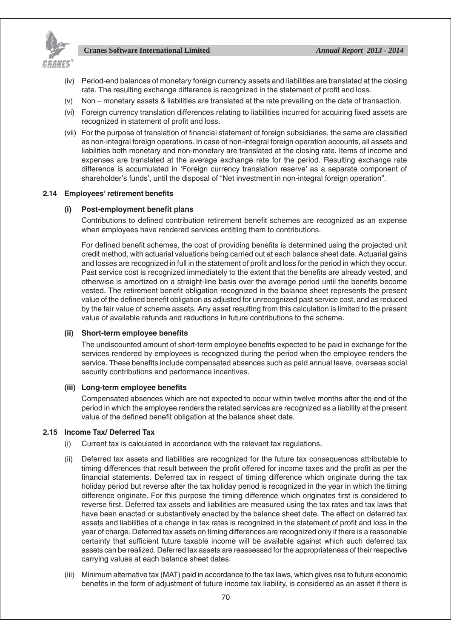

- (iv) Period-end balances of monetary foreign currency assets and liabilities are translated at the closing rate. The resulting exchange difference is recognized in the statement of profit and loss.
- (v) Non monetary assets & liabilities are translated at the rate prevailing on the date of transaction.
- (vi) Foreign currency translation differences relating to liabilities incurred for acquiring fixed assets are recognized in statement of profit and loss.
- (vii) For the purpose of translation of financial statement of foreign subsidiaries, the same are classified as non-integral foreign operations. In case of non-integral foreign operation accounts, all assets and liabilities both monetary and non-monetary are translated at the closing rate. Items of income and expenses are translated at the average exchange rate for the period. Resulting exchange rate difference is accumulated in 'Foreign currency translation reserve' as a separate component of shareholder's funds', until the disposal of "Net investment in non-integral foreign operation".

#### **2.14 Employees' retirement benefits**

#### **(i) Post-employment benefit plans**

Contributions to defined contribution retirement benefit schemes are recognized as an expense when employees have rendered services entitling them to contributions.

For defined benefit schemes, the cost of providing benefits is determined using the projected unit credit method, with actuarial valuations being carried out at each balance sheet date. Actuarial gains and losses are recognized in full in the statement of profit and loss for the period in which they occur. Past service cost is recognized immediately to the extent that the benefits are already vested, and otherwise is amortized on a straight-line basis over the average period until the benefits become vested. The retirement benefit obligation recognized in the balance sheet represents the present value of the defined benefit obligation as adjusted for unrecognized past service cost, and as reduced by the fair value of scheme assets. Any asset resulting from this calculation is limited to the present value of available refunds and reductions in future contributions to the scheme.

#### **(ii) Short-term employee benefits**

The undiscounted amount of short-term employee benefits expected to be paid in exchange for the services rendered by employees is recognized during the period when the employee renders the service. These benefits include compensated absences such as paid annual leave, overseas social security contributions and performance incentives.

#### **(iii) Long-term employee benefits**

Compensated absences which are not expected to occur within twelve months after the end of the period in which the employee renders the related services are recognized as a liability at the present value of the defined benefit obligation at the balance sheet date.

#### **2.15 Income Tax/ Deferred Tax**

- (i) Current tax is calculated in accordance with the relevant tax regulations.
- (ii) Deferred tax assets and liabilities are recognized for the future tax consequences attributable to timing differences that result between the profit offered for income taxes and the profit as per the financial statements. Deferred tax in respect of timing difference which originate during the tax holiday period but reverse after the tax holiday period is recognized in the year in which the timing difference originate. For this purpose the timing difference which originates first is considered to reverse first. Deferred tax assets and liabilities are measured using the tax rates and tax laws that have been enacted or substantively enacted by the balance sheet date. The effect on deferred tax assets and liabilities of a change in tax rates is recognized in the statement of profit and loss in the year of charge. Deferred tax assets on timing differences are recognized only if there is a reasonable certainty that sufficient future taxable income will be available against which such deferred tax assets can be realized. Deferred tax assets are reassessed for the appropriateness of their respective carrying values at each balance sheet dates.
- (iii) Minimum alternative tax (MAT) paid in accordance to the tax laws, which gives rise to future economic benefits in the form of adjustment of future income tax liability, is considered as an asset if there is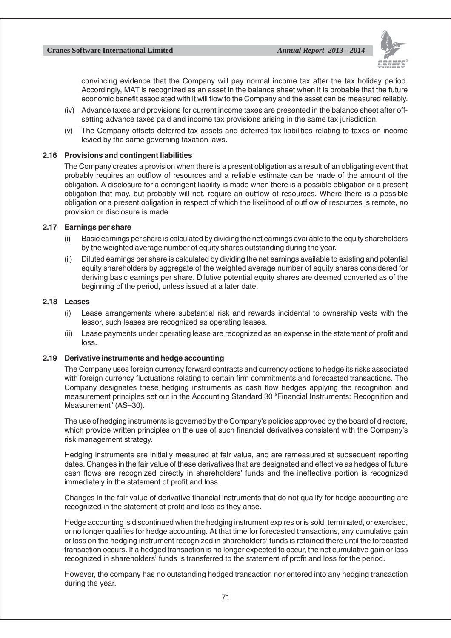

convincing evidence that the Company will pay normal income tax after the tax holiday period. Accordingly, MAT is recognized as an asset in the balance sheet when it is probable that the future economic benefit associated with it will flow to the Company and the asset can be measured reliably.

- (iv) Advance taxes and provisions for current income taxes are presented in the balance sheet after offsetting advance taxes paid and income tax provisions arising in the same tax jurisdiction.
- (v) The Company offsets deferred tax assets and deferred tax liabilities relating to taxes on income levied by the same governing taxation laws.

#### **2.16 Provisions and contingent liabilities**

The Company creates a provision when there is a present obligation as a result of an obligating event that probably requires an outflow of resources and a reliable estimate can be made of the amount of the obligation. A disclosure for a contingent liability is made when there is a possible obligation or a present obligation that may, but probably will not, require an outflow of resources. Where there is a possible obligation or a present obligation in respect of which the likelihood of outflow of resources is remote, no provision or disclosure is made.

#### **2.17 Earnings per share**

- (i) Basic earnings per share is calculated by dividing the net earnings available to the equity shareholders by the weighted average number of equity shares outstanding during the year.
- (ii) Diluted earnings per share is calculated by dividing the net earnings available to existing and potential equity shareholders by aggregate of the weighted average number of equity shares considered for deriving basic earnings per share. Dilutive potential equity shares are deemed converted as of the beginning of the period, unless issued at a later date.

#### **2.18 Leases**

- (i) Lease arrangements where substantial risk and rewards incidental to ownership vests with the lessor, such leases are recognized as operating leases.
- (ii) Lease payments under operating lease are recognized as an expense in the statement of profit and loss.

#### **2.19 Derivative instruments and hedge accounting**

The Company uses foreign currency forward contracts and currency options to hedge its risks associated with foreign currency fluctuations relating to certain firm commitments and forecasted transactions. The Company designates these hedging instruments as cash flow hedges applying the recognition and measurement principles set out in the Accounting Standard 30 "Financial Instruments: Recognition and Measurement" (AS–30).

The use of hedging instruments is governed by the Company's policies approved by the board of directors, which provide written principles on the use of such financial derivatives consistent with the Company's risk management strategy.

Hedging instruments are initially measured at fair value, and are remeasured at subsequent reporting dates. Changes in the fair value of these derivatives that are designated and effective as hedges of future cash flows are recognized directly in shareholders' funds and the ineffective portion is recognized immediately in the statement of profit and loss.

Changes in the fair value of derivative financial instruments that do not qualify for hedge accounting are recognized in the statement of profit and loss as they arise.

Hedge accounting is discontinued when the hedging instrument expires or is sold, terminated, or exercised, or no longer qualifies for hedge accounting. At that time for forecasted transactions, any cumulative gain or loss on the hedging instrument recognized in shareholders' funds is retained there until the forecasted transaction occurs. If a hedged transaction is no longer expected to occur, the net cumulative gain or loss recognized in shareholders' funds is transferred to the statement of profit and loss for the period.

However, the company has no outstanding hedged transaction nor entered into any hedging transaction during the year.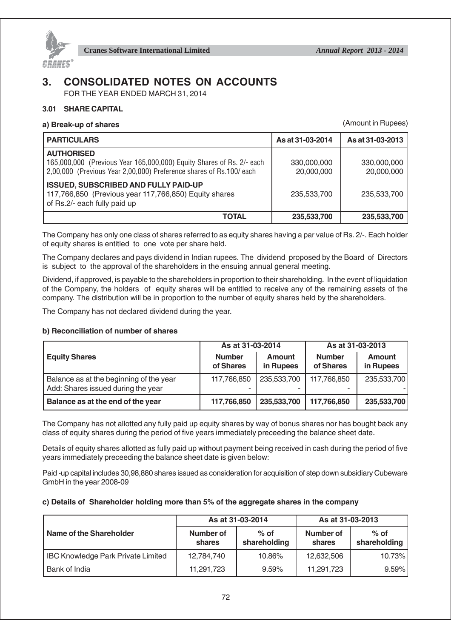

### **3. CONSOLIDATED NOTES ON ACCOUNTS**

FOR THE YEAR ENDED MARCH 31, 2014

#### **3.01 SHARE CAPITAL**

#### **a) Break-up of shares**

(Amount in Rupees)

| <b>PARTICULARS</b>                                                                                                                                               | As at 31-03-2014          | As at 31-03-2013          |
|------------------------------------------------------------------------------------------------------------------------------------------------------------------|---------------------------|---------------------------|
| <b>AUTHORISED</b><br>165,000,000 (Previous Year 165,000,000) Equity Shares of Rs. 2/- each<br>2,00,000 (Previous Year 2,00,000) Preference shares of Rs.100/each | 330,000,000<br>20,000,000 | 330,000,000<br>20,000,000 |
| <b>ISSUED, SUBSCRIBED AND FULLY PAID-UP</b><br>117,766,850 (Previous year 117,766,850) Equity shares<br>of Rs.2/- each fully paid up                             | 235,533,700               | 235.533.700               |
| <b>TOTAL</b>                                                                                                                                                     | 235,533,700               | 235,533,700               |

The Company has only one class of shares referred to as equity shares having a par value of Rs. 2/-. Each holder of equity shares is entitled to one vote per share held.

The Company declares and pays dividend in Indian rupees. The dividend proposed by the Board of Directors is subject to the approval of the shareholders in the ensuing annual general meeting.

Dividend, if approved, is payable to the shareholders in proportion to their shareholding. In the event of liquidation of the Company, the holders of equity shares will be entitled to receive any of the remaining assets of the company. The distribution will be in proportion to the number of equity shares held by the shareholders.

The Company has not declared dividend during the year.

#### **b) Reconciliation of number of shares**

|                                                                               | As at 31-03-2014           |                     | As at 31-03-2013           |                     |
|-------------------------------------------------------------------------------|----------------------------|---------------------|----------------------------|---------------------|
| <b>Equity Shares</b>                                                          | <b>Number</b><br>of Shares | Amount<br>in Rupees | <b>Number</b><br>of Shares | Amount<br>in Rupees |
| Balance as at the beginning of the year<br>Add: Shares issued during the year | 117,766,850                | 235,533,700         | 117,766,850                | 235,533,700         |
| Balance as at the end of the year                                             | 117,766,850                | 235,533,700         | 117,766,850                | 235,533,700         |

The Company has not allotted any fully paid up equity shares by way of bonus shares nor has bought back any class of equity shares during the period of five years immediately preceeding the balance sheet date.

Details of equity shares allotted as fully paid up without payment being received in cash during the period of five years immediately preceeding the balance sheet date is given below:

Paid -up capital includes 30,98,880 shares issued as consideration for acquisition of step down subsidiary Cubeware GmbH in the year 2008-09

#### **c) Details of Shareholder holding more than 5% of the aggregate shares in the company**

|                                           |                     | As at 31-03-2014       | As at 31-03-2013    |                        |
|-------------------------------------------|---------------------|------------------------|---------------------|------------------------|
| Name of the Shareholder                   | Number of<br>shares | $%$ of<br>shareholding | Number of<br>shares | $%$ of<br>shareholding |
| <b>IBC Knowledge Park Private Limited</b> | 12,784,740          | 10.86%                 | 12,632,506          | 10.73%                 |
| Bank of India                             | 11,291,723          | 9.59%                  | 11,291,723          | 9.59%                  |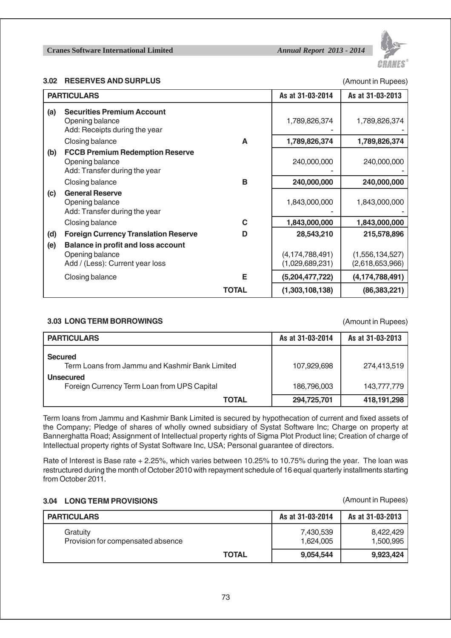

(Amount in Rupees)

#### **3.02 RESERVES AND SURPLUS**

|     | <b>PARTICULARS</b>                                                                              |              | As at 31-03-2014                      | As at 31-03-2013                   |
|-----|-------------------------------------------------------------------------------------------------|--------------|---------------------------------------|------------------------------------|
| (a) | <b>Securities Premium Account</b><br>Opening balance<br>Add: Receipts during the year           |              | 1,789,826,374                         | 1,789,826,374                      |
|     | Closing balance                                                                                 | A            | 1,789,826,374                         | 1,789,826,374                      |
| (b) | <b>FCCB Premium Redemption Reserve</b><br>Opening balance<br>Add: Transfer during the year      |              | 240,000,000                           | 240,000,000                        |
|     | Closing balance                                                                                 | B            | 240,000,000                           | 240,000,000                        |
| (c) | <b>General Reserve</b><br>Opening balance<br>Add: Transfer during the year                      |              | 1,843,000,000                         | 1,843,000,000                      |
|     | Closing balance                                                                                 | C            | 1,843,000,000                         | 1,843,000,000                      |
| (d) | <b>Foreign Currency Translation Reserve</b>                                                     | D            | 28,543,210                            | 215,578,896                        |
| (e) | <b>Balance in profit and loss account</b><br>Opening balance<br>Add / (Less): Current year loss |              | (4, 174, 788, 491)<br>(1,029,689,231) | (1,556,134,527)<br>(2,618,653,966) |
|     | Closing balance                                                                                 | Е            | (5,204,477,722)                       | (4, 174, 788, 491)                 |
|     |                                                                                                 | <b>TOTAL</b> | (1,303,108,138)                       | (86, 383, 221)                     |

#### **3.03 LONG TERM BORROWINGS**

(Amount in Rupees)

(Amount in Rupees)

| <b>PARTICULARS</b>                                                                                                           | As at 31-03-2014           | As at 31-03-2013           |
|------------------------------------------------------------------------------------------------------------------------------|----------------------------|----------------------------|
| <b>Secured</b><br>Term Loans from Jammu and Kashmir Bank Limited<br>Unsecured<br>Foreign Currency Term Loan from UPS Capital | 107,929,698<br>186,796,003 | 274,413,519<br>143,777,779 |
| <b>TOTAL</b>                                                                                                                 | 294,725,701                | 418,191,298                |

Term loans from Jammu and Kashmir Bank Limited is secured by hypothecation of current and fixed assets of the Company; Pledge of shares of wholly owned subsidiary of Systat Software Inc; Charge on property at Bannerghatta Road; Assignment of Intellectual property rights of Sigma Plot Product line; Creation of charge of Intellectual property rights of Systat Software Inc, USA; Personal guarantee of directors.

Rate of Interest is Base rate + 2.25%, which varies between 10.25% to 10.75% during the year. The loan was restructured during the month of October 2010 with repayment schedule of 16 equal quarterly installments starting from October 2011.

#### **3.04 LONG TERM PROVISIONS**

| <b>PARTICULARS</b>                            |              | As at 31-03-2014       | As at 31-03-2013       |
|-----------------------------------------------|--------------|------------------------|------------------------|
| Gratuity<br>Provision for compensated absence |              | 7,430,539<br>1,624,005 | 8.422.429<br>1,500,995 |
|                                               | <b>TOTAL</b> | 9,054,544              | 9.923.424              |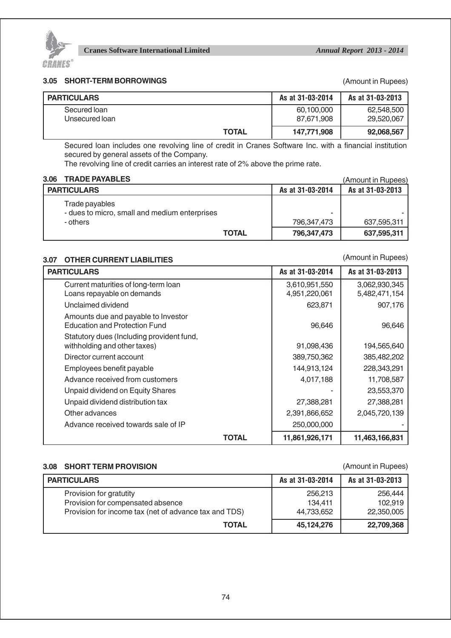

#### **3.05 SHORT-TERM BORROWINGS**

(Amount in Rupees)

(Amount in Rupees)

(Amount in Rupees)

| <b>PARTICULARS</b>             |              | As at 31-03-2014         | As at 31-03-2013         |
|--------------------------------|--------------|--------------------------|--------------------------|
| Secured loan<br>Unsecured loan |              | 60,100,000<br>87,671,908 | 62,548,500<br>29,520,067 |
|                                | <b>TOTAL</b> | 147,771,908              | 92,068,567               |

Secured loan includes one revolving line of credit in Cranes Software Inc. with a financial institution secured by general assets of the Company.

The revolving line of credit carries an interest rate of 2% above the prime rate.

| 3.06 TRADE PAYABLES                                                         |              |                  | (Amount in Rupees) |
|-----------------------------------------------------------------------------|--------------|------------------|--------------------|
| <b>PARTICULARS</b>                                                          |              | As at 31-03-2014 | As at 31-03-2013   |
| Trade payables<br>- dues to micro, small and medium enterprises<br>- others |              | -<br>796,347,473 | 637,595,311        |
|                                                                             | <b>TOTAL</b> | 796,347,473      | 637,595,311        |

#### **3.07 OTHER CURRENT LIABILITIES**

| <b>PARTICULARS</b>                                                          |       | As at 31-03-2014 | As at 31-03-2013 |
|-----------------------------------------------------------------------------|-------|------------------|------------------|
| Current maturities of long-term loan                                        |       | 3,610,951,550    | 3,062,930,345    |
| Loans repayable on demands                                                  |       | 4,951,220,061    | 5,482,471,154    |
| Unclaimed dividend                                                          |       | 623,871          | 907,176          |
| Amounts due and payable to Investor<br><b>Education and Protection Fund</b> |       | 96,646           | 96,646           |
| Statutory dues (Including provident fund,<br>withholding and other taxes)   |       | 91,098,436       | 194,565,640      |
| Director current account                                                    |       | 389,750,362      | 385,482,202      |
| Employees benefit payable                                                   |       | 144,913,124      | 228,343,291      |
| Advance received from customers                                             |       | 4,017,188        | 11,708,587       |
| Unpaid dividend on Equity Shares                                            |       |                  | 23,553,370       |
| Unpaid dividend distribution tax                                            |       | 27,388,281       | 27,388,281       |
| Other advances                                                              |       | 2,391,866,652    | 2,045,720,139    |
| Advance received towards sale of IP                                         |       | 250,000,000      |                  |
|                                                                             | TOTAL | 11,861,926,171   | 11,463,166,831   |

#### **3.08 SHORT TERM PROVISION**

| <b>PARTICULARS</b>                                    | As at 31-03-2014 | As at 31-03-2013 |
|-------------------------------------------------------|------------------|------------------|
| Provision for gratutity                               | 256,213          | 256,444          |
| Provision for compensated absence                     | 134.411          | 102.919          |
| Provision for income tax (net of advance tax and TDS) | 44,733,652       | 22,350,005       |
| <b>TOTAL</b>                                          | 45,124,276       | 22,709,368       |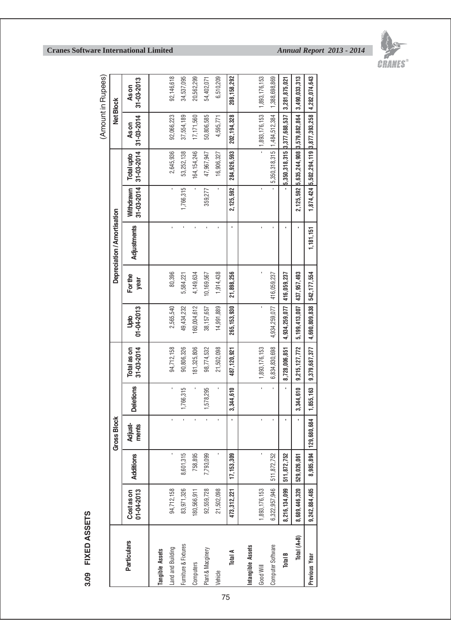

|                        |                          |               |                         |                  |                                 |                    |                 |                           |                         |                                       |                           | (Amount in Rupees)  |
|------------------------|--------------------------|---------------|-------------------------|------------------|---------------------------------|--------------------|-----------------|---------------------------|-------------------------|---------------------------------------|---------------------------|---------------------|
|                        |                          |               | <b>Gross Block</b>      |                  |                                 |                    |                 | Depreciation/Amortisation |                         |                                       | <b>Net Block</b>          |                     |
| <b>Particulars</b>     | 01-04-2013<br>Cost as on | Additions     | Adjust-<br>ments        | <b>Deletions</b> | $31 - 03 - 2014$<br>Total as on | 01-04-2013<br>Jpto | For the<br>year | Adjustments               | 31-03-2014<br>Withdrawn | 31-03-2014<br><b>Total upto</b>       | 31-03-2014<br><b>Ason</b> | 31-03-2013<br>As on |
| <b>Tangible Assets</b> |                          |               |                         |                  |                                 |                    |                 |                           |                         |                                       |                           |                     |
| Land and Building      | 94,712,158               |               |                         |                  | 94,712,158                      | 2,565,540          | 80,396          |                           |                         | 2,645,936                             | 92,066,223                | 92,146,618          |
| Furniture & Fixtures   | 83,971,326               | 8,601,315     |                         | 1,766,315        | 90,806,326                      | 49,434,232         | 5,584,221       |                           | 1,766,315               | 53,252,138                            | 37,554,189                | 34,537,095          |
| Computers              | 180,566,911              | 758,895       |                         |                  | 181,325,806                     | 60,004,612         | 4,149,634       |                           |                         | 164, 154, 246                         | 17,171,560                | 20,562,299          |
| Plant & Macginery      | 92,559,728               | 7,793,099     |                         | 1,578,295        | 98,774,532                      | 38,157,657         | 10,169,567      |                           | 359,277                 | 47,967,947                            | 50,806,585                | 54,402,071          |
| Vehicle                | 21,502,098               |               |                         |                  | 21,502,098                      | 14,991,889         | 1,914,438       |                           |                         | 16,906,327                            | 4,595,771                 | 6,510,209           |
| Total A                | 473, 312, 221            | 17,153,309    |                         | 3,344,610        | 487,120,921                     | 265, 153, 930      | 21,898,256      |                           | 2,125,592               | 284,926,593                           | 202, 194, 328             | 208, 158, 292       |
| Intangible Assets      |                          |               |                         |                  |                                 |                    |                 |                           |                         |                                       |                           |                     |
| Good Will              | 1,893,176,153            |               |                         |                  | 1,893,176,153                   | ı                  |                 |                           |                         |                                       | 1,893,176,153             | 1,893,176,153       |
| Computer Software      | 6,322,957,946            | 511,872,752   |                         |                  | 6,834,830,698                   | 4,934,259,077      | 416,059,237     |                           |                         | 5,350,318,315                         | 1,484,512,384             | 1,388,698,869       |
| <b>Total B</b>         | 8,216,134,099            | 511, 872, 752 |                         |                  | 8,728,006,851                   | 4,934,259,077      | 416,059,237     |                           |                         | 5,350,318,315                         | 3,377,688,537             | 3,281,875,021       |
| Total (A+B)            | 8,689,446,320            | 529,026,061   |                         | 3,344,610        | 9, 215, 127, 772                | 5,199,413,007      | 437, 957, 493   |                           |                         | 2,125,592 5,635,244,908 3,579,882,864 |                           | 3,490,033,313       |
| <b>Previous Year</b>   | 9,242,884,485            |               | 8,985,894   129,680,684 | 1,855,163        | 9,379,687,377                   | 4,690,809,838      | 542, 177, 554   | 1,181,151                 |                         | 1,874,424 5,502,294,119 3,877,393,258 |                           | 4,282,074,643       |

# 3.09 FIXED ASSETS **3.09 FIXED ASSETS**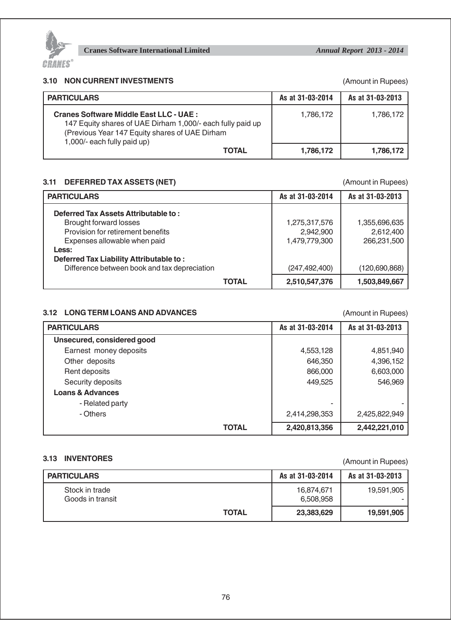

#### **3.10 NON CURRENT INVESTMENTS**

(Amount in Rupees)

(Amount in Rupees)

| <b>PARTICULARS</b>                                                                                                                                                                     | As at 31-03-2014 | As at 31-03-2013 |
|----------------------------------------------------------------------------------------------------------------------------------------------------------------------------------------|------------------|------------------|
| Cranes Software Middle East LLC - UAE :<br>147 Equity shares of UAE Dirham 1,000/- each fully paid up<br>(Previous Year 147 Equity shares of UAE Dirham<br>1,000/- each fully paid up) | 1,786,172        | 1,786,172        |
| TOTAL                                                                                                                                                                                  | 1,786,172        | 1,786,172        |

#### **3.11 DEFERRED TAX ASSETS (NET)**

| <b>PARTICULARS</b>                           |       | As at 31-03-2014 | As at 31-03-2013 |
|----------------------------------------------|-------|------------------|------------------|
| Deferred Tax Assets Attributable to:         |       |                  |                  |
| <b>Brought forward losses</b>                |       | 1,275,317,576    | 1,355,696,635    |
| Provision for retirement benefits            |       | 2,942,900        | 2,612,400        |
| Expenses allowable when paid                 |       | 1,479,779,300    | 266,231,500      |
| Less:                                        |       |                  |                  |
| Deferred Tax Liability Attributable to:      |       |                  |                  |
| Difference between book and tax depreciation |       | (247, 492, 400)  | (120,690,868)    |
|                                              | TOTAL | 2,510,547,376    | 1,503,849,667    |

#### **3.12 LONG TERM LOANS AND ADVANCES**

| 3.12 LONG TERM LOANS AND ADVANCES |              |                  | (Amount in Rupees) |
|-----------------------------------|--------------|------------------|--------------------|
| <b>PARTICULARS</b>                |              | As at 31-03-2014 | As at 31-03-2013   |
| Unsecured, considered good        |              |                  |                    |
| Earnest money deposits            |              | 4,553,128        | 4,851,940          |
| Other deposits                    |              | 646,350          | 4,396,152          |
| Rent deposits                     |              | 866,000          | 6,603,000          |
| Security deposits                 |              | 449,525          | 546,969            |
| <b>Loans &amp; Advances</b>       |              |                  |                    |
| - Related party                   |              |                  |                    |
| - Others                          |              | 2,414,298,353    | 2,425,822,949      |
|                                   | <b>TOTAL</b> | 2,420,813,356    | 2,442,221,010      |

#### **3.13 INVENTORES**

| (Amount in Rupees) |  |
|--------------------|--|
|--------------------|--|

| <b>PARTICULARS</b>                 |              | As at 31-03-2014        | As at 31-03-2013 |
|------------------------------------|--------------|-------------------------|------------------|
| Stock in trade<br>Goods in transit |              | 16,874,671<br>6,508,958 | 19,591,905       |
|                                    | <b>TOTAL</b> | 23,383,629              | 19,591,905       |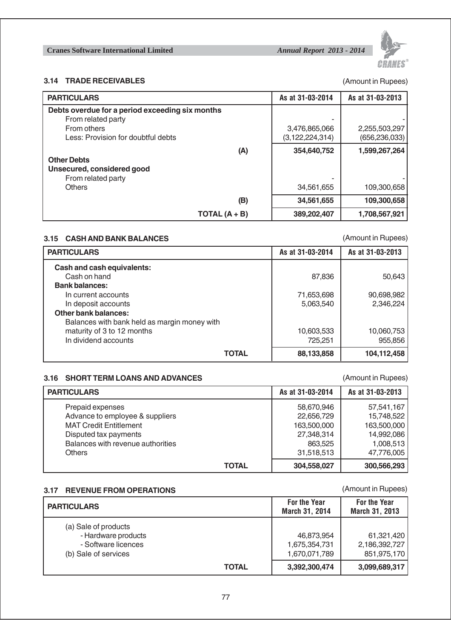#### 77

**Cranes Software International Limited** *Annual Report 2013 - 2014*

#### **3.14 TRADE RECEIVABLES**

| <b>PARTICULARS</b>                              | As at 31-03-2014   | As at 31-03-2013 |
|-------------------------------------------------|--------------------|------------------|
| Debts overdue for a period exceeding six months |                    |                  |
| From related party                              |                    |                  |
| From others                                     | 3,476,865,066      | 2,255,503,297    |
| Less: Provision for doubtful debts              | (3, 122, 224, 314) | (656, 236, 033)  |
| (A)                                             | 354,640,752        | 1,599,267,264    |
| <b>Other Debts</b>                              |                    |                  |
| Unsecured, considered good                      |                    |                  |
| From related party                              |                    |                  |
| Others                                          | 34,561,655         | 109,300,658      |
| (B)                                             | 34,561,655         | 109,300,658      |
| TOTAL $(A + B)$                                 | 389,202,407        | 1,708,567,921    |

#### **3.15 CASH AND BANK BALANCES**

| <b>PARTICULARS</b>                           | As at 31-03-2014 | As at 31-03-2013 |
|----------------------------------------------|------------------|------------------|
| Cash and cash equivalents:                   |                  |                  |
| Cash on hand                                 | 87,836           | 50,643           |
| <b>Bank balances:</b>                        |                  |                  |
| In current accounts                          | 71,653,698       | 90,698,982       |
| In deposit accounts                          | 5,063,540        | 2,346,224        |
| <b>Other bank balances:</b>                  |                  |                  |
| Balances with bank held as margin money with |                  |                  |
| maturity of 3 to 12 months                   | 10,603,533       | 10,060,753       |
| In dividend accounts                         | 725,251          | 955,856          |
| TOTAL                                        | 88,133,858       | 104,112,458      |

#### **3.16 SHORT TERM LOANS AND ADVANCES**

| <b>PARTICULARS</b>                                                                                                                                                  | As at 31-03-2014                                                               | As at 31-03-2013                                                                 |
|---------------------------------------------------------------------------------------------------------------------------------------------------------------------|--------------------------------------------------------------------------------|----------------------------------------------------------------------------------|
| Prepaid expenses<br>Advance to employee & suppliers<br><b>MAT Credit Entitlement</b><br>Disputed tax payments<br>Balances with revenue authorities<br><b>Others</b> | 58,670,946<br>22,656,729<br>163,500,000<br>27,348,314<br>863,525<br>31,518,513 | 57,541,167<br>15,748,522<br>163,500,000<br>14,992,086<br>1,008,513<br>47,776,005 |
| <b>TOTAL</b>                                                                                                                                                        | 304,558,027                                                                    | 300,566,293                                                                      |

#### **3.17 REVENUE FROM OPERATIONS**

| <b>PARTICULARS</b>                                                                         |              | <b>For the Year</b><br>March 31, 2014        | <b>For the Year</b><br>March 31, 2013      |
|--------------------------------------------------------------------------------------------|--------------|----------------------------------------------|--------------------------------------------|
| (a) Sale of products<br>- Hardware products<br>- Software licences<br>(b) Sale of services |              | 46,873,954<br>1,675,354,731<br>1,670,071,789 | 61,321,420<br>2,186,392,727<br>851,975,170 |
|                                                                                            | <b>TOTAL</b> | 3,392,300,474                                | 3,099,689,317                              |

**CRANES** 

(Amount in Rupees)

#### (Amount in Rupees)

#### (Amount in Rupees)

(Amount in Rupees)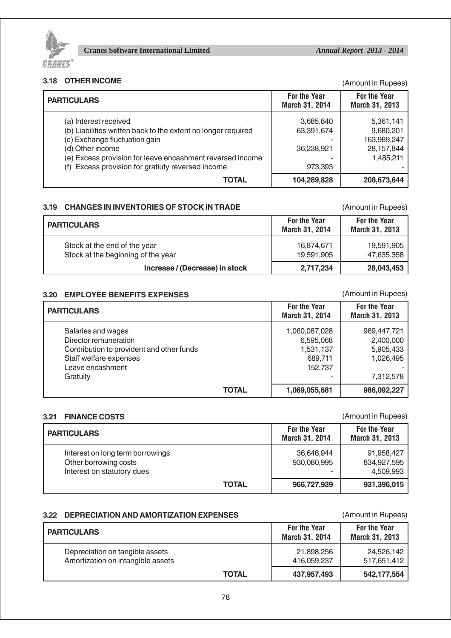

(Amount in Rupees)

(Amount in Rupees)

(Amount in Rupees)

(Amount in Rupees)

(Amount in Rupees)

#### **3.18 OTHER INCOME**

| <b>PARTICULARS</b>                                                                                                                                                                                                                                            | <b>For the Year</b><br>March 31, 2014            | <b>For the Year</b><br>March 31, 2013                            |
|---------------------------------------------------------------------------------------------------------------------------------------------------------------------------------------------------------------------------------------------------------------|--------------------------------------------------|------------------------------------------------------------------|
| (a) Interest received<br>(b) Liabilities written back to the extent no longer required<br>(c) Exchange fluctuation gain<br>(d) Other income<br>(e) Excess provision for leave encashment reversed income<br>(f) Excess provision for gratiuty reversed income | 3,685,840<br>63,391,674<br>36,238,921<br>973,393 | 5,361,141<br>9,680,201<br>163,989,247<br>28,157,844<br>1,485,211 |
| <b>TOTAL</b>                                                                                                                                                                                                                                                  | 104,289,828                                      | 208,673,644                                                      |

#### **3.19 CHANGES IN INVENTORIES OF STOCK IN TRADE**

| <b>PARTICULARS</b>                                                 | For the Year<br>March 31, 2014 | <b>For the Year</b><br>March 31, 2013 |
|--------------------------------------------------------------------|--------------------------------|---------------------------------------|
| Stock at the end of the year<br>Stock at the beginning of the year | 16.874.671<br>19.591.905       | 19,591,905<br>47,635,358              |
| Increase / (Decrease) in stock                                     | 2,717,234                      | 28,043,453                            |

#### **3.20 EMPLOYEE BENEFITS EXPENSES**

| <b>PARTICULARS</b>                                                                                                                     | For the Year<br>March 31, 2014                                | <b>For the Year</b><br>March 31, 2013              |
|----------------------------------------------------------------------------------------------------------------------------------------|---------------------------------------------------------------|----------------------------------------------------|
| Salaries and wages<br>Director remuneration<br>Contribution to provident and other funds<br>Staff welfare expenses<br>Leave encashment | 1,060,087,028<br>6,595,068<br>1,531,137<br>689,711<br>152,737 | 969,447,721<br>2,400,000<br>5,905,433<br>1,026,495 |
| Gratuity                                                                                                                               |                                                               | 7,312,578                                          |
| <b>TOTAL</b>                                                                                                                           | 1,069,055,681                                                 | 986,092,227                                        |

#### **3.21 FINANCE COSTS**

| <b>PARTICULARS</b>                                                                      |              | <b>For the Year</b><br>March 31, 2014 | For the Year<br>March 31, 2013         |
|-----------------------------------------------------------------------------------------|--------------|---------------------------------------|----------------------------------------|
| Interest on long term borrowings<br>Other borrowing costs<br>Interest on statutory dues |              | 36,646,944<br>930,080,995             | 91,958,427<br>834,927,595<br>4,509,993 |
|                                                                                         | <b>TOTAL</b> | 966,727,939                           | 931,396,015                            |

#### **3.22 DEPRECIATION AND AMORTIZATION EXPENSES**

| <b>PARTICULARS</b>                                                   |              | <b>For the Year</b><br>March 31, 2014 | <b>For the Year</b><br>March 31, 2013 |
|----------------------------------------------------------------------|--------------|---------------------------------------|---------------------------------------|
| Depreciation on tangible assets<br>Amortization on intangible assets |              | 21,898,256<br>416,059,237             | 24,526,142<br>517,651,412             |
|                                                                      | <b>TOTAL</b> | 437,957,493                           | 542,177,554                           |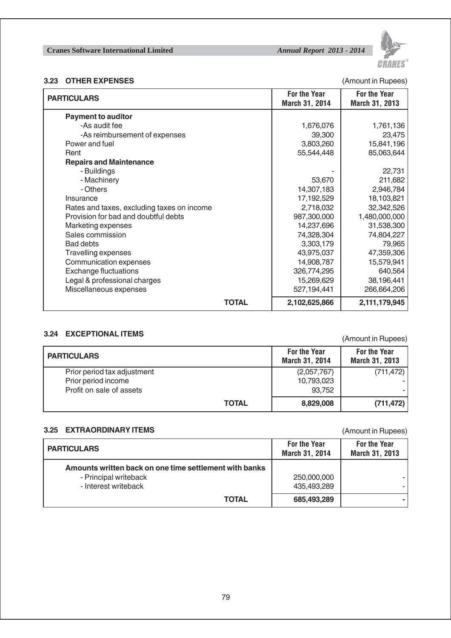

(Amount in Rupees)

#### **3.23 OTHER EXPENSES**

| <b>PARTICULARS</b>                         | <b>For the Year</b><br>March 31, 2014 | <b>For the Year</b><br>March 31, 2013 |
|--------------------------------------------|---------------------------------------|---------------------------------------|
| <b>Payment to auditor</b>                  |                                       |                                       |
| -As audit fee                              | 1,676,076                             | 1,761,136                             |
| -As reimbursement of expenses              | 39,300                                | 23,475                                |
| Power and fuel                             | 3,803,260                             | 15,841,196                            |
| Rent                                       | 55,544,448                            | 85,063,644                            |
| <b>Repairs and Maintenance</b>             |                                       |                                       |
| - Buildings                                |                                       | 22,731                                |
| - Machinery                                | 53,670                                | 211,682                               |
| - Others                                   | 14,307,183                            | 2,946,784                             |
| Insurance                                  | 17,192,529                            | 18,103,821                            |
| Rates and taxes, excluding taxes on income | 2,718,032                             | 32,342,526                            |
| Provision for bad and doubtful debts       | 987,300,000                           | 1,480,000,000                         |
| Marketing expenses                         | 14,237,696                            | 31,538,300                            |
| Sales commission                           | 74,328,304                            | 74,804,227                            |
| <b>Bad debts</b>                           | 3,303,179                             | 79,965                                |
| <b>Travelling expenses</b>                 | 43,975,037                            | 47,359,306                            |
| Communication expenses                     | 14,908,787                            | 15,579,941                            |
| <b>Exchange fluctuations</b>               | 326,774,295                           | 640,564                               |
| Legal & professional charges               | 15,269,629                            | 38,196,441                            |
| Miscellaneous expenses                     | 527,194,441                           | 266,664,206                           |
| TOTAL                                      | 2,102,625,866                         | 2,111,179,945                         |

#### **3.24 EXCEPTIONAL ITEMS**

| <b>PARTICULARS</b>          |              | <b>For the Year</b><br>March 31, 2014 | <b>For the Year</b><br>March 31, 2013 |
|-----------------------------|--------------|---------------------------------------|---------------------------------------|
| Prior period tax adjustment |              | (2,057,767)                           | (711, 472)                            |
| Prior period income         |              | 10,793,023                            |                                       |
| Profit on sale of assets    |              | 93.752                                |                                       |
|                             | <b>TOTAL</b> | 8,829,008                             | (711, 472)                            |

#### **3.25 EXTRAORDINARY ITEMS**

#### (Amount in Rupees)

(Amount in Rupees)

| <b>PARTICULARS</b>                                                                                      | For the Year<br>March 31, 2014 | For the Year<br>March 31, 2013 |  |
|---------------------------------------------------------------------------------------------------------|--------------------------------|--------------------------------|--|
| Amounts written back on one time settlement with banks<br>- Principal writeback<br>- Interest writeback |                                | 250,000,000<br>435,493,289     |  |
|                                                                                                         | <b>TOTAL</b>                   | 685,493,289                    |  |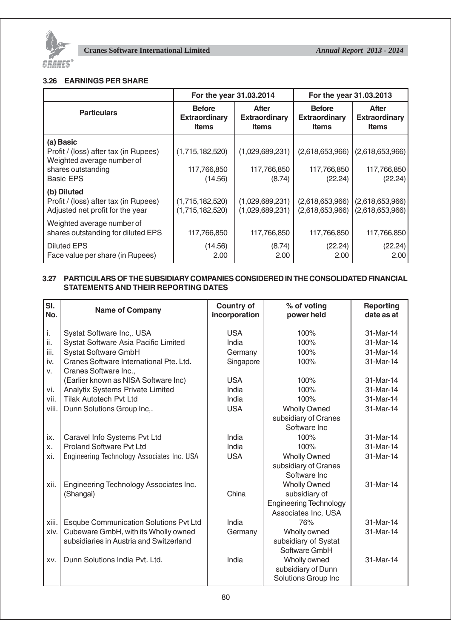

#### **3.26 EARNINGS PER SHARE**

|                                                                                                                            | For the year 31.03.2014                               |                                               | For the year 31.03.2013                               |                                               |  |
|----------------------------------------------------------------------------------------------------------------------------|-------------------------------------------------------|-----------------------------------------------|-------------------------------------------------------|-----------------------------------------------|--|
| <b>Particulars</b>                                                                                                         | <b>Before</b><br><b>Extraordinary</b><br><b>Items</b> | After<br><b>Extraordinary</b><br><b>Items</b> | <b>Before</b><br><b>Extraordinary</b><br><b>Items</b> | After<br><b>Extraordinary</b><br><b>Items</b> |  |
| (a) Basic<br>Profit / (loss) after tax (in Rupees)<br>Weighted average number of<br>shares outstanding<br><b>Basic EPS</b> | (1,715,182,520)<br>117,766,850<br>(14.56)             | (1,029,689,231)<br>117,766,850<br>(8.74)      | (2,618,653,966)<br>117,766,850<br>(22.24)             | (2,618,653,966)<br>117,766,850<br>(22.24)     |  |
| (b) Diluted<br>Profit / (loss) after tax (in Rupees)<br>Adjusted net profit for the year                                   | (1,715,182,520)<br>(1,715,182,520)                    | (1,029,689,231)<br>(1,029,689,231)            | (2,618,653,966)<br>(2,618,653,966)                    | (2,618,653,966)<br>(2,618,653,966)            |  |
| Weighted average number of<br>shares outstanding for diluted EPS                                                           | 117,766,850                                           | 117,766,850                                   | 117,766,850                                           | 117,766,850                                   |  |
| <b>Diluted EPS</b><br>Face value per share (in Rupees)                                                                     | (14.56)<br>2.00                                       | (8.74)<br>2.00                                | (22.24)<br>2.00                                       | (22.24)<br>2.00                               |  |

#### **3.27 PARTICULARS OF THE SUBSIDIARY COMPANIES CONSIDERED IN THE CONSOLIDATED FINANCIAL STATEMENTS AND THEIR REPORTING DATES**

| SI.<br>No. | <b>Name of Company</b>                        | <b>Country of</b><br>incorporation | % of voting<br>power held             | <b>Reporting</b><br>date as at |
|------------|-----------------------------------------------|------------------------------------|---------------------------------------|--------------------------------|
| i.         | Systat Software Inc,. USA                     | <b>USA</b>                         | 100%                                  | 31-Mar-14                      |
| ii.        | Systat Software Asia Pacific Limited          | India                              | 100%                                  | 31-Mar-14                      |
| iii.       | Systat Software GmbH                          | Germany                            | 100%                                  | 31-Mar-14                      |
| iv.        | Cranes Software International Pte, Ltd.       | Singapore                          | 100%                                  | 31-Mar-14                      |
| V.         | Cranes Software Inc.,                         |                                    |                                       |                                |
|            | (Earlier known as NISA Software Inc)          | <b>USA</b>                         | 100%                                  | 31-Mar-14                      |
| vi.        | Analytix Systems Private Limited              | India                              | 100%                                  | 31-Mar-14                      |
| vii.       | <b>Tilak Autotech Pvt Ltd</b>                 | India                              | 100%                                  | 31-Mar-14                      |
| viii.      | Dunn Solutions Group Inc,.                    | <b>USA</b>                         | <b>Wholly Owned</b>                   | 31-Mar-14                      |
|            |                                               |                                    | subsidiary of Cranes                  |                                |
|            |                                               |                                    | Software Inc                          |                                |
| ix.        | Caravel Info Systems Pvt Ltd                  | India                              | 100%                                  | 31-Mar-14                      |
| $X_{-}$    | <b>Proland Software Pvt Ltd</b>               | India                              | 100%                                  | 31-Mar-14                      |
| xi.        | Engineering Technology Associates Inc. USA    | <b>USA</b>                         | <b>Wholly Owned</b>                   | 31-Mar-14                      |
|            |                                               |                                    | subsidiary of Cranes                  |                                |
|            |                                               |                                    | Software Inc                          |                                |
| xii.       | Engineering Technology Associates Inc.        |                                    | <b>Wholly Owned</b>                   | 31-Mar-14                      |
|            | (Shangai)                                     | China                              | subsidiary of                         |                                |
|            |                                               |                                    | <b>Engineering Technology</b>         |                                |
|            |                                               |                                    | Associates Inc, USA                   |                                |
| xiii.      | <b>Esqube Communication Solutions Pvt Ltd</b> | India                              | 76%                                   | 31-Mar-14                      |
| xiv.       | Cubeware GmbH, with its Wholly owned          | Germany                            | Wholly owned                          | 31-Mar-14                      |
|            | subsidiaries in Austria and Switzerland       |                                    | subsidiary of Systat<br>Software GmbH |                                |
| XV.        | Dunn Solutions India Pvt. Ltd.                | India                              | Wholly owned                          | 31-Mar-14                      |
|            |                                               |                                    | subsidiary of Dunn                    |                                |
|            |                                               |                                    | Solutions Group Inc                   |                                |
|            |                                               |                                    |                                       |                                |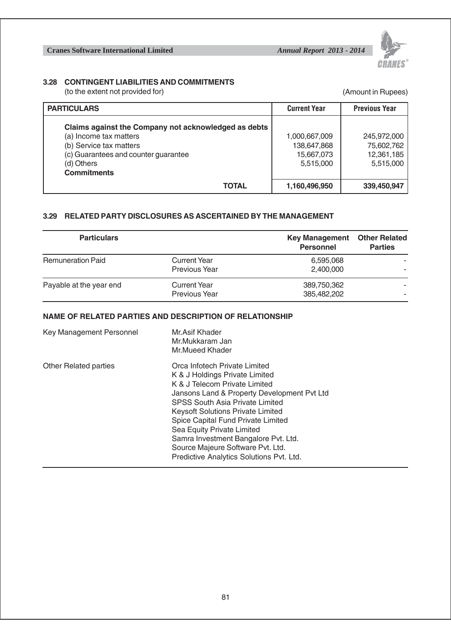

#### **3.28 CONTINGENT LIABILITIES AND COMMITMENTS**

(to the extent not provided for)

| <b>PARTICULARS</b>                                   | <b>Current Year</b> | <b>Previous Year</b> |  |
|------------------------------------------------------|---------------------|----------------------|--|
| Claims against the Company not acknowledged as debts |                     |                      |  |
| (a) Income tax matters                               | 1,000,667,009       | 245,972,000          |  |
| (b) Service tax matters                              | 138,647,868         | 75,602,762           |  |
| (c) Guarantees and counter guarantee                 | 15,667,073          | 12,361,185           |  |
| (d) Others                                           | 5,515,000           | 5,515,000            |  |
| <b>Commitments</b>                                   |                     |                      |  |
| TOTAL                                                | 1,160,496,950       | 339,450,947          |  |

#### **3.29 RELATED PARTY DISCLOSURES AS ASCERTAINED BY THE MANAGEMENT**

| <b>Particulars</b>       |                                             | <b>Key Management</b><br><b>Personnel</b> | <b>Other Related</b><br><b>Parties</b> |  |
|--------------------------|---------------------------------------------|-------------------------------------------|----------------------------------------|--|
| <b>Remuneration Paid</b> | <b>Current Year</b><br><b>Previous Year</b> | 6,595,068<br>2,400,000                    |                                        |  |
| Payable at the year end  | <b>Current Year</b><br><b>Previous Year</b> | 389,750,362<br>385,482,202                |                                        |  |

#### **NAME OF RELATED PARTIES AND DESCRIPTION OF RELATIONSHIP**

| Key Management Personnel     | Mr. Asif Khader<br>Mr.Mukkaram Jan<br>Mr.Mueed Khader                                                                                                                                                                                                                                                                                                                                                                              |
|------------------------------|------------------------------------------------------------------------------------------------------------------------------------------------------------------------------------------------------------------------------------------------------------------------------------------------------------------------------------------------------------------------------------------------------------------------------------|
| <b>Other Related parties</b> | Orca Infotech Private Limited<br>K & J Holdings Private Limited<br>K & J Telecom Private Limited<br>Jansons Land & Property Development Pvt Ltd<br><b>SPSS South Asia Private Limited</b><br><b>Keysoft Solutions Private Limited</b><br>Spice Capital Fund Private Limited<br>Sea Equity Private Limited<br>Samra Investment Bangalore Pvt. Ltd.<br>Source Majeure Software Pvt. Ltd.<br>Predictive Analytics Solutions Pvt. Ltd. |

(Amount in Rupees)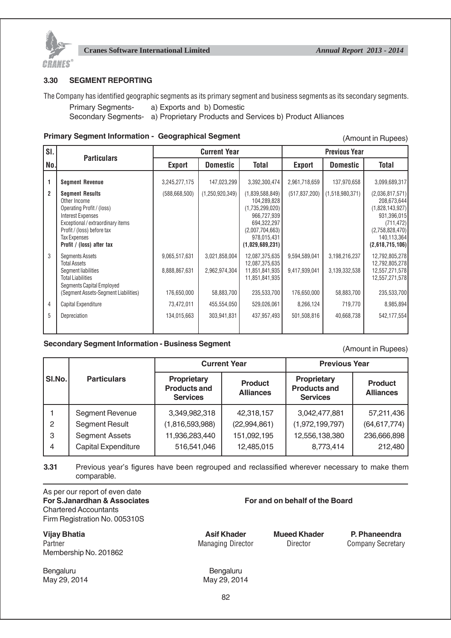

#### **3.30 SEGMENT REPORTING**

The Company has identified geographic segments as its primary segment and business segments as its secondary segments.

Primary Segments- a) Exports and b) Domestic Secondary Segments- a) Proprietary Products and Services b) Product Alliances

#### **Primary Segment Information - Geographical Segment**

(Amount in Rupees)

| SI.            |                                                                                                                                                                                                                        | <b>Current Year</b>                           |                                              |                                                                                                                                      | <b>Previous Year</b>                          |                                              |                                                                                                                                     |  |
|----------------|------------------------------------------------------------------------------------------------------------------------------------------------------------------------------------------------------------------------|-----------------------------------------------|----------------------------------------------|--------------------------------------------------------------------------------------------------------------------------------------|-----------------------------------------------|----------------------------------------------|-------------------------------------------------------------------------------------------------------------------------------------|--|
| No.            | <b>Particulars</b>                                                                                                                                                                                                     | <b>Export</b><br><b>Domestic</b>              |                                              | <b>Total</b>                                                                                                                         | <b>Export</b>                                 | <b>Domestic</b>                              | <b>Total</b>                                                                                                                        |  |
| 1              | <b>Segment Revenue</b>                                                                                                                                                                                                 | 3,245,277,175                                 | 147,023,299                                  | 3,392,300,474                                                                                                                        | 2,961,718,659                                 | 137,970,658                                  | 3,099,689,317                                                                                                                       |  |
| $\overline{2}$ | <b>Segment Results</b><br>Other Income<br>Operating Profit / (loss)<br><b>Interest Expenses</b><br>Exceptional / extraordinary items<br>Profit / (loss) before tax<br><b>Tax Expenses</b><br>Profit / (loss) after tax | (588, 668, 500)                               | (1, 250, 920, 349)                           | (1,839,588,849)<br>104,289,828<br>(1,735,299,020)<br>966,727,939<br>694,322,297<br>(2,007,704,663)<br>978,015,431<br>(1,029,689,231) | (517, 837, 200)                               | (1,518,980,371)                              | (2,036,817,571)<br>208,673,644<br>(1,828,143,927)<br>931,396,015<br>(711, 472)<br>(2,758,828,470)<br>140,113,364<br>(2,618,715,106) |  |
| 3              | <b>Segments Assets</b><br><b>Total Assets</b><br>Segment liabilities<br><b>Total Liabilities</b><br>Segments Capital Employed<br>(Segment Assets-Segment Liabilities)                                                  | 9,065,517,631<br>8,888,867,631<br>176,650,000 | 3,021,858,004<br>2,962,974,304<br>58,883,700 | 12,087,375,635<br>12,087,375,635<br>11,851,841,935<br>11,851,841,935<br>235,533,700                                                  | 9,594,589,041<br>9,417,939,041<br>176,650,000 | 3,198,216,237<br>3,139,332,538<br>58,883,700 | 12,792,805,278<br>12,792,805,278<br>12,557,271,578<br>12,557,271,578<br>235,533,700                                                 |  |
| $\overline{4}$ | Capital Expenditure                                                                                                                                                                                                    | 73,472,011                                    | 455,554,050                                  | 529,026,061                                                                                                                          | 8,266,124                                     | 719,770                                      | 8,985,894                                                                                                                           |  |
| 5              | Depreciation                                                                                                                                                                                                           | 134,015,663                                   | 303,941,831                                  | 437,957,493                                                                                                                          | 501,508,816                                   | 40,668,738                                   | 542, 177, 554                                                                                                                       |  |

#### **Secondary Segment Information - Business Segment**

(Amount in Rupees)

|        |                       |                                                       | <b>Current Year</b>                | <b>Previous Year</b>                                  |                                    |  |
|--------|-----------------------|-------------------------------------------------------|------------------------------------|-------------------------------------------------------|------------------------------------|--|
| SI.No. | <b>Particulars</b>    | Proprietary<br><b>Products and</b><br><b>Services</b> | <b>Product</b><br><b>Alliances</b> | Proprietary<br><b>Products and</b><br><b>Services</b> | <b>Product</b><br><b>Alliances</b> |  |
|        | Segment Revenue       | 3,349,982,318                                         | 42,318,157                         | 3,042,477,881                                         | 57,211,436                         |  |
| 2      | <b>Segment Result</b> | (1,816,593,988)                                       | (22, 994, 861)                     | (1,972,199,797)                                       | (64, 617, 774)                     |  |
| 3      | <b>Segment Assets</b> | 11,936,283,440                                        | 151,092,195                        | 12,556,138,380                                        | 236,666,898                        |  |
| 4      | Capital Expenditure   | 516,541,046                                           | 12,485,015                         | 8,773,414                                             | 212,480                            |  |

**3.31** Previous year's figures have been regrouped and reclassified wherever necessary to make them comparable.

As per our report of even date **For S.Janardhan & Associates For and on behalf of the Board** Chartered Accountants Firm Registration No. 005310S

**Vijay Bhatia Asif Khader Mueed Khader P. Phaneendra** Partner **Managing Director** Director **Director** Company Secretary Membership No. 201862

Bengaluru Bengaluru Bengaluru Bengaluru Bengaluru Bengaluru Bengaluru Bengaluru Bengaluru Bengaluru Bengaluru Bengaluru Bengaluru Bengaluru Bengaluru Bengaluru Bengaluru Bengaluru Bengaluru Bengaluru Bengaluru Bengaluru Be

May 29, 2014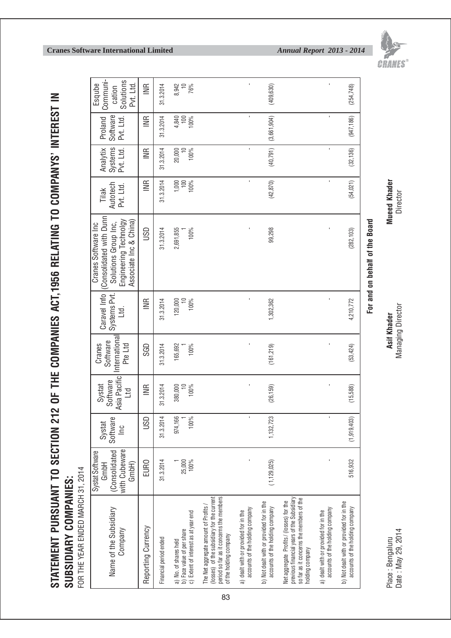STATEMENT PURSUANT TO SECTION 212 OF THE COMPANIES ACT, 1956 RELATING TO COMPANYS' INTEREST IN **STATEMENT PURSUANT TO SECTION 212 OF THE COMPANIES ACT,1956 RELATING TO COMPANYS' INTEREST IN** SUBSIDIARY COMPANIES: **SUBSIDIARY COMPANIES:**

FOR THE YEAR ENDED MARCH 31, 2014 FOR THE YEAR ENDED MARCH 31, 2014

| Communi-<br>Esqube                            | cation<br>Solutions<br>Pvt. Ltd.                                       | lΜR                | 31.3.2014              | 8,942<br>76%<br>76%                                                                         |                                                                                                                                                           |                                                                         | (409, 630)                                                                  |                                                                                                                                                       |                                                                         | (254, 748)                                                                  |
|-----------------------------------------------|------------------------------------------------------------------------|--------------------|------------------------|---------------------------------------------------------------------------------------------|-----------------------------------------------------------------------------------------------------------------------------------------------------------|-------------------------------------------------------------------------|-----------------------------------------------------------------------------|-------------------------------------------------------------------------------------------------------------------------------------------------------|-------------------------------------------------------------------------|-----------------------------------------------------------------------------|
| Proland                                       | Software<br>Pvt. Ltd.                                                  | li⊠                | 31.3.2014              | $4,840$<br>100%                                                                             |                                                                                                                                                           |                                                                         | (3,661,904)                                                                 |                                                                                                                                                       |                                                                         | (947, 186)                                                                  |
| Analytix<br>Systems                           | Pvt. Ltd.                                                              | li⊠                | 31.3.2014              | 20,000<br>$100\%$                                                                           |                                                                                                                                                           |                                                                         | (40, 791)                                                                   |                                                                                                                                                       |                                                                         | (32, 136)                                                                   |
| Tilak                                         | Autotech<br>Pvt. Ltd.                                                  | li⊠                | 31.3.2014              | $1,000$<br>$0,000$                                                                          |                                                                                                                                                           | ı                                                                       | (42, 870)                                                                   |                                                                                                                                                       | $\blacksquare$                                                          | (54, 021)                                                                   |
| Consolidated with Dunn<br>Cranes Software Inc | Engineering Technolgy<br>Associate Inc & China<br>Solutions Group Inc, | <b>USD</b>         | 31.3.2014              | 2,691,855<br>$-100%$                                                                        |                                                                                                                                                           |                                                                         | 99,298                                                                      |                                                                                                                                                       |                                                                         | (282, 103)                                                                  |
| Caravel Info                                  | Systems Pvt.<br><u>Ltd</u>                                             | <b>MNR</b>         | 31.3.2014              | $120,000$<br>100%<br>100%                                                                   |                                                                                                                                                           |                                                                         | 1,302,362                                                                   |                                                                                                                                                       |                                                                         | 4,210,772                                                                   |
| Software<br>Cranes                            | Internationa<br>Pte Ltd                                                | <b>GD</b>          | 31.3.2014              | 165,692<br>100%                                                                             |                                                                                                                                                           |                                                                         | (161, 219)                                                                  |                                                                                                                                                       |                                                                         | (53, 424)                                                                   |
| Systat                                        | Asia Pacific<br>Software<br>Ltd                                        | ∭К                 | 31.3.2014              | 380,000<br>10<br>100%                                                                       |                                                                                                                                                           |                                                                         | (26, 159)                                                                   |                                                                                                                                                       | ı                                                                       | (15,588)                                                                    |
| Systat                                        | Software<br>$\equiv$                                                   | <b>SSD</b>         | 31.3.2014              | 974,166<br>100%                                                                             |                                                                                                                                                           |                                                                         | 1,132,723                                                                   |                                                                                                                                                       |                                                                         | (1,919,403)                                                                 |
| Systat Software<br>GmbH                       | (Consolidated<br>with Cubeware<br>GmbH)                                | <b>EURO</b>        | 31.3.2014              | 25,000<br>100%                                                                              |                                                                                                                                                           |                                                                         | (1, 129, 025)                                                               |                                                                                                                                                       |                                                                         | 516,932                                                                     |
|                                               | Name of the Subsidiary<br>Company                                      | Reporting Currency | Financial period ended | c) Extent of interest as at year end<br>a) No. of shares held<br>b) Face value of per share | (losses) of the subsidiary for the current<br>period so far as it concerns the members<br>The Net aggregate amount of Profits /<br>of the holding company | accounts of the holding company<br>a) dealt with or provided for in the | b) Not dealt with or provided for in the<br>accounts of the holding company | previous financial years of the Subsidiary<br>so far as it concerns the members of the<br>Net aggregate Profits / (losses) for the<br>holding company | accounts of the holding company<br>a) dealt with or provided for in the | b) Not dealt with or provided for in the<br>accounts of the holding company |

For and on behalf of the Board **For and on behalf of the Board**

Date : May 29, 2014 Marching Director Managing Director Director Place : Bengaluru<br>Date : May 29, 2014

Place : Bengaluru **Asif Khader Mueed Khader** Asif Khader<br>Managing Director